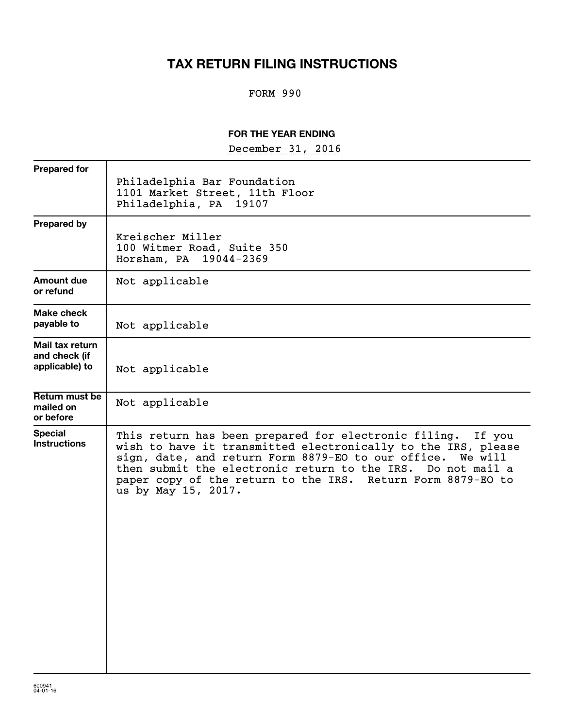## **TAX RETURN FILING INSTRUCTIONS**

## FORM 990

## **FOR THE YEAR ENDING**

December 31, 2016

| Philadelphia Bar Foundation<br>1101 Market Street, 11th Floor<br>Philadelphia, PA 19107                                                                                                                                                                                                                                                         |
|-------------------------------------------------------------------------------------------------------------------------------------------------------------------------------------------------------------------------------------------------------------------------------------------------------------------------------------------------|
| Kreischer Miller<br>100 Witmer Road, Suite 350<br>Horsham, PA 19044-2369                                                                                                                                                                                                                                                                        |
| Not applicable                                                                                                                                                                                                                                                                                                                                  |
| Not applicable                                                                                                                                                                                                                                                                                                                                  |
| Not applicable                                                                                                                                                                                                                                                                                                                                  |
| Not applicable                                                                                                                                                                                                                                                                                                                                  |
| This return has been prepared for electronic filing. If you<br>wish to have it transmitted electronically to the IRS, please<br>sign, date, and return Form 8879-EO to our office. We will<br>then submit the electronic return to the IRS. Do not mail a<br>paper copy of the return to the IRS. Return Form 8879-EO to<br>us by May 15, 2017. |
|                                                                                                                                                                                                                                                                                                                                                 |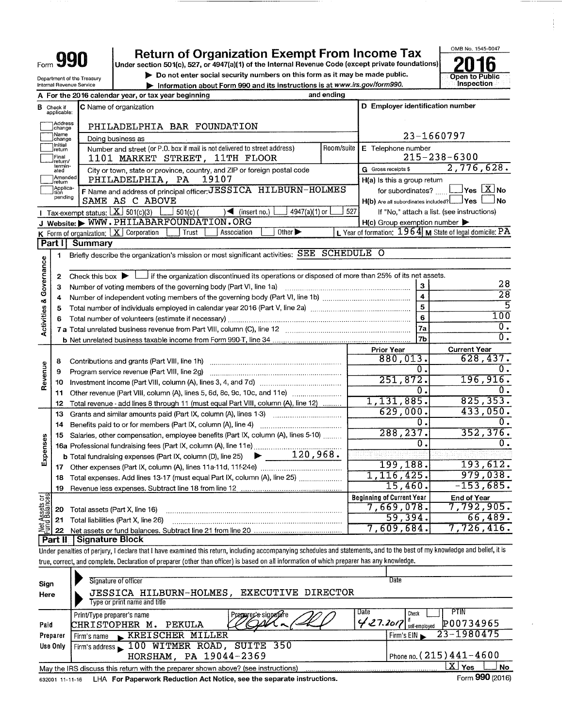| Form $\mathbf{J}$                  |                                                       |                                                        | <b>Return of Organization Exempt From Income Tax</b><br>Under section 501(c), 527, or 4947(a)(1) of the Internal Revenue Code (except private foundations)                 |            |                                         | OMB No. 1545-0047                                            |
|------------------------------------|-------------------------------------------------------|--------------------------------------------------------|----------------------------------------------------------------------------------------------------------------------------------------------------------------------------|------------|-----------------------------------------|--------------------------------------------------------------|
|                                    |                                                       |                                                        | Do not enter social security numbers on this form as it may be made public.                                                                                                |            |                                         | Open to Public                                               |
|                                    |                                                       | Department of the Treasury<br>Internal Revenue Service | Information about Form 990 and its instructions is at www.irs.gov/form990.                                                                                                 |            |                                         | Inspection                                                   |
|                                    |                                                       |                                                        | and ending<br>A For the 2016 calendar year, or tax year beginning                                                                                                          |            |                                         |                                                              |
|                                    | <b>B</b> Check if<br>applicable:                      |                                                        | C Name of organization                                                                                                                                                     |            | D Employer identification number        |                                                              |
|                                    | Address<br>change<br>Name                             |                                                        | PHILADELPHIA BAR FOUNDATION                                                                                                                                                |            |                                         | 23-1660797                                                   |
|                                    | change<br>  Initial<br>  return                       |                                                        | Doing business as<br>Number and street (or P.O. box if mail is not delivered to street address)                                                                            | Room/suite | E Telephone number                      |                                                              |
|                                    | Final<br>return/                                      |                                                        | 1101 MARKET STREET, 11TH FLOOR                                                                                                                                             |            |                                         | $215 - 238 - 6300$                                           |
|                                    | termin-<br>ated                                       |                                                        | City or town, state or province, country, and ZIP or foreign postal code                                                                                                   |            | G Gross receipts \$                     | 2,776,628.                                                   |
|                                    | Amended<br>return                                     |                                                        | PHILADELPHIA, PA<br>19107                                                                                                                                                  |            | H(a) Is this a group return             |                                                              |
|                                    | Applica-<br>tion<br>pending                           |                                                        | F Name and address of principal officer: JESSICA HILBURN-HOLMES<br>SAME AS C ABOVE                                                                                         |            | H(b) Are all subordinates included? Ves | for subordinates? $\Box$ Yes $\boxed{\mathbf{X}}$ No<br>l No |
|                                    |                                                       | Tax-exempt status: $X \overline{301(c)(3)}$            | $501(c)$ (<br>4947(a)(1) or<br>$\sqrt{\bullet}$ (insert no.)                                                                                                               | 527        |                                         | If "No," attach a list. (see instructions)                   |
|                                    |                                                       |                                                        | J Website: WWW.PHILABARFOUNDATION.ORG                                                                                                                                      |            | $H(c)$ Group exemption number           |                                                              |
|                                    |                                                       |                                                        | Other $\blacktriangleright$<br>K Form of organization: $X$ Corporation<br>Trust<br>Association                                                                             |            |                                         | L Year of formation: $1964$ M State of legal domicile: PA    |
|                                    | Part I                                                | Summary                                                |                                                                                                                                                                            |            |                                         |                                                              |
|                                    | 1                                                     |                                                        | Briefly describe the organization's mission or most significant activities: SEE SCHEDULE O                                                                                 |            |                                         |                                                              |
| <b>Activities &amp; Governance</b> |                                                       |                                                        |                                                                                                                                                                            |            |                                         |                                                              |
|                                    | 2                                                     | Check this box $\blacktriangleright$ L                 | I if the organization discontinued its operations or disposed of more than 25% of its net assets.                                                                          |            |                                         |                                                              |
|                                    | З                                                     |                                                        | Number of voting members of the governing body (Part VI, line 1a)                                                                                                          |            | 3                                       | 28<br>$\overline{28}$                                        |
|                                    | 4                                                     |                                                        | Number of independent voting members of the governing body (Part VI, line 1b) [[[[[[[[[[[[[[[[[[[[[[[[[[[[]]]]                                                             |            | 4                                       | $\overline{5}$                                               |
|                                    | 5                                                     |                                                        | Total number of individuals employed in calendar year 2016 (Part V, line 2a) manufacture content content of individuals                                                    |            | 5                                       | 100                                                          |
|                                    | 6                                                     |                                                        |                                                                                                                                                                            |            | 6                                       | 0.                                                           |
|                                    |                                                       |                                                        |                                                                                                                                                                            |            | 7а                                      | $\overline{0}$ .                                             |
|                                    |                                                       |                                                        |                                                                                                                                                                            |            | 7 <sub>b</sub>                          |                                                              |
|                                    |                                                       |                                                        |                                                                                                                                                                            |            | <b>Prior Year</b><br>880,013.           | <b>Current Year</b><br>628,437.                              |
|                                    | 8                                                     |                                                        | Contributions and grants (Part VIII, line 1h)                                                                                                                              |            | $\overline{0}$ .                        | 0.                                                           |
| Revenue                            | 9                                                     |                                                        | Program service revenue (Part VIII, line 2g)                                                                                                                               |            | 251,872.                                | 196,916.                                                     |
|                                    | 10                                                    |                                                        |                                                                                                                                                                            |            | O,                                      | 0.                                                           |
|                                    | 11                                                    |                                                        | Other revenue (Part VIII, column (A), lines 5, 6d, 8c, 9c, 10c, and 11e)                                                                                                   |            | 1,131,885.                              | 825, 353.                                                    |
|                                    | 12                                                    |                                                        | Total revenue - add lines 8 through 11 (must equal Part VIII, column (A), line 12)                                                                                         |            | 629,000                                 | 433,050.                                                     |
|                                    | 13                                                    |                                                        | Grants and similar amounts paid (Part IX, column (A), lines 1-3) <i></i>                                                                                                   |            | 0                                       |                                                              |
|                                    | 14                                                    |                                                        | Benefits paid to or for members (Part IX, column (A), line 4)                                                                                                              |            | 288, 237.                               | 352, 376.                                                    |
|                                    | 15                                                    |                                                        | Salaries, other compensation, employee benefits (Part IX, column (A), lines 5-10)                                                                                          |            | Ω.                                      | Ο.                                                           |
| enses                              |                                                       |                                                        |                                                                                                                                                                            |            |                                         |                                                              |
| 찧                                  |                                                       |                                                        | <b>b</b> Total fundraising expenses (Part IX, column (D), line 25) $\rightarrow$ 120, 968.                                                                                 |            | 199,188.                                | 193,612.                                                     |
|                                    | 17                                                    |                                                        |                                                                                                                                                                            |            | 1, 116, 425.                            | 979,038.                                                     |
|                                    | 18                                                    |                                                        | Total expenses. Add lines 13-17 (must equal Part IX, column (A), line 25)                                                                                                  |            | 15,460.                                 | $-153,685.$                                                  |
|                                    | 19                                                    |                                                        |                                                                                                                                                                            |            | <b>Beginning of Current Year</b>        |                                                              |
| Net Assets or<br>Fund Balances     |                                                       |                                                        |                                                                                                                                                                            |            | 7,669,078.                              | <b>End of Year</b><br>7,792,905.                             |
|                                    | 20                                                    |                                                        | Total assets (Part X, line 16)                                                                                                                                             |            | 59,394.                                 | 66,489.                                                      |
|                                    | 21                                                    |                                                        | Total liabilities (Part X, line 26)                                                                                                                                        |            | 7,609,684.                              | $7,726,416$ .                                                |
|                                    | 22<br><b>Part II</b>                                  | <b>Signature Block</b>                                 |                                                                                                                                                                            |            |                                         |                                                              |
|                                    |                                                       |                                                        | Under penalties of perjury, I declare that I have examined this return, including accompanying schedules and statements, and to the best of my knowledge and belief, it is |            |                                         |                                                              |
|                                    |                                                       |                                                        | true, correct, and complete. Declaration of preparer (other than officer) is based on all information of which preparer has any knowledge.                                 |            |                                         |                                                              |
|                                    |                                                       |                                                        |                                                                                                                                                                            |            |                                         |                                                              |
| Sign                               |                                                       |                                                        | Signature of officer                                                                                                                                                       |            | Date                                    |                                                              |
| Here                               |                                                       |                                                        | EXECUTIVE DIRECTOR<br>JESSICA HILBURN-HOLMES,                                                                                                                              |            |                                         |                                                              |
|                                    |                                                       |                                                        | Type or print name and title                                                                                                                                               |            |                                         |                                                              |
|                                    |                                                       | Print/Type preparer's name                             | Preparer's signalitie                                                                                                                                                      |            | <b>Date</b><br>Check                    | PTIN                                                         |
| Paid                               |                                                       |                                                        | PEKULA<br>CHRISTOPHER M.                                                                                                                                                   |            | 427.2017<br>self-employed               | P00734965                                                    |
|                                    | Preparer                                              | Firm's name                                            | <b>KREISCHER MILLER</b>                                                                                                                                                    |            | Firm's EIN                              | 23-1980475                                                   |
|                                    | Use Only                                              |                                                        | Firm's address 100 WITMER ROAD, SUITE 350                                                                                                                                  |            |                                         |                                                              |
|                                    | Phone no. $(215)441 - 4600$<br>HORSHAM, PA 19044-2369 |                                                        |                                                                                                                                                                            |            |                                         |                                                              |

| May the IRS discuss this return with the preparer shown above? (see instructions)      |  |
|----------------------------------------------------------------------------------------|--|
| 632001 11-11-16 LHA For Paperwork Reduction Act Notice, see the separate instructions. |  |

 $\frac{1}{2}$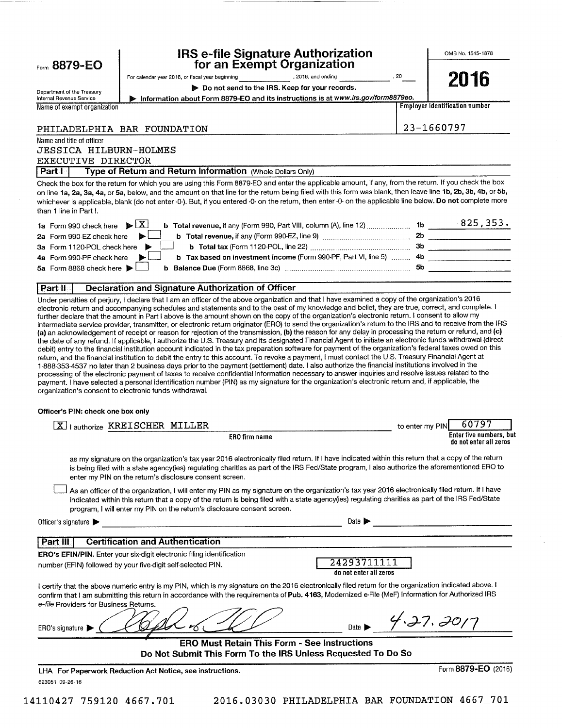| Form 8879-EO                                            | <b>IRS e-file Signature Authorization</b><br>for an Exempt Organization                                                                                                                                                                                                                                                                                                                                                                                                                                                                                                                                                                                                   |                                       | OMB No. 1545-1878                                 |
|---------------------------------------------------------|---------------------------------------------------------------------------------------------------------------------------------------------------------------------------------------------------------------------------------------------------------------------------------------------------------------------------------------------------------------------------------------------------------------------------------------------------------------------------------------------------------------------------------------------------------------------------------------------------------------------------------------------------------------------------|---------------------------------------|---------------------------------------------------|
|                                                         | , 2016, and ending<br>For calendar year 2016, or fiscal year beginning                                                                                                                                                                                                                                                                                                                                                                                                                                                                                                                                                                                                    | , 20                                  | 2016                                              |
| Department of the Treasury                              | Do not send to the IRS. Keep for your records.                                                                                                                                                                                                                                                                                                                                                                                                                                                                                                                                                                                                                            |                                       |                                                   |
| Internal Revenue Service<br>Name of exempt organization | Information about Form 8879-EO and its instructions is at www.irs.gov/form8879eo.                                                                                                                                                                                                                                                                                                                                                                                                                                                                                                                                                                                         |                                       | <b>Employer identification number</b>             |
|                                                         |                                                                                                                                                                                                                                                                                                                                                                                                                                                                                                                                                                                                                                                                           |                                       |                                                   |
|                                                         | PHILADELPHIA BAR FOUNDATION                                                                                                                                                                                                                                                                                                                                                                                                                                                                                                                                                                                                                                               |                                       | 23-1660797                                        |
| Name and title of officer                               |                                                                                                                                                                                                                                                                                                                                                                                                                                                                                                                                                                                                                                                                           |                                       |                                                   |
| JESSICA HILBURN-HOLMES                                  |                                                                                                                                                                                                                                                                                                                                                                                                                                                                                                                                                                                                                                                                           |                                       |                                                   |
| EXECUTIVE DIRECTOR<br>  Part I                          | Type of Return and Return Information (Whole Dollars Only)                                                                                                                                                                                                                                                                                                                                                                                                                                                                                                                                                                                                                |                                       |                                                   |
|                                                         | Check the box for the return for which you are using this Form 8879-EO and enter the applicable amount, if any, from the return. If you check the box                                                                                                                                                                                                                                                                                                                                                                                                                                                                                                                     |                                       |                                                   |
| than 1 line in Part I.                                  | on line 1a, 2a, 3a, 4a, or 5a, below, and the amount on that line for the return being filed with this form was blank, then leave line 1b, 2b, 3b, 4b, or 5b,<br>whichever is applicable, blank (do not enter -0-). But, if you entered -0- on the return, then enter -0- on the applicable line below. Do not complete more                                                                                                                                                                                                                                                                                                                                              |                                       |                                                   |
| 1a Form 990 check here                                  | $\blacktriangleright$ $\overline{X}$                                                                                                                                                                                                                                                                                                                                                                                                                                                                                                                                                                                                                                      |                                       |                                                   |
| 2a Form 990-EZ check here                               |                                                                                                                                                                                                                                                                                                                                                                                                                                                                                                                                                                                                                                                                           |                                       |                                                   |
| 3a Form 1120-POL check here                             |                                                                                                                                                                                                                                                                                                                                                                                                                                                                                                                                                                                                                                                                           |                                       |                                                   |
| 4a Form 990-PF check here                               | b Tax based on investment income (Form 990-PF, Part VI, line 5)  4b ______________________                                                                                                                                                                                                                                                                                                                                                                                                                                                                                                                                                                                |                                       |                                                   |
| 5a Form 8868 check here                                 |                                                                                                                                                                                                                                                                                                                                                                                                                                                                                                                                                                                                                                                                           |                                       |                                                   |
| Part II                                                 | <b>Declaration and Signature Authorization of Officer</b>                                                                                                                                                                                                                                                                                                                                                                                                                                                                                                                                                                                                                 |                                       |                                                   |
| Officer's PIN: check one box only                       | return, and the financial institution to debit the entry to this account. To revoke a payment, I must contact the U.S. Treasury Financial Agent at<br>1-888-353-4537 no later than 2 business days prior to the payment (settlement) date. I also authorize the financial institutions involved in the<br>processing of the electronic payment of taxes to receive confidential information necessary to answer inquiries and resolve issues related to the<br>payment. I have selected a personal identification number (PIN) as my signature for the organization's electronic return and, if applicable, the<br>organization's consent to electronic funds withdrawal. |                                       |                                                   |
|                                                         | [X]   authorize KREISCHER MILLER                                                                                                                                                                                                                                                                                                                                                                                                                                                                                                                                                                                                                                          | to enter my PIN                       | 60797                                             |
|                                                         | ERO firm name                                                                                                                                                                                                                                                                                                                                                                                                                                                                                                                                                                                                                                                             |                                       | Enter five numbers, but<br>do not enter all zeros |
|                                                         | as my signature on the organization's tax year 2016 electronically filed return. If I have indicated within this return that a copy of the return<br>is being filed with a state agency(ies) regulating charities as part of the IRS Fed/State program, I also authorize the aforementioned ERO to<br>enter my PIN on the return's disclosure consent screen.                                                                                                                                                                                                                                                                                                             |                                       |                                                   |
|                                                         | As an officer of the organization, I will enter my PIN as my signature on the organization's tax year 2016 electronically filed return. If I have<br>indicated within this return that a copy of the return is being filed with a state agency(ies) regulating charities as part of the IRS Fed/State<br>program, I will enter my PIN on the return's disclosure consent screen.                                                                                                                                                                                                                                                                                          |                                       |                                                   |
| Officer's signature                                     | <u> 1980 - Johann Stein, Amerikaansk politiker (* 1900)</u>                                                                                                                                                                                                                                                                                                                                                                                                                                                                                                                                                                                                               | Date $\blacktriangleright$            |                                                   |
| Part III                                                | <b>Certification and Authentication</b>                                                                                                                                                                                                                                                                                                                                                                                                                                                                                                                                                                                                                                   |                                       |                                                   |
|                                                         | <b>ERO's EFIN/PIN.</b> Enter your six-digit electronic filing identification                                                                                                                                                                                                                                                                                                                                                                                                                                                                                                                                                                                              |                                       |                                                   |
|                                                         | number (EFIN) followed by your five-digit self-selected PIN.                                                                                                                                                                                                                                                                                                                                                                                                                                                                                                                                                                                                              | 24293711111<br>do not enter all zeros |                                                   |
|                                                         | I certify that the above numeric entry is my PIN, which is my signature on the 2016 electronically filed return for the organization indicated above. I<br>confirm that I am submitting this return in accordance with the requirements of Pub. 4163, Modernized e-File (MeF) Information for Authorized IRS                                                                                                                                                                                                                                                                                                                                                              |                                       |                                                   |

| Do Not Submit This Form To the IRS Unless Requested To Do So |        |  |
|--------------------------------------------------------------|--------|--|
| <b>ERO Must Retain This Form - See Instructions</b>          |        |  |
| ERO's signature                                              | Date I |  |
|                                                              |        |  |
| e-file Providers for Business Returns.                       |        |  |

623051 09-26-16

14110427 759120 4667.701 2016.03030 PHILADELPHIA BAR FOUNDATION 4667\_701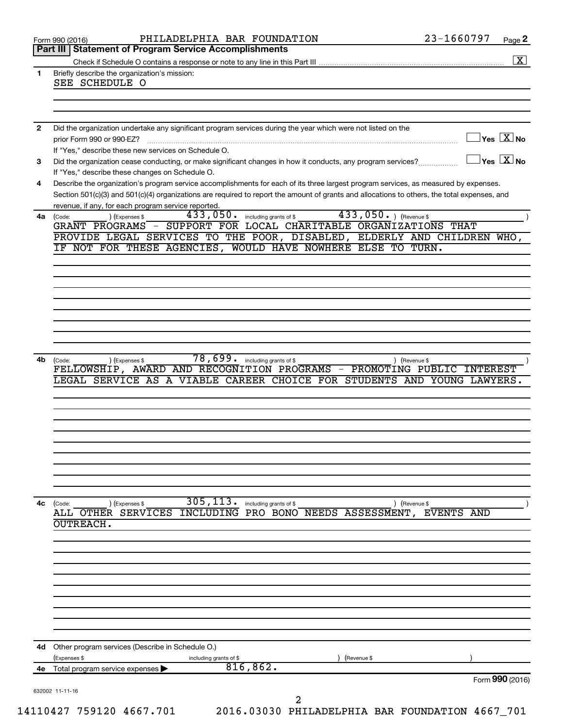| $\exists$ Yes $\boxed{\text{X}}$ No<br>$\exists$ Yes $\boxed{\text{X}}$ No<br>Did the organization cease conducting, or make significant changes in how it conducts, any program services?<br>Describe the organization's program service accomplishments for each of its three largest program services, as measured by expenses.<br>Section 501(c)(3) and 501(c)(4) organizations are required to report the amount of grants and allocations to others, the total expenses, and<br>GRANT PROGRAMS - SUPPORT FOR LOCAL CHARITABLE ORGANIZATIONS THAT<br>PROVIDE LEGAL SERVICES TO THE POOR, DISABLED, ELDERLY AND CHILDREN WHO, |
|-----------------------------------------------------------------------------------------------------------------------------------------------------------------------------------------------------------------------------------------------------------------------------------------------------------------------------------------------------------------------------------------------------------------------------------------------------------------------------------------------------------------------------------------------------------------------------------------------------------------------------------|
|                                                                                                                                                                                                                                                                                                                                                                                                                                                                                                                                                                                                                                   |
|                                                                                                                                                                                                                                                                                                                                                                                                                                                                                                                                                                                                                                   |
|                                                                                                                                                                                                                                                                                                                                                                                                                                                                                                                                                                                                                                   |
|                                                                                                                                                                                                                                                                                                                                                                                                                                                                                                                                                                                                                                   |
|                                                                                                                                                                                                                                                                                                                                                                                                                                                                                                                                                                                                                                   |
|                                                                                                                                                                                                                                                                                                                                                                                                                                                                                                                                                                                                                                   |
|                                                                                                                                                                                                                                                                                                                                                                                                                                                                                                                                                                                                                                   |
|                                                                                                                                                                                                                                                                                                                                                                                                                                                                                                                                                                                                                                   |
|                                                                                                                                                                                                                                                                                                                                                                                                                                                                                                                                                                                                                                   |
|                                                                                                                                                                                                                                                                                                                                                                                                                                                                                                                                                                                                                                   |
|                                                                                                                                                                                                                                                                                                                                                                                                                                                                                                                                                                                                                                   |
|                                                                                                                                                                                                                                                                                                                                                                                                                                                                                                                                                                                                                                   |
|                                                                                                                                                                                                                                                                                                                                                                                                                                                                                                                                                                                                                                   |
|                                                                                                                                                                                                                                                                                                                                                                                                                                                                                                                                                                                                                                   |
|                                                                                                                                                                                                                                                                                                                                                                                                                                                                                                                                                                                                                                   |
|                                                                                                                                                                                                                                                                                                                                                                                                                                                                                                                                                                                                                                   |
|                                                                                                                                                                                                                                                                                                                                                                                                                                                                                                                                                                                                                                   |
|                                                                                                                                                                                                                                                                                                                                                                                                                                                                                                                                                                                                                                   |
|                                                                                                                                                                                                                                                                                                                                                                                                                                                                                                                                                                                                                                   |
|                                                                                                                                                                                                                                                                                                                                                                                                                                                                                                                                                                                                                                   |
|                                                                                                                                                                                                                                                                                                                                                                                                                                                                                                                                                                                                                                   |
|                                                                                                                                                                                                                                                                                                                                                                                                                                                                                                                                                                                                                                   |
|                                                                                                                                                                                                                                                                                                                                                                                                                                                                                                                                                                                                                                   |
|                                                                                                                                                                                                                                                                                                                                                                                                                                                                                                                                                                                                                                   |
|                                                                                                                                                                                                                                                                                                                                                                                                                                                                                                                                                                                                                                   |
| FELLOWSHIP, AWARD AND RECOGNITION PROGRAMS - PROMOTING PUBLIC INTEREST                                                                                                                                                                                                                                                                                                                                                                                                                                                                                                                                                            |
| LEGAL SERVICE AS A VIABLE CAREER CHOICE FOR STUDENTS AND YOUNG LAWYERS.                                                                                                                                                                                                                                                                                                                                                                                                                                                                                                                                                           |
|                                                                                                                                                                                                                                                                                                                                                                                                                                                                                                                                                                                                                                   |
|                                                                                                                                                                                                                                                                                                                                                                                                                                                                                                                                                                                                                                   |
|                                                                                                                                                                                                                                                                                                                                                                                                                                                                                                                                                                                                                                   |
|                                                                                                                                                                                                                                                                                                                                                                                                                                                                                                                                                                                                                                   |
|                                                                                                                                                                                                                                                                                                                                                                                                                                                                                                                                                                                                                                   |
|                                                                                                                                                                                                                                                                                                                                                                                                                                                                                                                                                                                                                                   |
|                                                                                                                                                                                                                                                                                                                                                                                                                                                                                                                                                                                                                                   |
|                                                                                                                                                                                                                                                                                                                                                                                                                                                                                                                                                                                                                                   |
|                                                                                                                                                                                                                                                                                                                                                                                                                                                                                                                                                                                                                                   |
|                                                                                                                                                                                                                                                                                                                                                                                                                                                                                                                                                                                                                                   |
| INCLUDING PRO BONO NEEDS ASSESSMENT, EVENTS AND                                                                                                                                                                                                                                                                                                                                                                                                                                                                                                                                                                                   |
|                                                                                                                                                                                                                                                                                                                                                                                                                                                                                                                                                                                                                                   |
|                                                                                                                                                                                                                                                                                                                                                                                                                                                                                                                                                                                                                                   |
|                                                                                                                                                                                                                                                                                                                                                                                                                                                                                                                                                                                                                                   |
|                                                                                                                                                                                                                                                                                                                                                                                                                                                                                                                                                                                                                                   |
|                                                                                                                                                                                                                                                                                                                                                                                                                                                                                                                                                                                                                                   |
|                                                                                                                                                                                                                                                                                                                                                                                                                                                                                                                                                                                                                                   |
|                                                                                                                                                                                                                                                                                                                                                                                                                                                                                                                                                                                                                                   |
|                                                                                                                                                                                                                                                                                                                                                                                                                                                                                                                                                                                                                                   |
|                                                                                                                                                                                                                                                                                                                                                                                                                                                                                                                                                                                                                                   |
|                                                                                                                                                                                                                                                                                                                                                                                                                                                                                                                                                                                                                                   |
|                                                                                                                                                                                                                                                                                                                                                                                                                                                                                                                                                                                                                                   |
|                                                                                                                                                                                                                                                                                                                                                                                                                                                                                                                                                                                                                                   |
| Form 990 (2016)                                                                                                                                                                                                                                                                                                                                                                                                                                                                                                                                                                                                                   |
|                                                                                                                                                                                                                                                                                                                                                                                                                                                                                                                                                                                                                                   |
| 2016.03030 PHILADELPHIA BAR FOUNDATION 4667_701                                                                                                                                                                                                                                                                                                                                                                                                                                                                                                                                                                                   |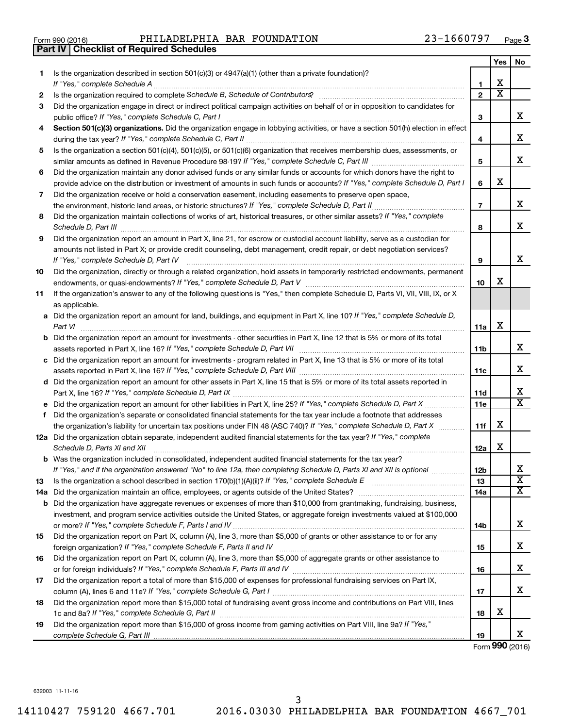| Form 990 (2016) |  |  |
|-----------------|--|--|

Form 990 (2016) Page PHILADELPHIA BAR FOUNDATION 23-1660797

|     | <b>Part IV   Checklist of Required Schedules</b>                                                                                                                                                                                    |                 |                         |                             |
|-----|-------------------------------------------------------------------------------------------------------------------------------------------------------------------------------------------------------------------------------------|-----------------|-------------------------|-----------------------------|
|     |                                                                                                                                                                                                                                     |                 | Yes                     | No                          |
| 1   | Is the organization described in section 501(c)(3) or 4947(a)(1) (other than a private foundation)?                                                                                                                                 |                 |                         |                             |
|     |                                                                                                                                                                                                                                     | 1               | X                       |                             |
| 2   | Is the organization required to complete Schedule B, Schedule of Contributors? [11] the organization required to complete Schedule B, Schedule of Contributors?                                                                     | $\mathbf{2}$    | $\overline{\mathbf{X}}$ |                             |
| З   | Did the organization engage in direct or indirect political campaign activities on behalf of or in opposition to candidates for                                                                                                     |                 |                         |                             |
|     |                                                                                                                                                                                                                                     | 3               |                         | х                           |
| 4   | Section 501(c)(3) organizations. Did the organization engage in lobbying activities, or have a section 501(h) election in effect                                                                                                    |                 |                         |                             |
|     |                                                                                                                                                                                                                                     | 4               |                         | X                           |
| 5   | Is the organization a section 501(c)(4), 501(c)(5), or 501(c)(6) organization that receives membership dues, assessments, or                                                                                                        |                 |                         |                             |
|     |                                                                                                                                                                                                                                     | 5               |                         | X                           |
| 6   | Did the organization maintain any donor advised funds or any similar funds or accounts for which donors have the right to                                                                                                           |                 |                         |                             |
|     | provide advice on the distribution or investment of amounts in such funds or accounts? If "Yes," complete Schedule D, Part I                                                                                                        | 6               | X                       |                             |
| 7   | Did the organization receive or hold a conservation easement, including easements to preserve open space,                                                                                                                           |                 |                         |                             |
|     |                                                                                                                                                                                                                                     | 7               |                         | х                           |
| 8   | Did the organization maintain collections of works of art, historical treasures, or other similar assets? If "Yes," complete                                                                                                        |                 |                         |                             |
|     | Schedule D, Part III <b>Marting Constructs</b> and the construction of the construction of the construction of the construction of the construction of the construction of the construction of the construction of the construction | 8               |                         | X                           |
| 9   | Did the organization report an amount in Part X, line 21, for escrow or custodial account liability, serve as a custodian for                                                                                                       |                 |                         |                             |
|     | amounts not listed in Part X; or provide credit counseling, debt management, credit repair, or debt negotiation services?                                                                                                           |                 |                         |                             |
|     | If "Yes," complete Schedule D, Part IV                                                                                                                                                                                              | 9               |                         | x                           |
| 10  | Did the organization, directly or through a related organization, hold assets in temporarily restricted endowments, permanent                                                                                                       |                 |                         |                             |
|     |                                                                                                                                                                                                                                     | 10              | х                       |                             |
| 11  | If the organization's answer to any of the following questions is "Yes," then complete Schedule D, Parts VI, VII, VIII, IX, or X                                                                                                    |                 |                         |                             |
|     | as applicable.                                                                                                                                                                                                                      |                 |                         |                             |
|     | a Did the organization report an amount for land, buildings, and equipment in Part X, line 10? If "Yes," complete Schedule D,                                                                                                       |                 |                         |                             |
|     | Part VI                                                                                                                                                                                                                             | 11a             | х                       |                             |
|     | <b>b</b> Did the organization report an amount for investments - other securities in Part X, line 12 that is 5% or more of its total                                                                                                |                 |                         |                             |
|     | assets reported in Part X, line 16? If "Yes," complete Schedule D, Part VII [11] [11] [12] [12] [12] [12] [12] [                                                                                                                    | 11b             |                         | х                           |
|     | c Did the organization report an amount for investments - program related in Part X, line 13 that is 5% or more of its total                                                                                                        |                 |                         |                             |
|     |                                                                                                                                                                                                                                     | 11c             |                         | X                           |
|     | d Did the organization report an amount for other assets in Part X, line 15 that is 5% or more of its total assets reported in                                                                                                      |                 |                         |                             |
|     |                                                                                                                                                                                                                                     | 11d             |                         | х                           |
|     |                                                                                                                                                                                                                                     | 11e             |                         | $\overline{\mathtt{x}}$     |
|     | f Did the organization's separate or consolidated financial statements for the tax year include a footnote that addresses                                                                                                           |                 |                         |                             |
|     | the organization's liability for uncertain tax positions under FIN 48 (ASC 740)? If "Yes," complete Schedule D, Part X                                                                                                              | 11f             | х                       |                             |
|     | 12a Did the organization obtain separate, independent audited financial statements for the tax year? If "Yes," complete                                                                                                             |                 |                         |                             |
|     | Schedule D, Parts XI and XII                                                                                                                                                                                                        | 12a             | х                       |                             |
|     | <b>b</b> Was the organization included in consolidated, independent audited financial statements for the tax year?                                                                                                                  |                 |                         |                             |
|     | If "Yes," and if the organization answered "No" to line 12a, then completing Schedule D, Parts XI and XII is optional <i>manum</i>                                                                                                  | 12 <sub>b</sub> |                         | х                           |
| 13  |                                                                                                                                                                                                                                     | 13              |                         | $\overline{\textbf{x}}$     |
| 14a |                                                                                                                                                                                                                                     | 14a             |                         | $\overline{\textnormal{x}}$ |
|     | <b>b</b> Did the organization have aggregate revenues or expenses of more than \$10,000 from grantmaking, fundraising, business,                                                                                                    |                 |                         |                             |
|     | investment, and program service activities outside the United States, or aggregate foreign investments valued at \$100,000                                                                                                          |                 |                         |                             |
|     |                                                                                                                                                                                                                                     | 14b             |                         | х                           |
| 15  | Did the organization report on Part IX, column (A), line 3, more than \$5,000 of grants or other assistance to or for any                                                                                                           |                 |                         |                             |
|     |                                                                                                                                                                                                                                     | 15              |                         | х                           |
| 16  | Did the organization report on Part IX, column (A), line 3, more than \$5,000 of aggregate grants or other assistance to                                                                                                            |                 |                         |                             |
|     |                                                                                                                                                                                                                                     | 16              |                         | х                           |
| 17  | Did the organization report a total of more than \$15,000 of expenses for professional fundraising services on Part IX,                                                                                                             |                 |                         |                             |
|     |                                                                                                                                                                                                                                     | 17              |                         | x                           |
| 18  | Did the organization report more than \$15,000 total of fundraising event gross income and contributions on Part VIII, lines                                                                                                        |                 | х                       |                             |
|     |                                                                                                                                                                                                                                     | 18              |                         |                             |
| 19  | Did the organization report more than \$15,000 of gross income from gaming activities on Part VIII, line 9a? If "Yes,"                                                                                                              |                 |                         | х                           |
|     |                                                                                                                                                                                                                                     | 19              |                         |                             |

Form (2016) **990**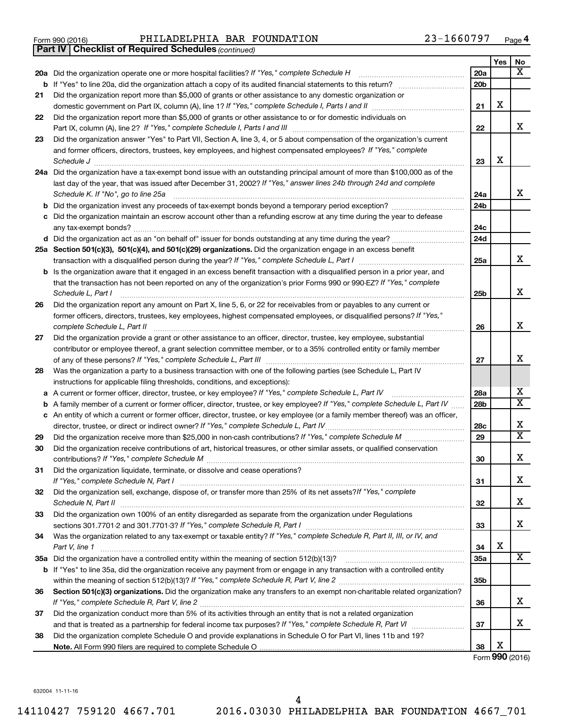|  | Form 990 (2016) |
|--|-----------------|
|  |                 |

Form 990 (2016) Page PHILADELPHIA BAR FOUNDATION 23-1660797

*(continued)* **Part IV Checklist of Required Schedules**

|    |                                                                                                                                                                                                                                                                                                                                                                                                                                                                                                                                                                       |                 | Yes | No             |
|----|-----------------------------------------------------------------------------------------------------------------------------------------------------------------------------------------------------------------------------------------------------------------------------------------------------------------------------------------------------------------------------------------------------------------------------------------------------------------------------------------------------------------------------------------------------------------------|-----------------|-----|----------------|
|    | 20a Did the organization operate one or more hospital facilities? If "Yes," complete Schedule H                                                                                                                                                                                                                                                                                                                                                                                                                                                                       | 20a             |     | X              |
|    | <b>b</b> If "Yes" to line 20a, did the organization attach a copy of its audited financial statements to this return?                                                                                                                                                                                                                                                                                                                                                                                                                                                 | 20 <sub>b</sub> |     |                |
| 21 | Did the organization report more than \$5,000 of grants or other assistance to any domestic organization or                                                                                                                                                                                                                                                                                                                                                                                                                                                           |                 |     |                |
|    |                                                                                                                                                                                                                                                                                                                                                                                                                                                                                                                                                                       | 21              | X   |                |
| 22 | Did the organization report more than \$5,000 of grants or other assistance to or for domestic individuals on                                                                                                                                                                                                                                                                                                                                                                                                                                                         |                 |     |                |
|    |                                                                                                                                                                                                                                                                                                                                                                                                                                                                                                                                                                       | 22              |     | х              |
| 23 | Did the organization answer "Yes" to Part VII, Section A, line 3, 4, or 5 about compensation of the organization's current                                                                                                                                                                                                                                                                                                                                                                                                                                            |                 |     |                |
|    | and former officers, directors, trustees, key employees, and highest compensated employees? If "Yes," complete                                                                                                                                                                                                                                                                                                                                                                                                                                                        |                 | х   |                |
|    | $\textit{Schedule J} \textit{ \textbf{} } \textit{ \textbf{} } \textit{ \textbf{} } \textit{ \textbf{} } \textit{ \textbf{} } \textit{ \textbf{} } \textit{ \textbf{} } \textit{ \textbf{} } \textit{ \textbf{} } \textit{ \textbf{} } \textit{ \textbf{} } \textit{ \textbf{} } \textit{ \textbf{} } \textit{ \textbf{} } \textit{ \textbf{} } \textit{ \textbf{} } \textit{ \textbf{} } \textit{ \textbf{} } \textit{ \textbf{} } \$<br>24a Did the organization have a tax-exempt bond issue with an outstanding principal amount of more than \$100,000 as of the | 23              |     |                |
|    | last day of the year, that was issued after December 31, 2002? If "Yes," answer lines 24b through 24d and complete                                                                                                                                                                                                                                                                                                                                                                                                                                                    |                 |     |                |
|    | Schedule K. If "No", go to line 25a                                                                                                                                                                                                                                                                                                                                                                                                                                                                                                                                   | 24a             |     | x              |
|    |                                                                                                                                                                                                                                                                                                                                                                                                                                                                                                                                                                       | 24 <sub>b</sub> |     |                |
|    | c Did the organization maintain an escrow account other than a refunding escrow at any time during the year to defease                                                                                                                                                                                                                                                                                                                                                                                                                                                |                 |     |                |
|    |                                                                                                                                                                                                                                                                                                                                                                                                                                                                                                                                                                       | 24c             |     |                |
|    |                                                                                                                                                                                                                                                                                                                                                                                                                                                                                                                                                                       | 24d             |     |                |
|    | 25a Section 501(c)(3), 501(c)(4), and 501(c)(29) organizations. Did the organization engage in an excess benefit                                                                                                                                                                                                                                                                                                                                                                                                                                                      |                 |     |                |
|    |                                                                                                                                                                                                                                                                                                                                                                                                                                                                                                                                                                       | 25a             |     | X              |
|    | <b>b</b> Is the organization aware that it engaged in an excess benefit transaction with a disqualified person in a prior year, and                                                                                                                                                                                                                                                                                                                                                                                                                                   |                 |     |                |
|    | that the transaction has not been reported on any of the organization's prior Forms 990 or 990-EZ? If "Yes," complete                                                                                                                                                                                                                                                                                                                                                                                                                                                 |                 |     |                |
|    | Schedule L, Part I                                                                                                                                                                                                                                                                                                                                                                                                                                                                                                                                                    | 25b             |     | х              |
| 26 | Did the organization report any amount on Part X, line 5, 6, or 22 for receivables from or payables to any current or                                                                                                                                                                                                                                                                                                                                                                                                                                                 |                 |     |                |
|    | former officers, directors, trustees, key employees, highest compensated employees, or disqualified persons? If "Yes,"                                                                                                                                                                                                                                                                                                                                                                                                                                                |                 |     | X              |
|    | complete Schedule L, Part II                                                                                                                                                                                                                                                                                                                                                                                                                                                                                                                                          | 26              |     |                |
| 27 | Did the organization provide a grant or other assistance to an officer, director, trustee, key employee, substantial<br>contributor or employee thereof, a grant selection committee member, or to a 35% controlled entity or family member                                                                                                                                                                                                                                                                                                                           |                 |     |                |
|    |                                                                                                                                                                                                                                                                                                                                                                                                                                                                                                                                                                       | 27              |     | x              |
| 28 | Was the organization a party to a business transaction with one of the following parties (see Schedule L, Part IV                                                                                                                                                                                                                                                                                                                                                                                                                                                     |                 |     |                |
|    | instructions for applicable filing thresholds, conditions, and exceptions):                                                                                                                                                                                                                                                                                                                                                                                                                                                                                           |                 |     |                |
| а  | A current or former officer, director, trustee, or key employee? If "Yes," complete Schedule L, Part IV                                                                                                                                                                                                                                                                                                                                                                                                                                                               | 28a             |     | X              |
| b  | A family member of a current or former officer, director, trustee, or key employee? If "Yes," complete Schedule L, Part IV                                                                                                                                                                                                                                                                                                                                                                                                                                            | 28 <sub>b</sub> |     | х              |
|    | c An entity of which a current or former officer, director, trustee, or key employee (or a family member thereof) was an officer,                                                                                                                                                                                                                                                                                                                                                                                                                                     |                 |     |                |
|    | director, trustee, or direct or indirect owner? If "Yes," complete Schedule L, Part IV                                                                                                                                                                                                                                                                                                                                                                                                                                                                                | 28c             |     | х              |
| 29 |                                                                                                                                                                                                                                                                                                                                                                                                                                                                                                                                                                       | 29              |     | $\overline{X}$ |
| 30 | Did the organization receive contributions of art, historical treasures, or other similar assets, or qualified conservation                                                                                                                                                                                                                                                                                                                                                                                                                                           |                 |     |                |
|    |                                                                                                                                                                                                                                                                                                                                                                                                                                                                                                                                                                       | 30              |     | X              |
| 31 | Did the organization liquidate, terminate, or dissolve and cease operations?                                                                                                                                                                                                                                                                                                                                                                                                                                                                                          |                 |     |                |
|    |                                                                                                                                                                                                                                                                                                                                                                                                                                                                                                                                                                       | 31              |     | х              |
| 32 | Did the organization sell, exchange, dispose of, or transfer more than 25% of its net assets? If "Yes," complete                                                                                                                                                                                                                                                                                                                                                                                                                                                      | 32              |     | х              |
| 33 | Did the organization own 100% of an entity disregarded as separate from the organization under Regulations                                                                                                                                                                                                                                                                                                                                                                                                                                                            |                 |     |                |
|    |                                                                                                                                                                                                                                                                                                                                                                                                                                                                                                                                                                       | 33              |     | х              |
| 34 | Was the organization related to any tax-exempt or taxable entity? If "Yes," complete Schedule R, Part II, III, or IV, and                                                                                                                                                                                                                                                                                                                                                                                                                                             |                 |     |                |
|    | Part V, line 1                                                                                                                                                                                                                                                                                                                                                                                                                                                                                                                                                        | 34              | X   |                |
|    |                                                                                                                                                                                                                                                                                                                                                                                                                                                                                                                                                                       | 35a             |     | X              |
|    | b If "Yes" to line 35a, did the organization receive any payment from or engage in any transaction with a controlled entity                                                                                                                                                                                                                                                                                                                                                                                                                                           |                 |     |                |
|    |                                                                                                                                                                                                                                                                                                                                                                                                                                                                                                                                                                       | 35b             |     |                |
| 36 | Section 501(c)(3) organizations. Did the organization make any transfers to an exempt non-charitable related organization?                                                                                                                                                                                                                                                                                                                                                                                                                                            |                 |     |                |
|    |                                                                                                                                                                                                                                                                                                                                                                                                                                                                                                                                                                       | 36              |     | х              |
| 37 | Did the organization conduct more than 5% of its activities through an entity that is not a related organization                                                                                                                                                                                                                                                                                                                                                                                                                                                      |                 |     |                |
|    |                                                                                                                                                                                                                                                                                                                                                                                                                                                                                                                                                                       | 37              |     | х              |
| 38 | Did the organization complete Schedule O and provide explanations in Schedule O for Part VI, lines 11b and 19?                                                                                                                                                                                                                                                                                                                                                                                                                                                        |                 | х   |                |
|    |                                                                                                                                                                                                                                                                                                                                                                                                                                                                                                                                                                       | 38              |     |                |

Form (2016) **990**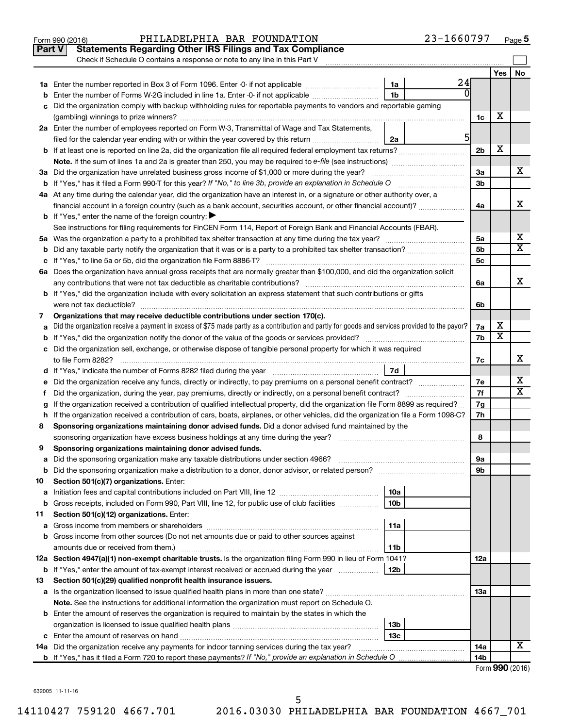|     | 23-1660797<br>PHILADELPHIA BAR FOUNDATION<br>Form 990 (2016)                                                                                    |                |                         | Page 5                  |
|-----|-------------------------------------------------------------------------------------------------------------------------------------------------|----------------|-------------------------|-------------------------|
|     | <b>Statements Regarding Other IRS Filings and Tax Compliance</b><br>Part V                                                                      |                |                         |                         |
|     | Check if Schedule O contains a response or note to any line in this Part V                                                                      |                |                         |                         |
|     |                                                                                                                                                 |                | Yes                     | No                      |
|     | 24<br>1a<br>1a Enter the number reported in Box 3 of Form 1096. Enter -0- if not applicable                                                     |                |                         |                         |
| b   | 0<br>1 <sub>b</sub><br>Enter the number of Forms W-2G included in line 1a. Enter -0- if not applicable                                          |                |                         |                         |
| С   | Did the organization comply with backup withholding rules for reportable payments to vendors and reportable gaming                              |                |                         |                         |
|     |                                                                                                                                                 | 1c             | х                       |                         |
|     | 2a Enter the number of employees reported on Form W-3, Transmittal of Wage and Tax Statements,                                                  |                |                         |                         |
|     | 5<br>filed for the calendar year ending with or within the year covered by this return<br>2a                                                    |                |                         |                         |
|     | <b>b</b> If at least one is reported on line 2a, did the organization file all required federal employment tax returns?                         | 2 <sub>b</sub> | х                       |                         |
|     | Note. If the sum of lines 1a and 2a is greater than 250, you may be required to e-file (see instructions)                                       |                |                         |                         |
|     | 3a Did the organization have unrelated business gross income of \$1,000 or more during the year?                                                | За             |                         | x                       |
|     | <b>b</b> If "Yes," has it filed a Form 990-T for this year? If "No," to line 3b, provide an explanation in Schedule O                           | 3 <sub>b</sub> |                         |                         |
|     | 4a At any time during the calendar year, did the organization have an interest in, or a signature or other authority over, a                    |                |                         |                         |
|     | financial account in a foreign country (such as a bank account, securities account, or other financial account)?                                | 4a             |                         | x                       |
|     | <b>b</b> If "Yes," enter the name of the foreign country: $\blacktriangleright$                                                                 |                |                         |                         |
|     | See instructions for filing requirements for FinCEN Form 114, Report of Foreign Bank and Financial Accounts (FBAR).                             |                |                         |                         |
|     |                                                                                                                                                 | 5a             |                         | х                       |
|     |                                                                                                                                                 | 5b             |                         | $\overline{\texttt{x}}$ |
|     |                                                                                                                                                 | 5c             |                         |                         |
|     | 6a Does the organization have annual gross receipts that are normally greater than \$100,000, and did the organization solicit                  |                |                         |                         |
|     | any contributions that were not tax deductible as charitable contributions?                                                                     | 6a             |                         | х                       |
|     | b If "Yes," did the organization include with every solicitation an express statement that such contributions or gifts                          |                |                         |                         |
|     | were not tax deductible?                                                                                                                        | 6b             |                         |                         |
| 7   | Organizations that may receive deductible contributions under section 170(c).                                                                   |                |                         |                         |
| а   | Did the organization receive a payment in excess of \$75 made partly as a contribution and partly for goods and services provided to the payor? | 7a             | х                       |                         |
|     |                                                                                                                                                 | 7b             | $\overline{\textbf{x}}$ |                         |
|     | c Did the organization sell, exchange, or otherwise dispose of tangible personal property for which it was required                             |                |                         |                         |
|     | to file Form 8282?                                                                                                                              | 7c             |                         | х                       |
|     | 7d<br>d If "Yes," indicate the number of Forms 8282 filed during the year <i>manumerane contraction</i> controlled the number                   |                |                         |                         |
|     | e Did the organization receive any funds, directly or indirectly, to pay premiums on a personal benefit contract?                               | 7e             |                         | x                       |
| Τ.  | Did the organization, during the year, pay premiums, directly or indirectly, on a personal benefit contract?                                    | 7f             |                         | $\overline{\mathtt{x}}$ |
| g   | If the organization received a contribution of qualified intellectual property, did the organization file Form 8899 as required?                | 7g             |                         |                         |
|     | h If the organization received a contribution of cars, boats, airplanes, or other vehicles, did the organization file a Form 1098-C?            | 7h             |                         |                         |
| 8   | Sponsoring organizations maintaining donor advised funds. Did a donor advised fund maintained by the                                            |                |                         |                         |
|     | sponsoring organization have excess business holdings at any time during the year?                                                              | 8              |                         |                         |
| 9   | Sponsoring organizations maintaining donor advised funds.                                                                                       |                |                         |                         |
| а   | Did the sponsoring organization make any taxable distributions under section 4966?                                                              | 9а             |                         |                         |
| b   |                                                                                                                                                 | 9b             |                         |                         |
| 10  | Section 501(c)(7) organizations. Enter:                                                                                                         |                |                         |                         |
| а   | 10a                                                                                                                                             |                |                         |                         |
| b   | Gross receipts, included on Form 990, Part VIII, line 12, for public use of club facilities<br>10 <sub>b</sub>                                  |                |                         |                         |
| 11  | Section 501(c)(12) organizations. Enter:                                                                                                        |                |                         |                         |
| а   | 11a                                                                                                                                             |                |                         |                         |
| b   | Gross income from other sources (Do not net amounts due or paid to other sources against                                                        |                |                         |                         |
|     | amounts due or received from them.)<br>11b                                                                                                      |                |                         |                         |
|     | 12a Section 4947(a)(1) non-exempt charitable trusts. Is the organization filing Form 990 in lieu of Form 1041?                                  | 12a            |                         |                         |
| b   | If "Yes," enter the amount of tax-exempt interest received or accrued during the year<br>12b                                                    |                |                         |                         |
| 13  | Section 501(c)(29) qualified nonprofit health insurance issuers.                                                                                |                |                         |                         |
|     |                                                                                                                                                 | 13a            |                         |                         |
|     | <b>Note.</b> See the instructions for additional information the organization must report on Schedule O.                                        |                |                         |                         |
|     | <b>b</b> Enter the amount of reserves the organization is required to maintain by the states in which the                                       |                |                         |                         |
|     | 13 <sub>b</sub>                                                                                                                                 |                |                         |                         |
|     | 13с                                                                                                                                             |                |                         |                         |
| 14a | Did the organization receive any payments for indoor tanning services during the tax year?                                                      | 14a            |                         | X                       |
|     |                                                                                                                                                 | 14b            |                         |                         |
|     |                                                                                                                                                 |                |                         | Form 990 (2016)         |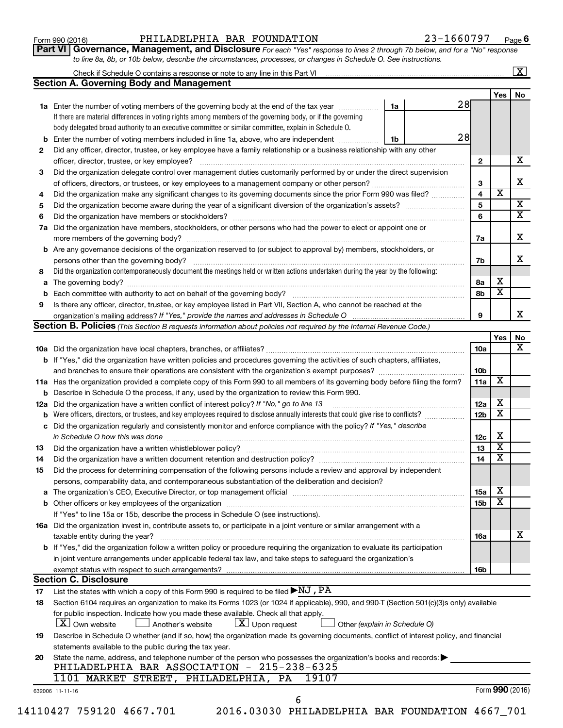## Form 990 (2016) Page PHILADELPHIA BAR FOUNDATION 23-1660797

**Part VI** Governance, Management, and Disclosure For each "Yes" response to lines 2 through 7b below, and for a "No" response *to line 8a, 8b, or 10b below, describe the circumstances, processes, or changes in Schedule O. See instructions.*

|     | Check if Schedule O contains a response or note to any line in this Part VI [11] [12] Check if Schedule O contains a response or note to any line in this Part VI                                |    |                 |                         | $\mathbf{X}$            |
|-----|--------------------------------------------------------------------------------------------------------------------------------------------------------------------------------------------------|----|-----------------|-------------------------|-------------------------|
|     | <b>Section A. Governing Body and Management</b>                                                                                                                                                  |    |                 |                         |                         |
|     |                                                                                                                                                                                                  |    | 28              | Yes                     | No                      |
|     | <b>1a</b> Enter the number of voting members of the governing body at the end of the tax year                                                                                                    | 1a |                 |                         |                         |
|     | If there are material differences in voting rights among members of the governing body, or if the governing                                                                                      |    |                 |                         |                         |
|     | body delegated broad authority to an executive committee or similar committee, explain in Schedule O.                                                                                            |    |                 |                         |                         |
| b   | Enter the number of voting members included in line 1a, above, who are independent                                                                                                               | 1b | 28              |                         |                         |
| 2   | Did any officer, director, trustee, or key employee have a family relationship or a business relationship with any other                                                                         |    |                 |                         |                         |
|     | officer, director, trustee, or key employee?                                                                                                                                                     |    | 2               |                         | х                       |
| 3   | Did the organization delegate control over management duties customarily performed by or under the direct supervision                                                                            |    |                 |                         |                         |
|     |                                                                                                                                                                                                  |    | 3               |                         | X                       |
| 4   | Did the organization make any significant changes to its governing documents since the prior Form 990 was filed?                                                                                 |    | 4               | $\overline{\textbf{x}}$ |                         |
| 5   |                                                                                                                                                                                                  |    | 5               |                         | $\overline{\mathbf{X}}$ |
| 6   |                                                                                                                                                                                                  |    | 6               |                         | $\overline{\mathbf{X}}$ |
| 7a  | Did the organization have members, stockholders, or other persons who had the power to elect or appoint one or                                                                                   |    |                 |                         |                         |
|     |                                                                                                                                                                                                  |    | 7a              |                         | X                       |
| b   | Are any governance decisions of the organization reserved to (or subject to approval by) members, stockholders, or                                                                               |    |                 |                         |                         |
|     |                                                                                                                                                                                                  |    | 7b              |                         | x                       |
| 8   | Did the organization contemporaneously document the meetings held or written actions undertaken during the year by the following:                                                                |    |                 |                         |                         |
| а   |                                                                                                                                                                                                  |    | 8а              | х                       |                         |
| b   |                                                                                                                                                                                                  |    | 8b              | х                       |                         |
| 9   | Is there any officer, director, trustee, or key employee listed in Part VII, Section A, who cannot be reached at the                                                                             |    |                 |                         |                         |
|     |                                                                                                                                                                                                  |    | 9               |                         | х                       |
|     | <b>Section B. Policies</b> (This Section B requests information about policies not required by the Internal Revenue Code.)                                                                       |    |                 |                         |                         |
|     |                                                                                                                                                                                                  |    |                 | Yes                     | No                      |
|     |                                                                                                                                                                                                  |    | 10a             |                         | х                       |
|     | <b>b</b> If "Yes," did the organization have written policies and procedures governing the activities of such chapters, affiliates,                                                              |    |                 |                         |                         |
|     |                                                                                                                                                                                                  |    | 10b             |                         |                         |
|     |                                                                                                                                                                                                  |    | 11a             | X                       |                         |
|     | 11a Has the organization provided a complete copy of this Form 990 to all members of its governing body before filing the form?                                                                  |    |                 |                         |                         |
|     | <b>b</b> Describe in Schedule O the process, if any, used by the organization to review this Form 990.                                                                                           |    |                 | х                       |                         |
| 12a | Did the organization have a written conflict of interest policy? If "No," go to line 13                                                                                                          |    | 12a             | X                       |                         |
| b   | Were officers, directors, or trustees, and key employees required to disclose annually interests that could give rise to conflicts?                                                              |    | 12 <sub>b</sub> |                         |                         |
| с   | Did the organization regularly and consistently monitor and enforce compliance with the policy? If "Yes," describe                                                                               |    |                 | X                       |                         |
|     | in Schedule O how this was done manufactured and continuum and contact the state of the state of the state of                                                                                    |    | 12c             | X                       |                         |
| 13  |                                                                                                                                                                                                  |    | 13              |                         |                         |
| 14  | Did the organization have a written document retention and destruction policy? [11] manufaction model of the organization have a written document retention and destruction policy?              |    | 14              | X                       |                         |
| 15  | Did the process for determining compensation of the following persons include a review and approval by independent                                                                               |    |                 |                         |                         |
|     | persons, comparability data, and contemporaneous substantiation of the deliberation and decision?                                                                                                |    |                 |                         |                         |
| а   | The organization's CEO, Executive Director, or top management official [111] [11] manument contains an analyzi                                                                                   |    | <b>15a</b>      | х                       |                         |
|     |                                                                                                                                                                                                  |    | 15 <sub>b</sub> | х                       |                         |
|     | If "Yes" to line 15a or 15b, describe the process in Schedule O (see instructions).                                                                                                              |    |                 |                         |                         |
|     | 16a Did the organization invest in, contribute assets to, or participate in a joint venture or similar arrangement with a                                                                        |    |                 |                         |                         |
|     | taxable entity during the year?                                                                                                                                                                  |    | 16a             |                         | x                       |
|     | b If "Yes," did the organization follow a written policy or procedure requiring the organization to evaluate its participation                                                                   |    |                 |                         |                         |
|     | in joint venture arrangements under applicable federal tax law, and take steps to safeguard the organization's                                                                                   |    |                 |                         |                         |
|     | exempt status with respect to such arrangements?                                                                                                                                                 |    | 16b             |                         |                         |
|     | <b>Section C. Disclosure</b>                                                                                                                                                                     |    |                 |                         |                         |
| 17  | List the states with which a copy of this Form 990 is required to be filed $\blacktriangleright\text{NJ}$ , $\text{PA}$                                                                          |    |                 |                         |                         |
| 18  | Section 6104 requires an organization to make its Forms 1023 (or 1024 if applicable), 990, and 990-T (Section 501(c)(3)s only) available                                                         |    |                 |                         |                         |
|     | for public inspection. Indicate how you made these available. Check all that apply.<br>$X$ Own website<br>$\lfloor x \rfloor$ Upon request<br>Another's website<br>Other (explain in Schedule O) |    |                 |                         |                         |
| 19  | Describe in Schedule O whether (and if so, how) the organization made its governing documents, conflict of interest policy, and financial                                                        |    |                 |                         |                         |
|     | statements available to the public during the tax year.                                                                                                                                          |    |                 |                         |                         |
| 20  | State the name, address, and telephone number of the person who possesses the organization's books and records:                                                                                  |    |                 |                         |                         |
|     | PHILADELPHIA BAR ASSOCIATION - 215-238-6325                                                                                                                                                      |    |                 |                         |                         |
|     | 1101 MARKET STREET, PHILADELPHIA, PA<br>19107                                                                                                                                                    |    |                 |                         |                         |
|     |                                                                                                                                                                                                  |    |                 | Form 990 (2016)         |                         |
|     | 632006 11-11-16<br>6                                                                                                                                                                             |    |                 |                         |                         |
|     | 14110427 759120 4667.701<br>2016.03030 PHILADELPHIA BAR FOUNDATION 4667_701                                                                                                                      |    |                 |                         |                         |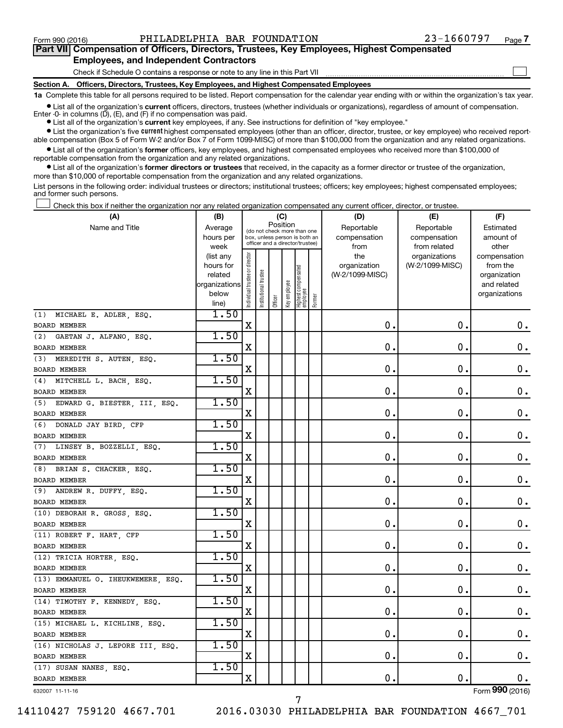$\Box$ 

| Part VII Compensation of Officers, Directors, Trustees, Key Employees, Highest Compensated |  |  |  |
|--------------------------------------------------------------------------------------------|--|--|--|
| <b>Employees, and Independent Contractors</b>                                              |  |  |  |

Check if Schedule O contains a response or note to any line in this Part VII

**Section A. Officers, Directors, Trustees, Key Employees, and Highest Compensated Employees**

**1a**  Complete this table for all persons required to be listed. Report compensation for the calendar year ending with or within the organization's tax year.

**•** List all of the organization's current officers, directors, trustees (whether individuals or organizations), regardless of amount of compensation. Enter -0- in columns  $(D)$ ,  $(E)$ , and  $(F)$  if no compensation was paid.

**•** List all of the organization's **current** key employees, if any. See instructions for definition of "key employee."

**•** List the organization's five current highest compensated employees (other than an officer, director, trustee, or key employee) who received reportable compensation (Box 5 of Form W-2 and/or Box 7 of Form 1099-MISC) of more than \$100,000 from the organization and any related organizations.

**•** List all of the organization's former officers, key employees, and highest compensated employees who received more than \$100,000 of reportable compensation from the organization and any related organizations.

**•** List all of the organization's former directors or trustees that received, in the capacity as a former director or trustee of the organization, more than \$10,000 of reportable compensation from the organization and any related organizations.

List persons in the following order: individual trustees or directors; institutional trustees; officers; key employees; highest compensated employees; and former such persons.

Check this box if neither the organization nor any related organization compensated any current officer, director, or trustee.  $\Box$ 

| (A)                                 | (B)                    |                                         |                       |            | (C)          |                                                                  |        | (D)                 | (E)                              | (F)                      |
|-------------------------------------|------------------------|-----------------------------------------|-----------------------|------------|--------------|------------------------------------------------------------------|--------|---------------------|----------------------------------|--------------------------|
| Name and Title                      | Average                | Position<br>(do not check more than one |                       | Reportable | Reportable   | Estimated                                                        |        |                     |                                  |                          |
|                                     | hours per              |                                         |                       |            |              | box, unless person is both an<br>officer and a director/trustee) |        | compensation        | compensation                     | amount of                |
|                                     | week                   |                                         |                       |            |              |                                                                  |        | from                | from related                     | other                    |
|                                     | (list any<br>hours for |                                         |                       |            |              |                                                                  |        | the<br>organization | organizations<br>(W-2/1099-MISC) | compensation<br>from the |
|                                     | related                |                                         |                       |            |              |                                                                  |        | (W-2/1099-MISC)     |                                  | organization             |
|                                     | organizations          |                                         |                       |            |              |                                                                  |        |                     |                                  | and related              |
|                                     | below                  | Individual trustee or director          | Institutional trustee |            | Key employee | Highest compensated<br>employee                                  |        |                     |                                  | organizations            |
|                                     | line)                  |                                         |                       | Officer    |              |                                                                  | Former |                     |                                  |                          |
| (1) MICHAEL E. ADLER, ESQ.          | 1.50                   |                                         |                       |            |              |                                                                  |        |                     |                                  |                          |
| BOARD MEMBER                        |                        | X                                       |                       |            |              |                                                                  |        | $\mathbf 0$ .       | $\mathbf 0$ .                    | 0.                       |
| GAETAN J. ALFANO, ESQ.<br>(2)       | 1.50                   |                                         |                       |            |              |                                                                  |        |                     |                                  |                          |
| BOARD MEMBER                        |                        | X                                       |                       |            |              |                                                                  |        | 0                   | $\mathbf 0$                      | $\mathbf 0$ .            |
| (3) MEREDITH S. AUTEN, ESQ.         | 1.50                   |                                         |                       |            |              |                                                                  |        |                     |                                  |                          |
| BOARD MEMBER                        |                        | X                                       |                       |            |              |                                                                  |        | 0                   | $\mathbf 0$ .                    | 0.                       |
| (4) MITCHELL L. BACH, ESQ.          | 1.50                   |                                         |                       |            |              |                                                                  |        |                     |                                  |                          |
| <b>BOARD MEMBER</b>                 |                        | X                                       |                       |            |              |                                                                  |        | 0.                  | $\mathbf 0$ .                    | $\mathbf 0$ .            |
| (5)<br>EDWARD G. BIESTER, III, ESQ. | 1.50                   |                                         |                       |            |              |                                                                  |        |                     |                                  |                          |
| BOARD MEMBER                        |                        | X                                       |                       |            |              |                                                                  |        | 0                   | $\mathbf 0$ .                    | 0.                       |
| (6) DONALD JAY BIRD, CFP            | 1.50                   |                                         |                       |            |              |                                                                  |        |                     |                                  |                          |
| BOARD MEMBER                        |                        | X                                       |                       |            |              |                                                                  |        | 0                   | $\mathbf 0$                      | 0.                       |
| (7) LINSEY B. BOZZELLI, ESQ.        | 1.50                   |                                         |                       |            |              |                                                                  |        |                     |                                  |                          |
| BOARD MEMBER                        |                        | X                                       |                       |            |              |                                                                  |        | $\mathbf 0$         | $\mathbf 0$                      | $\mathbf 0$ .            |
| (8) BRIAN S. CHACKER, ESQ.          | 1.50                   |                                         |                       |            |              |                                                                  |        |                     |                                  |                          |
| BOARD MEMBER                        |                        | X                                       |                       |            |              |                                                                  |        | $\mathbf 0$ .       | $\mathbf 0$                      | $\mathbf 0$ .            |
| (9) ANDREW R. DUFFY, ESQ.           | 1.50                   |                                         |                       |            |              |                                                                  |        |                     |                                  |                          |
| BOARD MEMBER                        |                        | X                                       |                       |            |              |                                                                  |        | $\mathbf 0$         | $\mathbf 0$ .                    | 0.                       |
| (10) DEBORAH R. GROSS, ESQ.         | 1.50                   |                                         |                       |            |              |                                                                  |        |                     |                                  |                          |
| <b>BOARD MEMBER</b>                 |                        | $\mathbf X$                             |                       |            |              |                                                                  |        | $\mathbf 0$ .       | $\mathbf 0$ .                    | $0$ .                    |
| (11) ROBERT F. HART, CFP            | 1.50                   |                                         |                       |            |              |                                                                  |        |                     |                                  |                          |
| BOARD MEMBER                        |                        | X                                       |                       |            |              |                                                                  |        | $\mathbf 0$ .       | $\mathbf 0$ .                    | $\mathbf 0$ .            |
| (12) TRICIA HORTER, ESQ.            | 1.50                   |                                         |                       |            |              |                                                                  |        |                     |                                  |                          |
| <b>BOARD MEMBER</b>                 |                        | $\mathbf X$                             |                       |            |              |                                                                  |        | 0.                  | $\mathbf 0$ .                    | $\mathbf 0$ .            |
| (13) EMMANUEL O. IHEUKWEMERE, ESQ.  | 1.50                   |                                         |                       |            |              |                                                                  |        |                     |                                  |                          |
| <b>BOARD MEMBER</b>                 |                        | X                                       |                       |            |              |                                                                  |        | $\mathbf 0$ .       | 0.                               | $\mathbf 0$ .            |
| (14) TIMOTHY F. KENNEDY, ESQ.       | 1.50                   |                                         |                       |            |              |                                                                  |        |                     |                                  |                          |
| BOARD MEMBER                        |                        | $\mathbf X$                             |                       |            |              |                                                                  |        | $\mathbf 0$ .       | $\mathbf 0$ .                    | $\mathbf 0$ .            |
| (15) MICHAEL L. KICHLINE, ESQ.      | 1.50                   |                                         |                       |            |              |                                                                  |        |                     |                                  |                          |
| <b>BOARD MEMBER</b>                 |                        | $\mathbf X$                             |                       |            |              |                                                                  |        | $\mathbf 0$ .       | $\mathbf 0$ .                    | $\mathbf 0$ .            |
| (16) NICHOLAS J. LEPORE III, ESQ.   | 1.50                   |                                         |                       |            |              |                                                                  |        |                     |                                  |                          |
| <b>BOARD MEMBER</b>                 |                        | X                                       |                       |            |              |                                                                  |        | 0.                  | $\mathbf 0$ .                    | $\mathbf 0$ .            |
| (17) SUSAN NANES, ESQ.              | 1.50                   |                                         |                       |            |              |                                                                  |        |                     |                                  |                          |
| <b>BOARD MEMBER</b>                 |                        | $\mathbf X$                             |                       |            |              |                                                                  |        | $\mathbf 0$ .       | $\mathbf 0$ .                    | 0.                       |
|                                     |                        |                                         |                       |            |              |                                                                  |        |                     |                                  | $\overline{\mathbf{a}}$  |

632007 11-11-16

14110427 759120 4667.701 2016.03030 PHILADELPHIA BAR FOUNDATION 4667\_701

7

Form (2016) **990**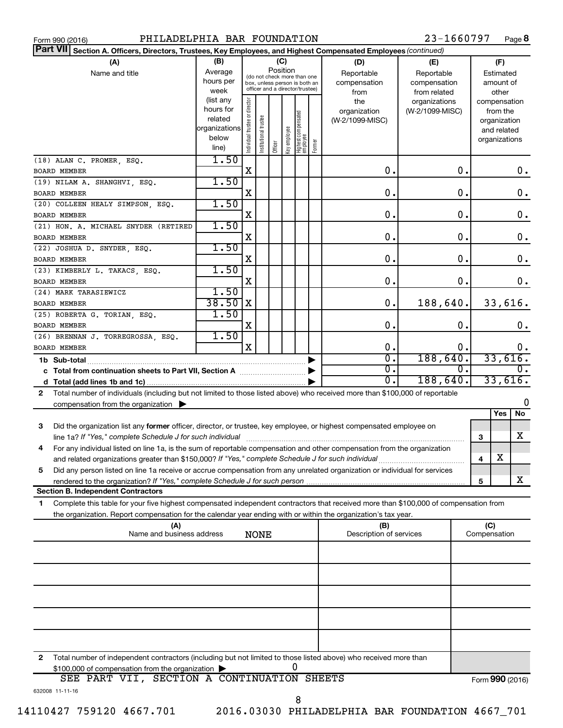| PHILADELPHIA BAR FOUNDATION<br>Form 990 (2016)                                                                                                                                                                                                              |                                                                      |                                |                                                                                                                    |         |              |                                 |        |                                           | 23-1660797                                        |              |                                                                          | Page 8          |
|-------------------------------------------------------------------------------------------------------------------------------------------------------------------------------------------------------------------------------------------------------------|----------------------------------------------------------------------|--------------------------------|--------------------------------------------------------------------------------------------------------------------|---------|--------------|---------------------------------|--------|-------------------------------------------|---------------------------------------------------|--------------|--------------------------------------------------------------------------|-----------------|
| <b>Part VII</b><br>Section A. Officers, Directors, Trustees, Key Employees, and Highest Compensated Employees (continued)                                                                                                                                   |                                                                      |                                |                                                                                                                    |         |              |                                 |        |                                           |                                                   |              |                                                                          |                 |
| (A)<br>Name and title                                                                                                                                                                                                                                       | (B)<br>Average<br>hours per<br>week                                  |                                | (C)<br>Position<br>(do not check more than one<br>box, unless person is both an<br>officer and a director/trustee) |         |              |                                 |        | (D)<br>Reportable<br>compensation<br>from | (E)<br>Reportable<br>compensation<br>from related |              | (F)<br>Estimated<br>amount of<br>other                                   |                 |
|                                                                                                                                                                                                                                                             | (list any<br>hours for<br>related<br>organizations<br>below<br>line) | Individual trustee or director | Institutional trustee                                                                                              | Officer | Key employee | Highest compensated<br>employee | Former | the<br>organization<br>(W-2/1099-MISC)    | organizations<br>(W-2/1099-MISC)                  |              | compensation<br>from the<br>organization<br>and related<br>organizations |                 |
| (18) ALAN C. PROMER, ESQ.<br><b>BOARD MEMBER</b>                                                                                                                                                                                                            | 1.50                                                                 | Χ                              |                                                                                                                    |         |              |                                 |        | 0.                                        | 0.                                                |              |                                                                          | 0.              |
| (19) NILAM A. SHANGHVI, ESQ.<br><b>BOARD MEMBER</b>                                                                                                                                                                                                         | 1.50                                                                 | Χ                              |                                                                                                                    |         |              |                                 |        | 0.                                        | 0.                                                |              |                                                                          | $0$ .           |
| (20) COLLEEN HEALY SIMPSON, ESQ.<br><b>BOARD MEMBER</b>                                                                                                                                                                                                     | 1.50                                                                 | Χ                              |                                                                                                                    |         |              |                                 |        | 0.                                        | 0.                                                |              |                                                                          | 0.              |
| (21) HON. A. MICHAEL SNYDER (RETIRED<br>BOARD MEMBER                                                                                                                                                                                                        | 1.50                                                                 | Χ                              |                                                                                                                    |         |              |                                 |        | 0.                                        | 0.                                                |              |                                                                          | $0$ .           |
| (22) JOSHUA D. SNYDER, ESQ.<br><b>BOARD MEMBER</b>                                                                                                                                                                                                          | 1.50                                                                 | Χ                              |                                                                                                                    |         |              |                                 |        | 0.                                        | 0.                                                |              |                                                                          | $0$ .           |
| (23) KIMBERLY L. TAKACS, ESQ.<br><b>BOARD MEMBER</b>                                                                                                                                                                                                        | 1.50                                                                 | Χ                              |                                                                                                                    |         |              |                                 |        | 0.                                        | 0.                                                |              |                                                                          | $0$ .           |
| (24) MARK TARASIEWICZ<br>BOARD MEMBER                                                                                                                                                                                                                       | 1.50<br>38.50                                                        | X                              |                                                                                                                    |         |              |                                 |        | 0.                                        | 188,640.                                          |              |                                                                          | 33,616.         |
| (25) ROBERTA G. TORIAN, ESQ.<br><b>BOARD MEMBER</b>                                                                                                                                                                                                         | 1.50                                                                 | Χ                              |                                                                                                                    |         |              |                                 |        | 0.                                        | 0.                                                |              |                                                                          | 0.              |
| (26) BRENNAN J. TORREGROSSA, ESQ.<br><b>BOARD MEMBER</b>                                                                                                                                                                                                    | 1.50                                                                 | X                              |                                                                                                                    |         |              |                                 |        | 0.<br>σ.                                  | о.<br>188,640.                                    |              |                                                                          | Ο.<br>33,616.   |
| 1b Sub-total<br>Ο.<br>c Total from continuation sheets to Part VII, Section A [                                                                                                                                                                             |                                                                      |                                |                                                                                                                    | 0.      |              |                                 |        |                                           |                                                   |              |                                                                          |                 |
| Total number of individuals (including but not limited to those listed above) who received more than \$100,000 of reportable<br>$\mathbf{2}$                                                                                                                |                                                                      |                                |                                                                                                                    |         |              |                                 |        | σ.                                        | 188,640.                                          |              |                                                                          | 33,616.         |
| compensation from the organization $\blacktriangleright$                                                                                                                                                                                                    |                                                                      |                                |                                                                                                                    |         |              |                                 |        |                                           |                                                   |              |                                                                          | O               |
| Did the organization list any former officer, director, or trustee, key employee, or highest compensated employee on<br>З<br>line 1a? If "Yes," complete Schedule J for such individual                                                                     |                                                                      |                                |                                                                                                                    |         |              |                                 |        |                                           |                                                   | 3            | Yes                                                                      | No<br>x         |
| For any individual listed on line 1a, is the sum of reportable compensation and other compensation from the organization<br>4<br>and related organizations greater than \$150,000? If "Yes," complete Schedule J for such individual                        |                                                                      |                                |                                                                                                                    |         |              |                                 |        |                                           |                                                   | 4            | х                                                                        |                 |
| Did any person listed on line 1a receive or accrue compensation from any unrelated organization or individual for services<br>5                                                                                                                             |                                                                      |                                |                                                                                                                    |         |              |                                 |        |                                           |                                                   | 5            |                                                                          | x               |
| <b>Section B. Independent Contractors</b>                                                                                                                                                                                                                   |                                                                      |                                |                                                                                                                    |         |              |                                 |        |                                           |                                                   |              |                                                                          |                 |
| Complete this table for your five highest compensated independent contractors that received more than \$100,000 of compensation from<br>1<br>the organization. Report compensation for the calendar year ending with or within the organization's tax year. |                                                                      |                                |                                                                                                                    |         |              |                                 |        |                                           |                                                   |              |                                                                          |                 |
| (A)<br>Name and business address                                                                                                                                                                                                                            |                                                                      |                                | <b>NONE</b>                                                                                                        |         |              |                                 |        | (B)<br>Description of services            |                                                   | Compensation | (C)                                                                      |                 |
|                                                                                                                                                                                                                                                             |                                                                      |                                |                                                                                                                    |         |              |                                 |        |                                           |                                                   |              |                                                                          |                 |
|                                                                                                                                                                                                                                                             |                                                                      |                                |                                                                                                                    |         |              |                                 |        |                                           |                                                   |              |                                                                          |                 |
|                                                                                                                                                                                                                                                             |                                                                      |                                |                                                                                                                    |         |              |                                 |        |                                           |                                                   |              |                                                                          |                 |
|                                                                                                                                                                                                                                                             |                                                                      |                                |                                                                                                                    |         |              |                                 |        |                                           |                                                   |              |                                                                          |                 |
| Total number of independent contractors (including but not limited to those listed above) who received more than<br>2                                                                                                                                       |                                                                      |                                |                                                                                                                    |         |              |                                 |        |                                           |                                                   |              |                                                                          |                 |
| \$100,000 of compensation from the organization ><br>SEE PART VII, SECTION A CONTINUATION SHEETS                                                                                                                                                            |                                                                      |                                |                                                                                                                    |         |              | 0                               |        |                                           |                                                   |              |                                                                          | Form 990 (2016) |
| 632008 11-11-16                                                                                                                                                                                                                                             |                                                                      |                                |                                                                                                                    |         |              |                                 |        |                                           |                                                   |              |                                                                          |                 |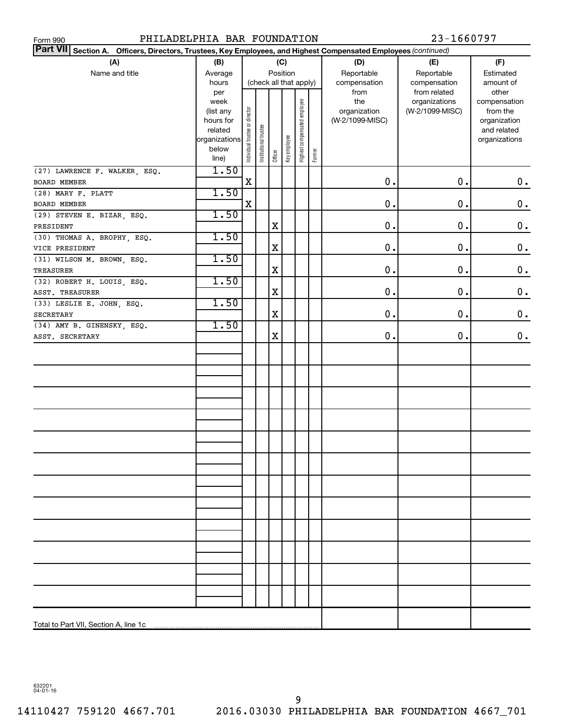| PHILADELPHIA BAR FOUNDATION<br>23-1660797<br>Form 990                                                           |                        |                                |                       |            |              |                              |        |                 |                 |                    |
|-----------------------------------------------------------------------------------------------------------------|------------------------|--------------------------------|-----------------------|------------|--------------|------------------------------|--------|-----------------|-----------------|--------------------|
| Part VII Section A. Officers, Directors, Trustees, Key Employees, and Highest Compensated Employees (continued) |                        |                                |                       |            |              |                              |        |                 |                 |                    |
| (A)                                                                                                             | (B)                    |                                |                       |            | (C)          |                              |        | (D)             | (E)             | (F)                |
| Name and title                                                                                                  | Average                | Position                       |                       | Reportable | Reportable   | Estimated                    |        |                 |                 |                    |
|                                                                                                                 | hours                  |                                |                       |            |              | (check all that apply)       |        | compensation    | compensation    | amount of          |
|                                                                                                                 | per                    |                                |                       |            |              |                              |        | from            | from related    | other              |
|                                                                                                                 | week                   |                                |                       |            |              |                              |        | the             | organizations   | compensation       |
|                                                                                                                 | (list any              |                                |                       |            |              |                              |        | organization    | (W-2/1099-MISC) | from the           |
|                                                                                                                 | hours for              |                                |                       |            |              |                              |        | (W-2/1099-MISC) |                 | organization       |
|                                                                                                                 | related                |                                |                       |            |              |                              |        |                 |                 | and related        |
|                                                                                                                 | organizations<br>below |                                |                       |            |              |                              |        |                 |                 | organizations      |
|                                                                                                                 | line)                  | Individual trustee or director | Institutional trustee | Officer    | Key employee | Highest compensated employee | Former |                 |                 |                    |
|                                                                                                                 | 1.50                   |                                |                       |            |              |                              |        |                 |                 |                    |
| (27) LAWRENCE F. WALKER, ESQ.<br>BOARD MEMBER                                                                   |                        | X                              |                       |            |              |                              |        | 0.              | 0.              | $\boldsymbol{0}$ . |
| (28) MARY F. PLATT                                                                                              | 1.50                   |                                |                       |            |              |                              |        |                 |                 |                    |
|                                                                                                                 |                        | X                              |                       |            |              |                              |        | 0.              | 0.              | $\mathbf 0$ .      |
| BOARD MEMBER                                                                                                    | 1.50                   |                                |                       |            |              |                              |        |                 |                 |                    |
| (29) STEVEN E. BIZAR, ESQ.                                                                                      |                        |                                |                       | X          |              |                              |        | 0.              | 0.              | $\mathbf 0$ .      |
| PRESIDENT                                                                                                       | 1.50                   |                                |                       |            |              |                              |        |                 |                 |                    |
| (30) THOMAS A. BROPHY, ESQ.                                                                                     |                        |                                |                       |            |              |                              |        | 0.              | 0.              |                    |
| VICE PRESIDENT                                                                                                  | 1.50                   |                                |                       | X          |              |                              |        |                 |                 | $\mathbf 0$ .      |
| (31) WILSON M. BROWN, ESQ.                                                                                      |                        |                                |                       |            |              |                              |        | 0.              | 0.              |                    |
| <b>TREASURER</b>                                                                                                | 1.50                   |                                |                       | X          |              |                              |        |                 |                 | $\mathbf 0$ .      |
| (32) ROBERT H. LOUIS, ESQ.                                                                                      |                        |                                |                       |            |              |                              |        |                 |                 |                    |
| ASST. TREASURER                                                                                                 |                        |                                |                       | X          |              |                              |        | 0.              | 0.              | $\mathbf 0$ .      |
| (33) LESLIE E. JOHN, ESQ.                                                                                       | 1.50                   |                                |                       |            |              |                              |        |                 |                 |                    |
| <b>SECRETARY</b>                                                                                                |                        |                                |                       | X          |              |                              |        | 0.              | 0.              | $\boldsymbol{0}$ . |
| (34) AMY B. GINENSKY, ESQ.                                                                                      | 1.50                   |                                |                       |            |              |                              |        |                 |                 |                    |
| ASST. SECRETARY                                                                                                 |                        |                                |                       | X          |              |                              |        | $0$ .           | 0.              | $\mathbf 0$ .      |
|                                                                                                                 |                        |                                |                       |            |              |                              |        |                 |                 |                    |
|                                                                                                                 |                        |                                |                       |            |              |                              |        |                 |                 |                    |
|                                                                                                                 |                        |                                |                       |            |              |                              |        |                 |                 |                    |
|                                                                                                                 |                        |                                |                       |            |              |                              |        |                 |                 |                    |
|                                                                                                                 |                        |                                |                       |            |              |                              |        |                 |                 |                    |
|                                                                                                                 |                        |                                |                       |            |              |                              |        |                 |                 |                    |
|                                                                                                                 |                        |                                |                       |            |              |                              |        |                 |                 |                    |
|                                                                                                                 |                        |                                |                       |            |              |                              |        |                 |                 |                    |
|                                                                                                                 |                        |                                |                       |            |              |                              |        |                 |                 |                    |
|                                                                                                                 |                        |                                |                       |            |              |                              |        |                 |                 |                    |
|                                                                                                                 |                        |                                |                       |            |              |                              |        |                 |                 |                    |
|                                                                                                                 |                        |                                |                       |            |              |                              |        |                 |                 |                    |
|                                                                                                                 |                        |                                |                       |            |              |                              |        |                 |                 |                    |
|                                                                                                                 |                        |                                |                       |            |              |                              |        |                 |                 |                    |
|                                                                                                                 |                        |                                |                       |            |              |                              |        |                 |                 |                    |
|                                                                                                                 |                        |                                |                       |            |              |                              |        |                 |                 |                    |
|                                                                                                                 |                        |                                |                       |            |              |                              |        |                 |                 |                    |
|                                                                                                                 |                        |                                |                       |            |              |                              |        |                 |                 |                    |
|                                                                                                                 |                        |                                |                       |            |              |                              |        |                 |                 |                    |
|                                                                                                                 |                        |                                |                       |            |              |                              |        |                 |                 |                    |
|                                                                                                                 |                        |                                |                       |            |              |                              |        |                 |                 |                    |
|                                                                                                                 |                        |                                |                       |            |              |                              |        |                 |                 |                    |
|                                                                                                                 |                        |                                |                       |            |              |                              |        |                 |                 |                    |
|                                                                                                                 |                        |                                |                       |            |              |                              |        |                 |                 |                    |
|                                                                                                                 |                        |                                |                       |            |              |                              |        |                 |                 |                    |
|                                                                                                                 |                        |                                |                       |            |              |                              |        |                 |                 |                    |

632201 04-01-16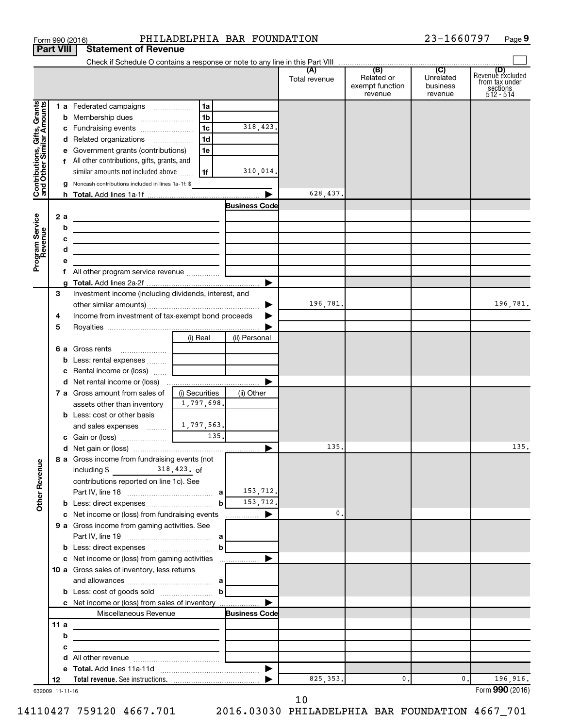|                                                           |                  | Form 990 (2016)                                                                                                      | PHILADELPHIA BAR FOUNDATION                                                                                           |                      |                      |                                          | 23-1660797                       | Page 9                                                             |
|-----------------------------------------------------------|------------------|----------------------------------------------------------------------------------------------------------------------|-----------------------------------------------------------------------------------------------------------------------|----------------------|----------------------|------------------------------------------|----------------------------------|--------------------------------------------------------------------|
|                                                           | <b>Part VIII</b> | <b>Statement of Revenue</b>                                                                                          |                                                                                                                       |                      |                      |                                          |                                  |                                                                    |
|                                                           |                  |                                                                                                                      |                                                                                                                       |                      |                      | (B)                                      | (C)                              |                                                                    |
|                                                           |                  |                                                                                                                      |                                                                                                                       |                      | (A)<br>Total revenue | Related or<br>exempt function<br>revenue | Unrelated<br>business<br>revenue | (D)<br>Revenue excluded<br>from tax under<br>sections<br>512 - 514 |
|                                                           |                  | 1 a Federated campaigns                                                                                              | 1a                                                                                                                    |                      |                      |                                          |                                  |                                                                    |
| Contributions, Gifts, Grants<br>and Other Similar Amounts |                  | <b>b</b> Membership dues                                                                                             | 1 <sub>b</sub>                                                                                                        |                      |                      |                                          |                                  |                                                                    |
|                                                           |                  | c Fundraising events                                                                                                 | 1 <sub>c</sub>                                                                                                        | 318,423.             |                      |                                          |                                  |                                                                    |
|                                                           |                  | d Related organizations                                                                                              | 1 <sub>d</sub>                                                                                                        |                      |                      |                                          |                                  |                                                                    |
|                                                           |                  | e Government grants (contributions)                                                                                  | 1e                                                                                                                    |                      |                      |                                          |                                  |                                                                    |
|                                                           |                  | f All other contributions, gifts, grants, and                                                                        |                                                                                                                       |                      |                      |                                          |                                  |                                                                    |
|                                                           |                  | similar amounts not included above                                                                                   | 1f                                                                                                                    | 310,014.             |                      |                                          |                                  |                                                                    |
|                                                           |                  | g Noncash contributions included in lines 1a-1f: \$                                                                  |                                                                                                                       |                      |                      |                                          |                                  |                                                                    |
|                                                           |                  |                                                                                                                      |                                                                                                                       | <b>Business Code</b> | 628,437.             |                                          |                                  |                                                                    |
|                                                           | 2a               |                                                                                                                      |                                                                                                                       |                      |                      |                                          |                                  |                                                                    |
|                                                           | b                | <u> 1980 - Johann Barbara, martxa alemaniar a</u>                                                                    |                                                                                                                       |                      |                      |                                          |                                  |                                                                    |
|                                                           | с                | <u> 1989 - Johann John Stein, markin fizzar eta idazlea (</u><br><u> 1989 - Johann Barbara, martxa alemaniar arg</u> |                                                                                                                       |                      |                      |                                          |                                  |                                                                    |
| Program Service<br>Revenue                                | d                | <u> 1989 - Johann Stein, mars an deus Amerikaansk kommunister (</u>                                                  |                                                                                                                       |                      |                      |                                          |                                  |                                                                    |
|                                                           | е                |                                                                                                                      |                                                                                                                       |                      |                      |                                          |                                  |                                                                    |
|                                                           | f.               | All other program service revenue                                                                                    |                                                                                                                       |                      |                      |                                          |                                  |                                                                    |
|                                                           | a                |                                                                                                                      |                                                                                                                       |                      |                      |                                          |                                  |                                                                    |
|                                                           | 3                | Investment income (including dividends, interest, and                                                                |                                                                                                                       |                      |                      |                                          |                                  |                                                                    |
|                                                           |                  |                                                                                                                      |                                                                                                                       |                      | 196,781.             |                                          |                                  | 196,781.                                                           |
|                                                           | 4                | Income from investment of tax-exempt bond proceeds                                                                   |                                                                                                                       |                      |                      |                                          |                                  |                                                                    |
|                                                           | 5                |                                                                                                                      |                                                                                                                       |                      |                      |                                          |                                  |                                                                    |
|                                                           |                  |                                                                                                                      | (i) Real                                                                                                              | (ii) Personal        |                      |                                          |                                  |                                                                    |
|                                                           |                  | 6 a Gross rents                                                                                                      |                                                                                                                       |                      |                      |                                          |                                  |                                                                    |
|                                                           |                  | <b>b</b> Less: rental expenses<br>Rental income or (loss)                                                            |                                                                                                                       |                      |                      |                                          |                                  |                                                                    |
|                                                           | с                | d Net rental income or (loss)                                                                                        |                                                                                                                       |                      |                      |                                          |                                  |                                                                    |
|                                                           |                  | 7 a Gross amount from sales of                                                                                       | (i) Securities                                                                                                        | (ii) Other           |                      |                                          |                                  |                                                                    |
|                                                           |                  | assets other than inventory                                                                                          | 1,797,698.                                                                                                            |                      |                      |                                          |                                  |                                                                    |
|                                                           |                  | <b>b</b> Less: cost or other basis                                                                                   |                                                                                                                       |                      |                      |                                          |                                  |                                                                    |
|                                                           |                  | and sales expenses                                                                                                   | 1,797,563.                                                                                                            |                      |                      |                                          |                                  |                                                                    |
|                                                           |                  | c Gain or (loss)                                                                                                     | 135.                                                                                                                  |                      |                      |                                          |                                  |                                                                    |
|                                                           |                  |                                                                                                                      |                                                                                                                       |                      | 135.                 |                                          |                                  | 135.                                                               |
|                                                           |                  | 8 a Gross income from fundraising events (not                                                                        |                                                                                                                       |                      |                      |                                          |                                  |                                                                    |
|                                                           |                  | including $$318,423.$ of                                                                                             |                                                                                                                       |                      |                      |                                          |                                  |                                                                    |
|                                                           |                  | contributions reported on line 1c). See                                                                              |                                                                                                                       |                      |                      |                                          |                                  |                                                                    |
| Other Revenue                                             |                  |                                                                                                                      |                                                                                                                       | 153,712.             |                      |                                          |                                  |                                                                    |
|                                                           |                  | c Net income or (loss) from fundraising events                                                                       | b                                                                                                                     | 153,712.<br>.        | 0.                   |                                          |                                  |                                                                    |
|                                                           |                  | 9 a Gross income from gaming activities. See                                                                         |                                                                                                                       |                      |                      |                                          |                                  |                                                                    |
|                                                           |                  |                                                                                                                      |                                                                                                                       |                      |                      |                                          |                                  |                                                                    |
|                                                           |                  |                                                                                                                      | $\mathbf b$                                                                                                           |                      |                      |                                          |                                  |                                                                    |
|                                                           |                  |                                                                                                                      |                                                                                                                       |                      |                      |                                          |                                  |                                                                    |
|                                                           |                  | 10 a Gross sales of inventory, less returns                                                                          |                                                                                                                       |                      |                      |                                          |                                  |                                                                    |
|                                                           |                  |                                                                                                                      |                                                                                                                       |                      |                      |                                          |                                  |                                                                    |
|                                                           |                  | <b>b</b> Less: cost of goods sold $\ldots$ $\ldots$ $\ldots$ <b>b</b>                                                |                                                                                                                       |                      |                      |                                          |                                  |                                                                    |
|                                                           |                  | c Net income or (loss) from sales of inventory                                                                       |                                                                                                                       |                      |                      |                                          |                                  |                                                                    |
|                                                           |                  | Miscellaneous Revenue                                                                                                |                                                                                                                       | <b>Business Code</b> |                      |                                          |                                  |                                                                    |
|                                                           | 11a              | the control of the control of the control of the control of the control of                                           |                                                                                                                       |                      |                      |                                          |                                  |                                                                    |
|                                                           | b                | <u> 1989 - Johann Barn, amerikansk politiker (d. 1989)</u>                                                           |                                                                                                                       |                      |                      |                                          |                                  |                                                                    |
|                                                           | с                |                                                                                                                      | <u> 1989 - John Harry Harry Harry Harry Harry Harry Harry Harry Harry Harry Harry Harry Harry Harry Harry Harry H</u> |                      |                      |                                          |                                  |                                                                    |
|                                                           | d<br>е           |                                                                                                                      |                                                                                                                       |                      |                      |                                          |                                  |                                                                    |
|                                                           | 12               |                                                                                                                      |                                                                                                                       |                      | 825, 353.            | 0.                                       | 0.                               | 196,916.                                                           |
|                                                           | 632009 11-11-16  |                                                                                                                      |                                                                                                                       |                      |                      |                                          |                                  | Form 990 (2016)                                                    |

<sup>632009 11-11-16</sup>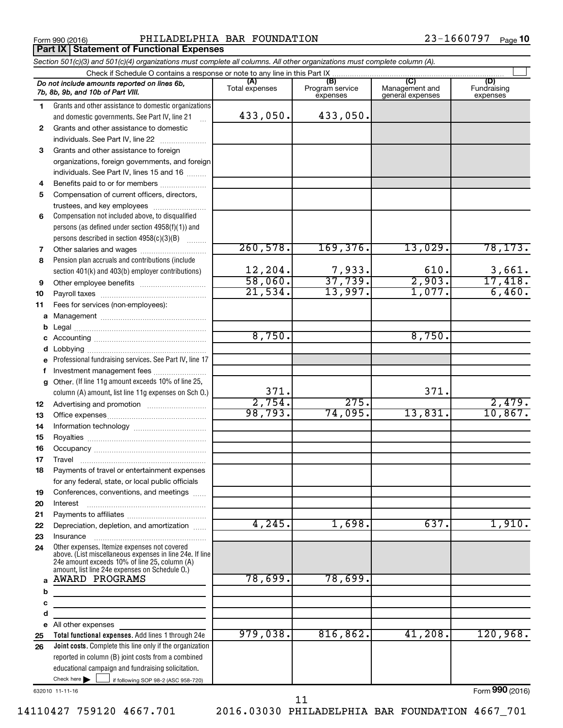Form 990 (2016) PHILADELPHIA BAR FOUNDATION 23-1660797 page **Part IX Statement of Functional Expenses** 

|    | Section 501(c)(3) and 501(c)(4) organizations must complete all columns. All other organizations must complete column (A).                                |                         |                                    |                                           |                                |
|----|-----------------------------------------------------------------------------------------------------------------------------------------------------------|-------------------------|------------------------------------|-------------------------------------------|--------------------------------|
|    | Check if Schedule O contains a response or note to any line in this Part IX                                                                               |                         |                                    |                                           |                                |
|    | Do not include amounts reported on lines 6b,<br>7b, 8b, 9b, and 10b of Part VIII.                                                                         | (A)<br>Total expenses   | (B)<br>Program service<br>expenses | (C)<br>Management and<br>general expenses | (D)<br>Fundraising<br>expenses |
| 1. | Grants and other assistance to domestic organizations                                                                                                     |                         |                                    |                                           |                                |
|    | and domestic governments. See Part IV, line 21                                                                                                            | 433,050.                | 433,050.                           |                                           |                                |
| 2  | Grants and other assistance to domestic                                                                                                                   |                         |                                    |                                           |                                |
|    | individuals. See Part IV, line 22                                                                                                                         |                         |                                    |                                           |                                |
| 3  | Grants and other assistance to foreign                                                                                                                    |                         |                                    |                                           |                                |
|    | organizations, foreign governments, and foreign                                                                                                           |                         |                                    |                                           |                                |
|    | individuals. See Part IV, lines 15 and 16                                                                                                                 |                         |                                    |                                           |                                |
| 4  | Benefits paid to or for members                                                                                                                           |                         |                                    |                                           |                                |
| 5  | Compensation of current officers, directors,                                                                                                              |                         |                                    |                                           |                                |
|    | trustees, and key employees                                                                                                                               |                         |                                    |                                           |                                |
| 6  | Compensation not included above, to disqualified                                                                                                          |                         |                                    |                                           |                                |
|    | persons (as defined under section 4958(f)(1)) and                                                                                                         |                         |                                    |                                           |                                |
|    | persons described in section 4958(c)(3)(B)                                                                                                                |                         |                                    |                                           |                                |
| 7  |                                                                                                                                                           | 260,578.                | 169,376.                           | 13,029.                                   | 78, 173.                       |
| 8  | Pension plan accruals and contributions (include                                                                                                          |                         |                                    |                                           |                                |
|    | section 401(k) and 403(b) employer contributions)                                                                                                         | $\frac{12,204}{58,060}$ | $\frac{7,933}{37,739}$             | 610.                                      | $\frac{3,661}{17,418}$         |
| 9  | Other employee benefits                                                                                                                                   |                         |                                    | $\frac{1}{2,903}$                         |                                |
| 10 |                                                                                                                                                           | 21,534.                 | 13,997.                            | 1,077.                                    | 6,460.                         |
| 11 | Fees for services (non-employees):                                                                                                                        |                         |                                    |                                           |                                |
| a  |                                                                                                                                                           |                         |                                    |                                           |                                |
| b  |                                                                                                                                                           |                         |                                    |                                           |                                |
|    |                                                                                                                                                           | 8,750.                  |                                    | 8,750.                                    |                                |
| d  |                                                                                                                                                           |                         |                                    |                                           |                                |
|    | Professional fundraising services. See Part IV, line 17                                                                                                   |                         |                                    |                                           |                                |
|    | Investment management fees                                                                                                                                |                         |                                    |                                           |                                |
| g  | Other. (If line 11g amount exceeds 10% of line 25,                                                                                                        |                         |                                    |                                           |                                |
|    | column (A) amount, list line 11g expenses on Sch O.)                                                                                                      | 371.                    |                                    | 371.                                      |                                |
| 12 |                                                                                                                                                           | 2,754.                  | 275.                               |                                           | 2,479.                         |
| 13 |                                                                                                                                                           | 98,793.                 | 74,095.                            | 13,831.                                   | 10,867.                        |
| 14 |                                                                                                                                                           |                         |                                    |                                           |                                |
| 15 |                                                                                                                                                           |                         |                                    |                                           |                                |
| 16 |                                                                                                                                                           |                         |                                    |                                           |                                |
| 17 |                                                                                                                                                           |                         |                                    |                                           |                                |
| 18 | Payments of travel or entertainment expenses                                                                                                              |                         |                                    |                                           |                                |
|    | for any federal, state, or local public officials                                                                                                         |                         |                                    |                                           |                                |
| 19 | Conferences, conventions, and meetings                                                                                                                    |                         |                                    |                                           |                                |
| 20 | Interest                                                                                                                                                  |                         |                                    |                                           |                                |
| 21 |                                                                                                                                                           |                         |                                    |                                           |                                |
| 22 | Depreciation, depletion, and amortization                                                                                                                 | 4,245.                  | 1,698.                             | 637.                                      | 1,910.                         |
| 23 | Insurance                                                                                                                                                 |                         |                                    |                                           |                                |
| 24 | Other expenses. Itemize expenses not covered<br>above. (List miscellaneous expenses in line 24e. If line<br>24e amount exceeds 10% of line 25, column (A) |                         |                                    |                                           |                                |
|    | amount, list line 24e expenses on Schedule O.)                                                                                                            |                         |                                    |                                           |                                |
| a  | AWARD PROGRAMS                                                                                                                                            | 78,699.                 | 78,699.                            |                                           |                                |
| b  |                                                                                                                                                           |                         |                                    |                                           |                                |
| c  | <u> 1980 - Johann Barbara, martin a</u>                                                                                                                   |                         |                                    |                                           |                                |
| d  |                                                                                                                                                           |                         |                                    |                                           |                                |
|    | e All other expenses                                                                                                                                      |                         |                                    |                                           |                                |
| 25 | Total functional expenses. Add lines 1 through 24e                                                                                                        | 979,038.                | 816, 862.                          | 41,208.                                   | 120,968.                       |
| 26 | Joint costs. Complete this line only if the organization                                                                                                  |                         |                                    |                                           |                                |
|    | reported in column (B) joint costs from a combined                                                                                                        |                         |                                    |                                           |                                |
|    | educational campaign and fundraising solicitation.                                                                                                        |                         |                                    |                                           |                                |
|    | Check here $\blacktriangleright$<br>if following SOP 98-2 (ASC 958-720)                                                                                   |                         |                                    |                                           |                                |

632010 11-11-16

Form (2016) **990**

11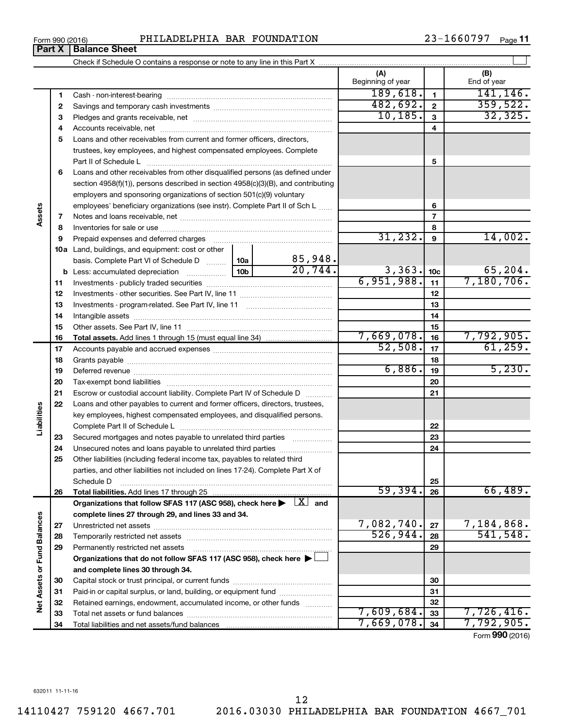**34**

Total liabilities and net assets/fund balances

**Net Assets or Fund Balances**

**Vet Assets or Fund Balances** 

**34**

7,669,078. 7,792,905.

| Form 990 (2016) | PHILADELPHIA BAR FOUNDATION | 23-1660797<br>Page 11 |
|-----------------|-----------------------------|-----------------------|
|-----------------|-----------------------------|-----------------------|

Check if Schedule O contains a response or note to any line in this Part X

**(A) (B) 1 2 3** Pledges and grants receivable, net ~~~~~~~~~~~~~~~~~~~~~ **4** Accounts receivable, net ~~~~~~~~~~~~~~~~~~~~~~~~~~ **5** Loans and other receivables from current and former officers, directors, **6** Loans and other receivables from other disqualified persons (as defined under **7 8 9 10 a** Land, buildings, and equipment: cost or other **11** Investments - publicly traded securities ~~~~~~~~~~~~~~~~~~~ **12** Investments - other securities. See Part IV, line 11 ~~~~~~~~~~~~~~ **13 14 15 16 17 18 19 20 21 22 23 24 25 26 27 28 29 30 31 32 33 1 2 3 4 5 6 7 8 9 10c 11 12 13 14 15 16 17 18 19 20 21 22 23 24 25 26 b** Less: accumulated depreciation  $\ldots$  [10b basis. Complete Part VI of Schedule D  $\frac{1}{10}$  10a **Total assets.**  Add lines 1 through 15 (must equal line 34) **Total liabilities.**  Add lines 17 through 25 Organizations that follow SFAS 117 (ASC 958), check here  $\blacktriangleright$   $\boxed{X}$  and **complete lines 27 through 29, and lines 33 and 34. 27 28 29 Organizations that do not follow SFAS 117 (ASC 958), check here** | † **and complete lines 30 through 34. 30 31 32 33** Beginning of year | | End of year Cash - non-interest-bearing ~~~~~~~~~~~~~~~~~~~~~~~~~ Savings and temporary cash investments ~~~~~~~~~~~~~~~~~~ trustees, key employees, and highest compensated employees. Complete Part II of Schedule L ~~~~~~~~~~~~~~~~~~~~~~~~~~~~ section 4958(f)(1)), persons described in section 4958(c)(3)(B), and contributing employers and sponsoring organizations of section 501(c)(9) voluntary employees' beneficiary organizations (see instr). Complete Part II of Sch L ...... Notes and loans receivable, net ~~~~~~~~~~~~~~~~~~~~~~~ Inventories for sale or use ~~~~~~~~~~~~~~~~~~~~~~~~~~ Prepaid expenses and deferred charges ~~~~~~~~~~~~~~~~~~ Investments - program-related. See Part IV, line 11 ~~~~~~~~~~~~~ Intangible assets ~~~~~~~~~~~~~~~~~~~~~~~~~~~~~~ Other assets. See Part IV, line 11 ~~~~~~~~~~~~~~~~~~~~~~ Accounts payable and accrued expenses ~~~~~~~~~~~~~~~~~~ Grants payable ~~~~~~~~~~~~~~~~~~~~~~~~~~~~~~~ Deferred revenue ~~~~~~~~~~~~~~~~~~~~~~~~~~~~~~ Tax-exempt bond liabilities ~~~~~~~~~~~~~~~~~~~~~~~~~ Escrow or custodial account liability. Complete Part IV of Schedule D ........... Loans and other payables to current and former officers, directors, trustees, key employees, highest compensated employees, and disqualified persons. Complete Part II of Schedule L ~~~~~~~~~~~~~~~~~~~~~~~ Secured mortgages and notes payable to unrelated third parties  $\ldots$  ................. Unsecured notes and loans payable to unrelated third parties ~~~~~~~~ Other liabilities (including federal income tax, payables to related third parties, and other liabilities not included on lines 17-24). Complete Part X of Schedule D ~~~~~~~~~~~~~~~~~~~~~~~~~~~~~~~~ Unrestricted net assets ~~~~~~~~~~~~~~~~~~~~~~~~~~~ Temporarily restricted net assets ~~~~~~~~~~~~~~~~~~~~~~ Permanently restricted net assets ~~~~~~~~~~~~~~~~~~~~~ Capital stock or trust principal, or current funds ~~~~~~~~~~~~~~~ Paid-in or capital surplus, or land, building, or equipment fund ....................... Retained earnings, endowment, accumulated income, or other funds ............ Total net assets or fund balances ~~~~~~~~~~~~~~~~~~~~~~  $189,618.$  1<br>141,146. 482,692. 359,522.  $10, 185.$  3<br> $32, 325.$  $31,232.$  9  $14,002.$ 85,948.  $20,744.$  3,363.  $10c$  65,204.  $6,951,988.$   $11$  7,180,706. 7,669,078. 7,792,905. 52,508. 61,259.  $6,886.$  19  $5,230.$ 59,394. 66,489.  $7,082,740.$   $27$  7,184,868. 526,944. 541,548. 7,609,684. <sub>33</sub> 7,726,416.

 $\perp$ 

Form (2016) **990**

# **Part X** | **Balance Sheet**

**Assets**

**Liabilities**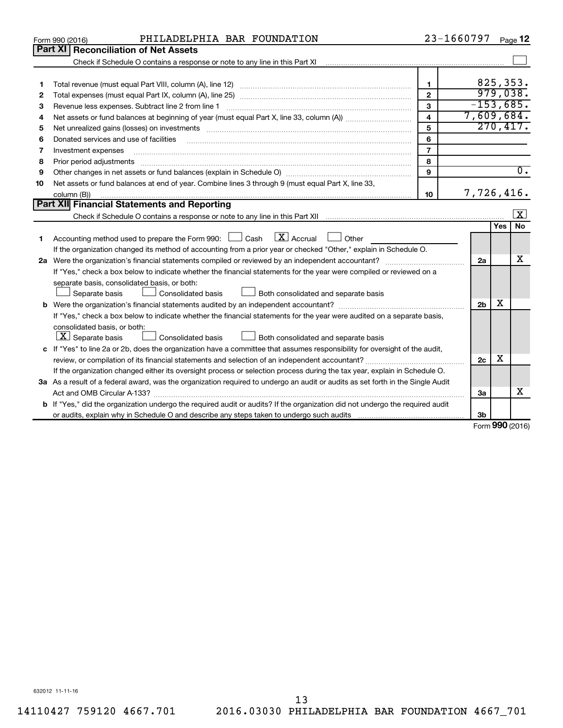| Part XI<br><b>Reconciliation of Net Assets</b><br>825, 353.<br>1<br>1<br>979,038.<br>$\mathbf{2}$<br>2<br>$-153,685.$<br>3<br>Revenue less expenses. Subtract line 2 from line 1<br>3<br>7,609,684.<br>$\overline{\mathbf{4}}$<br>4<br>270, 417.<br>5<br>Net unrealized gains (losses) on investments [11] matter contracts and the state of the state of the state of the state of the state of the state of the state of the state of the state of the state of the state of the stat<br>5<br>6<br>Donated services and use of facilities<br>6<br>$\overline{7}$<br>7<br>Investment expenses<br>8<br>8<br>Prior period adjustments material contents and content and content and content and content and content and content and content and content and content and content and content and content and content and content and content<br>$\overline{0}$ .<br>9<br>9<br>Net assets or fund balances at end of year. Combine lines 3 through 9 (must equal Part X, line 33,<br>10<br>7,726,416.<br>10<br>column (B))<br>Part XII Financial Statements and Reporting<br>$\vert X \vert$<br>Yes<br><b>No</b><br>$\mathbf{X}$ Accrual<br>Accounting method used to prepare the Form 990: [130] Cash<br>    Other<br>1.<br>If the organization changed its method of accounting from a prior year or checked "Other," explain in Schedule O.<br>x<br>2a<br>If "Yes," check a box below to indicate whether the financial statements for the year were compiled or reviewed on a<br>separate basis, consolidated basis, or both:<br>Separate basis<br>Consolidated basis<br>Both consolidated and separate basis<br>х<br>2 <sub>b</sub><br>If "Yes," check a box below to indicate whether the financial statements for the year were audited on a separate basis,<br>consolidated basis, or both:<br>$ \mathbf{X} $ Separate basis<br>Consolidated basis<br>Both consolidated and separate basis<br>c If "Yes" to line 2a or 2b, does the organization have a committee that assumes responsibility for oversight of the audit,<br>х<br>2 <sub>c</sub><br>If the organization changed either its oversight process or selection process during the tax year, explain in Schedule O.<br>3a As a result of a federal award, was the organization required to undergo an audit or audits as set forth in the Single Audit<br>x<br>За<br><b>b</b> If "Yes," did the organization undergo the required audit or audits? If the organization did not undergo the required audit<br>3b<br>$000 \omega$ | PHILADELPHIA BAR FOUNDATION<br>Form 990 (2016) | 23-1660797 | Page 12 |
|------------------------------------------------------------------------------------------------------------------------------------------------------------------------------------------------------------------------------------------------------------------------------------------------------------------------------------------------------------------------------------------------------------------------------------------------------------------------------------------------------------------------------------------------------------------------------------------------------------------------------------------------------------------------------------------------------------------------------------------------------------------------------------------------------------------------------------------------------------------------------------------------------------------------------------------------------------------------------------------------------------------------------------------------------------------------------------------------------------------------------------------------------------------------------------------------------------------------------------------------------------------------------------------------------------------------------------------------------------------------------------------------------------------------------------------------------------------------------------------------------------------------------------------------------------------------------------------------------------------------------------------------------------------------------------------------------------------------------------------------------------------------------------------------------------------------------------------------------------------------------------------------------------------------------------------------------------------------------------------------------------------------------------------------------------------------------------------------------------------------------------------------------------------------------------------------------------------------------------------------------------------------------------------------------------------------------------------------------------------------------------------------------------------------------------------------------------------------------------------------|------------------------------------------------|------------|---------|
|                                                                                                                                                                                                                                                                                                                                                                                                                                                                                                                                                                                                                                                                                                                                                                                                                                                                                                                                                                                                                                                                                                                                                                                                                                                                                                                                                                                                                                                                                                                                                                                                                                                                                                                                                                                                                                                                                                                                                                                                                                                                                                                                                                                                                                                                                                                                                                                                                                                                                                |                                                |            |         |
|                                                                                                                                                                                                                                                                                                                                                                                                                                                                                                                                                                                                                                                                                                                                                                                                                                                                                                                                                                                                                                                                                                                                                                                                                                                                                                                                                                                                                                                                                                                                                                                                                                                                                                                                                                                                                                                                                                                                                                                                                                                                                                                                                                                                                                                                                                                                                                                                                                                                                                |                                                |            |         |
|                                                                                                                                                                                                                                                                                                                                                                                                                                                                                                                                                                                                                                                                                                                                                                                                                                                                                                                                                                                                                                                                                                                                                                                                                                                                                                                                                                                                                                                                                                                                                                                                                                                                                                                                                                                                                                                                                                                                                                                                                                                                                                                                                                                                                                                                                                                                                                                                                                                                                                |                                                |            |         |
|                                                                                                                                                                                                                                                                                                                                                                                                                                                                                                                                                                                                                                                                                                                                                                                                                                                                                                                                                                                                                                                                                                                                                                                                                                                                                                                                                                                                                                                                                                                                                                                                                                                                                                                                                                                                                                                                                                                                                                                                                                                                                                                                                                                                                                                                                                                                                                                                                                                                                                |                                                |            |         |
|                                                                                                                                                                                                                                                                                                                                                                                                                                                                                                                                                                                                                                                                                                                                                                                                                                                                                                                                                                                                                                                                                                                                                                                                                                                                                                                                                                                                                                                                                                                                                                                                                                                                                                                                                                                                                                                                                                                                                                                                                                                                                                                                                                                                                                                                                                                                                                                                                                                                                                |                                                |            |         |
|                                                                                                                                                                                                                                                                                                                                                                                                                                                                                                                                                                                                                                                                                                                                                                                                                                                                                                                                                                                                                                                                                                                                                                                                                                                                                                                                                                                                                                                                                                                                                                                                                                                                                                                                                                                                                                                                                                                                                                                                                                                                                                                                                                                                                                                                                                                                                                                                                                                                                                |                                                |            |         |
|                                                                                                                                                                                                                                                                                                                                                                                                                                                                                                                                                                                                                                                                                                                                                                                                                                                                                                                                                                                                                                                                                                                                                                                                                                                                                                                                                                                                                                                                                                                                                                                                                                                                                                                                                                                                                                                                                                                                                                                                                                                                                                                                                                                                                                                                                                                                                                                                                                                                                                |                                                |            |         |
|                                                                                                                                                                                                                                                                                                                                                                                                                                                                                                                                                                                                                                                                                                                                                                                                                                                                                                                                                                                                                                                                                                                                                                                                                                                                                                                                                                                                                                                                                                                                                                                                                                                                                                                                                                                                                                                                                                                                                                                                                                                                                                                                                                                                                                                                                                                                                                                                                                                                                                |                                                |            |         |
|                                                                                                                                                                                                                                                                                                                                                                                                                                                                                                                                                                                                                                                                                                                                                                                                                                                                                                                                                                                                                                                                                                                                                                                                                                                                                                                                                                                                                                                                                                                                                                                                                                                                                                                                                                                                                                                                                                                                                                                                                                                                                                                                                                                                                                                                                                                                                                                                                                                                                                |                                                |            |         |
|                                                                                                                                                                                                                                                                                                                                                                                                                                                                                                                                                                                                                                                                                                                                                                                                                                                                                                                                                                                                                                                                                                                                                                                                                                                                                                                                                                                                                                                                                                                                                                                                                                                                                                                                                                                                                                                                                                                                                                                                                                                                                                                                                                                                                                                                                                                                                                                                                                                                                                |                                                |            |         |
|                                                                                                                                                                                                                                                                                                                                                                                                                                                                                                                                                                                                                                                                                                                                                                                                                                                                                                                                                                                                                                                                                                                                                                                                                                                                                                                                                                                                                                                                                                                                                                                                                                                                                                                                                                                                                                                                                                                                                                                                                                                                                                                                                                                                                                                                                                                                                                                                                                                                                                |                                                |            |         |
|                                                                                                                                                                                                                                                                                                                                                                                                                                                                                                                                                                                                                                                                                                                                                                                                                                                                                                                                                                                                                                                                                                                                                                                                                                                                                                                                                                                                                                                                                                                                                                                                                                                                                                                                                                                                                                                                                                                                                                                                                                                                                                                                                                                                                                                                                                                                                                                                                                                                                                |                                                |            |         |
|                                                                                                                                                                                                                                                                                                                                                                                                                                                                                                                                                                                                                                                                                                                                                                                                                                                                                                                                                                                                                                                                                                                                                                                                                                                                                                                                                                                                                                                                                                                                                                                                                                                                                                                                                                                                                                                                                                                                                                                                                                                                                                                                                                                                                                                                                                                                                                                                                                                                                                |                                                |            |         |
|                                                                                                                                                                                                                                                                                                                                                                                                                                                                                                                                                                                                                                                                                                                                                                                                                                                                                                                                                                                                                                                                                                                                                                                                                                                                                                                                                                                                                                                                                                                                                                                                                                                                                                                                                                                                                                                                                                                                                                                                                                                                                                                                                                                                                                                                                                                                                                                                                                                                                                |                                                |            |         |
|                                                                                                                                                                                                                                                                                                                                                                                                                                                                                                                                                                                                                                                                                                                                                                                                                                                                                                                                                                                                                                                                                                                                                                                                                                                                                                                                                                                                                                                                                                                                                                                                                                                                                                                                                                                                                                                                                                                                                                                                                                                                                                                                                                                                                                                                                                                                                                                                                                                                                                |                                                |            |         |
|                                                                                                                                                                                                                                                                                                                                                                                                                                                                                                                                                                                                                                                                                                                                                                                                                                                                                                                                                                                                                                                                                                                                                                                                                                                                                                                                                                                                                                                                                                                                                                                                                                                                                                                                                                                                                                                                                                                                                                                                                                                                                                                                                                                                                                                                                                                                                                                                                                                                                                |                                                |            |         |
|                                                                                                                                                                                                                                                                                                                                                                                                                                                                                                                                                                                                                                                                                                                                                                                                                                                                                                                                                                                                                                                                                                                                                                                                                                                                                                                                                                                                                                                                                                                                                                                                                                                                                                                                                                                                                                                                                                                                                                                                                                                                                                                                                                                                                                                                                                                                                                                                                                                                                                |                                                |            |         |
|                                                                                                                                                                                                                                                                                                                                                                                                                                                                                                                                                                                                                                                                                                                                                                                                                                                                                                                                                                                                                                                                                                                                                                                                                                                                                                                                                                                                                                                                                                                                                                                                                                                                                                                                                                                                                                                                                                                                                                                                                                                                                                                                                                                                                                                                                                                                                                                                                                                                                                |                                                |            |         |
|                                                                                                                                                                                                                                                                                                                                                                                                                                                                                                                                                                                                                                                                                                                                                                                                                                                                                                                                                                                                                                                                                                                                                                                                                                                                                                                                                                                                                                                                                                                                                                                                                                                                                                                                                                                                                                                                                                                                                                                                                                                                                                                                                                                                                                                                                                                                                                                                                                                                                                |                                                |            |         |
|                                                                                                                                                                                                                                                                                                                                                                                                                                                                                                                                                                                                                                                                                                                                                                                                                                                                                                                                                                                                                                                                                                                                                                                                                                                                                                                                                                                                                                                                                                                                                                                                                                                                                                                                                                                                                                                                                                                                                                                                                                                                                                                                                                                                                                                                                                                                                                                                                                                                                                |                                                |            |         |
|                                                                                                                                                                                                                                                                                                                                                                                                                                                                                                                                                                                                                                                                                                                                                                                                                                                                                                                                                                                                                                                                                                                                                                                                                                                                                                                                                                                                                                                                                                                                                                                                                                                                                                                                                                                                                                                                                                                                                                                                                                                                                                                                                                                                                                                                                                                                                                                                                                                                                                |                                                |            |         |
|                                                                                                                                                                                                                                                                                                                                                                                                                                                                                                                                                                                                                                                                                                                                                                                                                                                                                                                                                                                                                                                                                                                                                                                                                                                                                                                                                                                                                                                                                                                                                                                                                                                                                                                                                                                                                                                                                                                                                                                                                                                                                                                                                                                                                                                                                                                                                                                                                                                                                                |                                                |            |         |
|                                                                                                                                                                                                                                                                                                                                                                                                                                                                                                                                                                                                                                                                                                                                                                                                                                                                                                                                                                                                                                                                                                                                                                                                                                                                                                                                                                                                                                                                                                                                                                                                                                                                                                                                                                                                                                                                                                                                                                                                                                                                                                                                                                                                                                                                                                                                                                                                                                                                                                |                                                |            |         |
|                                                                                                                                                                                                                                                                                                                                                                                                                                                                                                                                                                                                                                                                                                                                                                                                                                                                                                                                                                                                                                                                                                                                                                                                                                                                                                                                                                                                                                                                                                                                                                                                                                                                                                                                                                                                                                                                                                                                                                                                                                                                                                                                                                                                                                                                                                                                                                                                                                                                                                |                                                |            |         |
|                                                                                                                                                                                                                                                                                                                                                                                                                                                                                                                                                                                                                                                                                                                                                                                                                                                                                                                                                                                                                                                                                                                                                                                                                                                                                                                                                                                                                                                                                                                                                                                                                                                                                                                                                                                                                                                                                                                                                                                                                                                                                                                                                                                                                                                                                                                                                                                                                                                                                                |                                                |            |         |
|                                                                                                                                                                                                                                                                                                                                                                                                                                                                                                                                                                                                                                                                                                                                                                                                                                                                                                                                                                                                                                                                                                                                                                                                                                                                                                                                                                                                                                                                                                                                                                                                                                                                                                                                                                                                                                                                                                                                                                                                                                                                                                                                                                                                                                                                                                                                                                                                                                                                                                |                                                |            |         |
|                                                                                                                                                                                                                                                                                                                                                                                                                                                                                                                                                                                                                                                                                                                                                                                                                                                                                                                                                                                                                                                                                                                                                                                                                                                                                                                                                                                                                                                                                                                                                                                                                                                                                                                                                                                                                                                                                                                                                                                                                                                                                                                                                                                                                                                                                                                                                                                                                                                                                                |                                                |            |         |
|                                                                                                                                                                                                                                                                                                                                                                                                                                                                                                                                                                                                                                                                                                                                                                                                                                                                                                                                                                                                                                                                                                                                                                                                                                                                                                                                                                                                                                                                                                                                                                                                                                                                                                                                                                                                                                                                                                                                                                                                                                                                                                                                                                                                                                                                                                                                                                                                                                                                                                |                                                |            |         |
|                                                                                                                                                                                                                                                                                                                                                                                                                                                                                                                                                                                                                                                                                                                                                                                                                                                                                                                                                                                                                                                                                                                                                                                                                                                                                                                                                                                                                                                                                                                                                                                                                                                                                                                                                                                                                                                                                                                                                                                                                                                                                                                                                                                                                                                                                                                                                                                                                                                                                                |                                                |            |         |
|                                                                                                                                                                                                                                                                                                                                                                                                                                                                                                                                                                                                                                                                                                                                                                                                                                                                                                                                                                                                                                                                                                                                                                                                                                                                                                                                                                                                                                                                                                                                                                                                                                                                                                                                                                                                                                                                                                                                                                                                                                                                                                                                                                                                                                                                                                                                                                                                                                                                                                |                                                |            |         |
|                                                                                                                                                                                                                                                                                                                                                                                                                                                                                                                                                                                                                                                                                                                                                                                                                                                                                                                                                                                                                                                                                                                                                                                                                                                                                                                                                                                                                                                                                                                                                                                                                                                                                                                                                                                                                                                                                                                                                                                                                                                                                                                                                                                                                                                                                                                                                                                                                                                                                                |                                                |            |         |
|                                                                                                                                                                                                                                                                                                                                                                                                                                                                                                                                                                                                                                                                                                                                                                                                                                                                                                                                                                                                                                                                                                                                                                                                                                                                                                                                                                                                                                                                                                                                                                                                                                                                                                                                                                                                                                                                                                                                                                                                                                                                                                                                                                                                                                                                                                                                                                                                                                                                                                |                                                |            |         |
|                                                                                                                                                                                                                                                                                                                                                                                                                                                                                                                                                                                                                                                                                                                                                                                                                                                                                                                                                                                                                                                                                                                                                                                                                                                                                                                                                                                                                                                                                                                                                                                                                                                                                                                                                                                                                                                                                                                                                                                                                                                                                                                                                                                                                                                                                                                                                                                                                                                                                                |                                                |            |         |
|                                                                                                                                                                                                                                                                                                                                                                                                                                                                                                                                                                                                                                                                                                                                                                                                                                                                                                                                                                                                                                                                                                                                                                                                                                                                                                                                                                                                                                                                                                                                                                                                                                                                                                                                                                                                                                                                                                                                                                                                                                                                                                                                                                                                                                                                                                                                                                                                                                                                                                |                                                |            |         |

Form (2016) **990**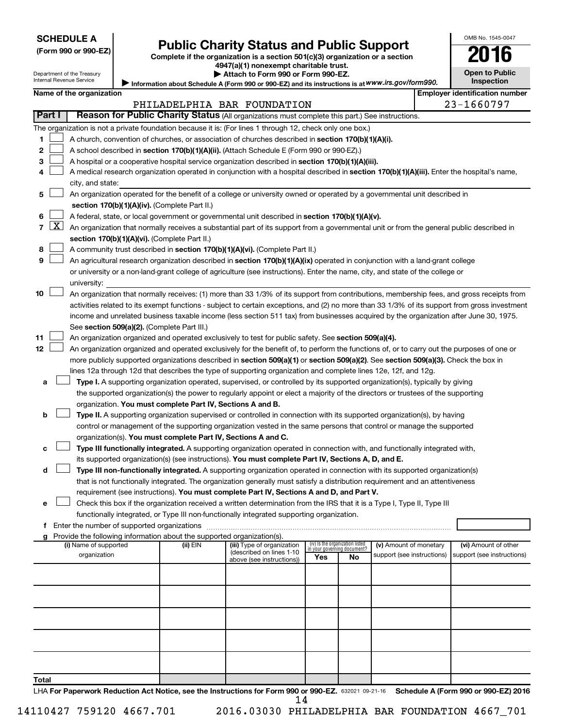# Form 990 or 990-EZ) **Public Charity Status and Public Support**<br>
Complete if the organization is a section 501(c)(3) organization or a section<br> **2016**

**4947(a)(1) nonexempt charitable trust. | Attach to Form 990 or Form 990-EZ.** 

|  | <b>Open to Public</b> |
|--|-----------------------|
|  | <b>Inspection</b>     |
|  |                       |

OMB No. 1545-0047

Department of the Treasury a unon<br>nal Re

| "mation about Schedule A (Form 990 or 990-EZ) and its instructions is at WWW.irs.gov/form990. |  |
|-----------------------------------------------------------------------------------------------|--|
|                                                                                               |  |

|       |                     | internal Revenue Service                      |                                                                        | Information about Schedule A (Form 990 or 990-EZ) and its instructions is at WWW.irs.gov/form990.                                             |     |                                 |                            | <b>Inspection</b>                                  |
|-------|---------------------|-----------------------------------------------|------------------------------------------------------------------------|-----------------------------------------------------------------------------------------------------------------------------------------------|-----|---------------------------------|----------------------------|----------------------------------------------------|
|       |                     | Name of the organization                      |                                                                        |                                                                                                                                               |     |                                 |                            | <b>Employer identification number</b>              |
|       |                     |                                               |                                                                        | PHILADELPHIA BAR FOUNDATION                                                                                                                   |     |                                 |                            | 23-1660797                                         |
|       | Part I              |                                               |                                                                        | Reason for Public Charity Status (All organizations must complete this part.) See instructions.                                               |     |                                 |                            |                                                    |
|       |                     |                                               |                                                                        | The organization is not a private foundation because it is: (For lines 1 through 12, check only one box.)                                     |     |                                 |                            |                                                    |
| 1     |                     |                                               |                                                                        | A church, convention of churches, or association of churches described in section 170(b)(1)(A)(i).                                            |     |                                 |                            |                                                    |
| 2     |                     |                                               |                                                                        | A school described in section 170(b)(1)(A)(ii). (Attach Schedule E (Form 990 or 990-EZ).)                                                     |     |                                 |                            |                                                    |
| 3     |                     |                                               |                                                                        | A hospital or a cooperative hospital service organization described in section 170(b)(1)(A)(iii).                                             |     |                                 |                            |                                                    |
| 4     |                     |                                               |                                                                        | A medical research organization operated in conjunction with a hospital described in section 170(b)(1)(A)(iii). Enter the hospital's name,    |     |                                 |                            |                                                    |
|       |                     | city, and state:                              |                                                                        |                                                                                                                                               |     |                                 |                            |                                                    |
| 5     |                     |                                               |                                                                        | An organization operated for the benefit of a college or university owned or operated by a governmental unit described in                     |     |                                 |                            |                                                    |
|       |                     |                                               | section 170(b)(1)(A)(iv). (Complete Part II.)                          |                                                                                                                                               |     |                                 |                            |                                                    |
| 6     |                     |                                               |                                                                        | A federal, state, or local government or governmental unit described in section 170(b)(1)(A)(v).                                              |     |                                 |                            |                                                    |
| 7     | $\lfloor x \rfloor$ |                                               |                                                                        | An organization that normally receives a substantial part of its support from a governmental unit or from the general public described in     |     |                                 |                            |                                                    |
|       |                     | section 170(b)(1)(A)(vi). (Complete Part II.) |                                                                        |                                                                                                                                               |     |                                 |                            |                                                    |
| 8     |                     |                                               |                                                                        | A community trust described in section 170(b)(1)(A)(vi). (Complete Part II.)                                                                  |     |                                 |                            |                                                    |
| 9     |                     |                                               |                                                                        | An agricultural research organization described in section 170(b)(1)(A)(ix) operated in conjunction with a land-grant college                 |     |                                 |                            |                                                    |
|       |                     |                                               |                                                                        | or university or a non-land-grant college of agriculture (see instructions). Enter the name, city, and state of the college or                |     |                                 |                            |                                                    |
|       |                     | university:                                   |                                                                        |                                                                                                                                               |     |                                 |                            |                                                    |
| 10    |                     |                                               |                                                                        | An organization that normally receives: (1) more than 33 1/3% of its support from contributions, membership fees, and gross receipts from     |     |                                 |                            |                                                    |
|       |                     |                                               |                                                                        | activities related to its exempt functions - subject to certain exceptions, and (2) no more than 33 1/3% of its support from gross investment |     |                                 |                            |                                                    |
|       |                     |                                               |                                                                        | income and unrelated business taxable income (less section 511 tax) from businesses acquired by the organization after June 30, 1975.         |     |                                 |                            |                                                    |
|       |                     | See section 509(a)(2). (Complete Part III.)   |                                                                        |                                                                                                                                               |     |                                 |                            |                                                    |
| 11    |                     |                                               |                                                                        | An organization organized and operated exclusively to test for public safety. See section 509(a)(4).                                          |     |                                 |                            |                                                    |
| 12    |                     |                                               |                                                                        | An organization organized and operated exclusively for the benefit of, to perform the functions of, or to carry out the purposes of one or    |     |                                 |                            |                                                    |
|       |                     |                                               |                                                                        | more publicly supported organizations described in section 509(a)(1) or section 509(a)(2). See section 509(a)(3). Check the box in            |     |                                 |                            |                                                    |
|       |                     |                                               |                                                                        |                                                                                                                                               |     |                                 |                            |                                                    |
|       |                     |                                               |                                                                        | lines 12a through 12d that describes the type of supporting organization and complete lines 12e, 12f, and 12g.                                |     |                                 |                            |                                                    |
| а     |                     |                                               |                                                                        | Type I. A supporting organization operated, supervised, or controlled by its supported organization(s), typically by giving                   |     |                                 |                            |                                                    |
|       |                     |                                               |                                                                        | the supported organization(s) the power to regularly appoint or elect a majority of the directors or trustees of the supporting               |     |                                 |                            |                                                    |
|       |                     |                                               | organization. You must complete Part IV, Sections A and B.             |                                                                                                                                               |     |                                 |                            |                                                    |
| b     |                     |                                               |                                                                        | Type II. A supporting organization supervised or controlled in connection with its supported organization(s), by having                       |     |                                 |                            |                                                    |
|       |                     |                                               |                                                                        | control or management of the supporting organization vested in the same persons that control or manage the supported                          |     |                                 |                            |                                                    |
|       |                     |                                               | organization(s). You must complete Part IV, Sections A and C.          |                                                                                                                                               |     |                                 |                            |                                                    |
| с     |                     |                                               |                                                                        | Type III functionally integrated. A supporting organization operated in connection with, and functionally integrated with,                    |     |                                 |                            |                                                    |
|       |                     |                                               |                                                                        | its supported organization(s) (see instructions). You must complete Part IV, Sections A, D, and E.                                            |     |                                 |                            |                                                    |
| d     |                     |                                               |                                                                        | Type III non-functionally integrated. A supporting organization operated in connection with its supported organization(s)                     |     |                                 |                            |                                                    |
|       |                     |                                               |                                                                        | that is not functionally integrated. The organization generally must satisfy a distribution requirement and an attentiveness                  |     |                                 |                            |                                                    |
|       |                     |                                               |                                                                        | requirement (see instructions). You must complete Part IV, Sections A and D, and Part V.                                                      |     |                                 |                            |                                                    |
| е     |                     |                                               |                                                                        | Check this box if the organization received a written determination from the IRS that it is a Type I, Type II, Type III                       |     |                                 |                            |                                                    |
|       |                     |                                               |                                                                        | functionally integrated, or Type III non-functionally integrated supporting organization.                                                     |     |                                 |                            |                                                    |
|       |                     |                                               |                                                                        |                                                                                                                                               |     |                                 |                            |                                                    |
| g     |                     |                                               | Provide the following information about the supported organization(s). |                                                                                                                                               |     | (iv) Is the organization listed |                            |                                                    |
|       |                     | (i) Name of supported                         | (ii) EIN                                                               | (iii) Type of organization<br>(described on lines 1-10                                                                                        |     | in your governing document?     | (v) Amount of monetary     | (vi) Amount of other<br>support (see instructions) |
|       |                     | organization                                  |                                                                        | above (see instructions))                                                                                                                     | Yes | No                              | support (see instructions) |                                                    |
|       |                     |                                               |                                                                        |                                                                                                                                               |     |                                 |                            |                                                    |
|       |                     |                                               |                                                                        |                                                                                                                                               |     |                                 |                            |                                                    |
|       |                     |                                               |                                                                        |                                                                                                                                               |     |                                 |                            |                                                    |
|       |                     |                                               |                                                                        |                                                                                                                                               |     |                                 |                            |                                                    |
|       |                     |                                               |                                                                        |                                                                                                                                               |     |                                 |                            |                                                    |
|       |                     |                                               |                                                                        |                                                                                                                                               |     |                                 |                            |                                                    |
|       |                     |                                               |                                                                        |                                                                                                                                               |     |                                 |                            |                                                    |
|       |                     |                                               |                                                                        |                                                                                                                                               |     |                                 |                            |                                                    |
|       |                     |                                               |                                                                        |                                                                                                                                               |     |                                 |                            |                                                    |
|       |                     |                                               |                                                                        |                                                                                                                                               |     |                                 |                            |                                                    |
| Total |                     |                                               |                                                                        |                                                                                                                                               |     |                                 |                            |                                                    |

LHA For Paperwork Reduction Act Notice, see the Instructions for Form 990 or 990-EZ. 632021 09-21-16 Schedule A (Form 990 or 990-EZ) 2016 14

14110427 759120 4667.701 2016.03030 PHILADELPHIA BAR FOUNDATION 4667\_701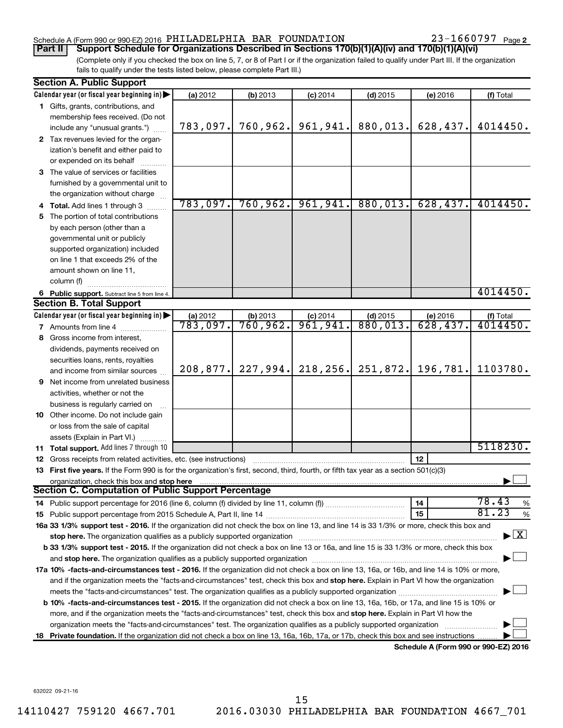## Schedule A (Form 990 or 990-EZ) 2016 Page PHILADELPHIA BAR FOUNDATION 23-1660797

23-1660797 Page 2

(Complete only if you checked the box on line 5, 7, or 8 of Part I or if the organization failed to qualify under Part III. If the organization fails to qualify under the tests listed below, please complete Part III.) **Part II Support Schedule for Organizations Described in Sections 170(b)(1)(A)(iv) and 170(b)(1)(A)(vi)**

|    | <b>Section A. Public Support</b>                                                                                                                                                                                               |                        |            |                     |            |                                      |                         |
|----|--------------------------------------------------------------------------------------------------------------------------------------------------------------------------------------------------------------------------------|------------------------|------------|---------------------|------------|--------------------------------------|-------------------------|
|    | Calendar year (or fiscal year beginning in)                                                                                                                                                                                    | (a) 2012               | (b) 2013   | $(c)$ 2014          | $(d)$ 2015 | (e) 2016                             | (f) Total               |
|    | 1 Gifts, grants, contributions, and                                                                                                                                                                                            |                        |            |                     |            |                                      |                         |
|    | membership fees received. (Do not                                                                                                                                                                                              |                        |            |                     |            |                                      |                         |
|    | include any "unusual grants.")                                                                                                                                                                                                 | 783,097.               | 760, 962.  | 961,941.            | 880,013.   | 628,437.                             | 4014450.                |
|    | 2 Tax revenues levied for the organ-                                                                                                                                                                                           |                        |            |                     |            |                                      |                         |
|    | ization's benefit and either paid to                                                                                                                                                                                           |                        |            |                     |            |                                      |                         |
|    | or expended on its behalf                                                                                                                                                                                                      |                        |            |                     |            |                                      |                         |
|    | 3 The value of services or facilities                                                                                                                                                                                          |                        |            |                     |            |                                      |                         |
|    | furnished by a governmental unit to                                                                                                                                                                                            |                        |            |                     |            |                                      |                         |
|    | the organization without charge                                                                                                                                                                                                |                        |            |                     |            |                                      |                         |
|    | Total. Add lines 1 through 3                                                                                                                                                                                                   | 783,097.               | 760,962.   | 961,941.            | 880,013.   | 628, 437.                            | 4014450.                |
| 5. | The portion of total contributions                                                                                                                                                                                             |                        |            |                     |            |                                      |                         |
|    | by each person (other than a                                                                                                                                                                                                   |                        |            |                     |            |                                      |                         |
|    | governmental unit or publicly                                                                                                                                                                                                  |                        |            |                     |            |                                      |                         |
|    | supported organization) included                                                                                                                                                                                               |                        |            |                     |            |                                      |                         |
|    | on line 1 that exceeds 2% of the                                                                                                                                                                                               |                        |            |                     |            |                                      |                         |
|    | amount shown on line 11,                                                                                                                                                                                                       |                        |            |                     |            |                                      |                         |
|    | column (f)                                                                                                                                                                                                                     |                        |            |                     |            |                                      |                         |
|    | 6 Public support. Subtract line 5 from line 4.                                                                                                                                                                                 |                        |            |                     |            |                                      | 4014450.                |
|    | <b>Section B. Total Support</b>                                                                                                                                                                                                |                        |            |                     |            |                                      |                         |
|    | Calendar year (or fiscal year beginning in)                                                                                                                                                                                    | (a) 2012               | $(b)$ 2013 | $\frac{c}{961,941}$ | $(d)$ 2015 | (e) 2016                             | (f) Total               |
|    | <b>7</b> Amounts from line 4                                                                                                                                                                                                   | $\overline{783,097}$ . | 760,962.   |                     | 880,013.   | 628,437.                             | 4014450.                |
| 8  | Gross income from interest,                                                                                                                                                                                                    |                        |            |                     |            |                                      |                         |
|    | dividends, payments received on                                                                                                                                                                                                |                        |            |                     |            |                                      |                         |
|    | securities loans, rents, royalties                                                                                                                                                                                             |                        |            |                     |            |                                      |                         |
|    | and income from similar sources                                                                                                                                                                                                | 208,877.               | 227,994.   | 218,256.            | 251,872.   | 196,781.                             | 1103780.                |
|    | <b>9</b> Net income from unrelated business                                                                                                                                                                                    |                        |            |                     |            |                                      |                         |
|    | activities, whether or not the                                                                                                                                                                                                 |                        |            |                     |            |                                      |                         |
|    | business is regularly carried on                                                                                                                                                                                               |                        |            |                     |            |                                      |                         |
|    | 10 Other income. Do not include gain                                                                                                                                                                                           |                        |            |                     |            |                                      |                         |
|    | or loss from the sale of capital                                                                                                                                                                                               |                        |            |                     |            |                                      |                         |
|    | assets (Explain in Part VI.)                                                                                                                                                                                                   |                        |            |                     |            |                                      | 5118230.                |
|    | 11 Total support. Add lines 7 through 10                                                                                                                                                                                       |                        |            |                     |            |                                      |                         |
|    | <b>12</b> Gross receipts from related activities, etc. (see instructions)                                                                                                                                                      |                        |            |                     |            | 12                                   |                         |
|    | 13 First five years. If the Form 990 is for the organization's first, second, third, fourth, or fifth tax year as a section 501(c)(3)                                                                                          |                        |            |                     |            |                                      |                         |
|    | organization, check this box and stop here<br>Section C. Computation of Public Support Percentage                                                                                                                              |                        |            |                     |            |                                      |                         |
|    | 14 Public support percentage for 2016 (line 6, column (f) divided by line 11, column (f) <i>mummumumum</i>                                                                                                                     |                        |            |                     |            | 14                                   | 78.43<br>%              |
|    |                                                                                                                                                                                                                                |                        |            |                     |            | 15                                   | 81.23<br>$\%$           |
|    | 16a 33 1/3% support test - 2016. If the organization did not check the box on line 13, and line 14 is 33 1/3% or more, check this box and                                                                                      |                        |            |                     |            |                                      |                         |
|    | stop here. The organization qualifies as a publicly supported organization manufactured content and the content of the state of the state of the state of the state of the state of the state of the state of the state of the |                        |            |                     |            |                                      | $\overline{\mathbf{X}}$ |
|    | b 33 1/3% support test - 2015. If the organization did not check a box on line 13 or 16a, and line 15 is 33 1/3% or more, check this box                                                                                       |                        |            |                     |            |                                      |                         |
|    |                                                                                                                                                                                                                                |                        |            |                     |            |                                      |                         |
|    | 17a 10% -facts-and-circumstances test - 2016. If the organization did not check a box on line 13, 16a, or 16b, and line 14 is 10% or more,                                                                                     |                        |            |                     |            |                                      |                         |
|    | and if the organization meets the "facts-and-circumstances" test, check this box and stop here. Explain in Part VI how the organization                                                                                        |                        |            |                     |            |                                      |                         |
|    | meets the "facts-and-circumstances" test. The organization qualifies as a publicly supported organization <i>manumumumum</i>                                                                                                   |                        |            |                     |            |                                      |                         |
|    | b 10% -facts-and-circumstances test - 2015. If the organization did not check a box on line 13, 16a, 16b, or 17a, and line 15 is 10% or                                                                                        |                        |            |                     |            |                                      |                         |
|    | more, and if the organization meets the "facts-and-circumstances" test, check this box and stop here. Explain in Part VI how the                                                                                               |                        |            |                     |            |                                      |                         |
|    | organization meets the "facts-and-circumstances" test. The organization qualifies as a publicly supported organization                                                                                                         |                        |            |                     |            |                                      |                         |
| 18 | Private foundation. If the organization did not check a box on line 13, 16a, 16b, 17a, or 17b, check this box and see instructions                                                                                             |                        |            |                     |            |                                      |                         |
|    |                                                                                                                                                                                                                                |                        |            |                     |            | Schedule A (Form 990 or 990-EZ) 2016 |                         |

632022 09-21-16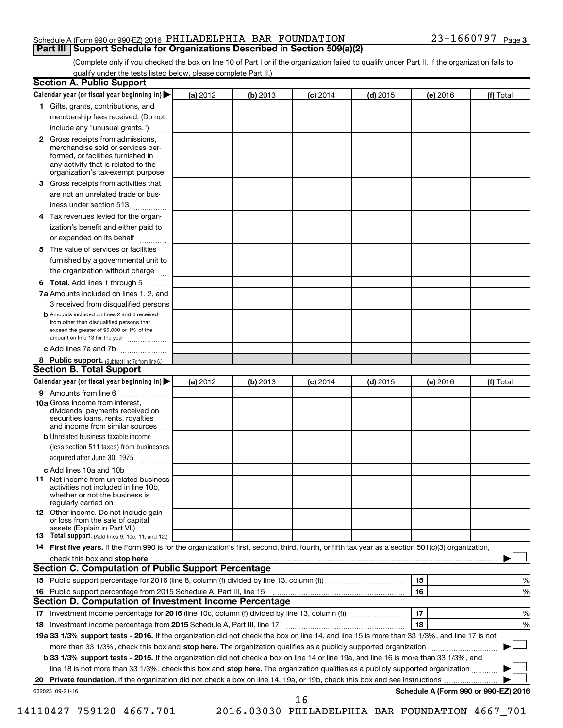## Schedule A (Form 990 or 990-EZ) 2016 Page PHILADELPHIA BAR FOUNDATION 23-1660797 **Part III Support Schedule for Organizations Described in Section 509(a)(2)**

(Complete only if you checked the box on line 10 of Part I or if the organization failed to qualify under Part II. If the organization fails to qualify under the tests listed below, please complete Part II.)

|              | Calendar year (or fiscal year beginning in)                                                                                                                                                                                                                              | (a) 2012 | (b) 2013 | $(c)$ 2014 | $(d)$ 2015 | (e) 2016 | (f) Total                                       |   |
|--------------|--------------------------------------------------------------------------------------------------------------------------------------------------------------------------------------------------------------------------------------------------------------------------|----------|----------|------------|------------|----------|-------------------------------------------------|---|
|              | 1 Gifts, grants, contributions, and                                                                                                                                                                                                                                      |          |          |            |            |          |                                                 |   |
|              | membership fees received. (Do not                                                                                                                                                                                                                                        |          |          |            |            |          |                                                 |   |
|              | include any "unusual grants.")                                                                                                                                                                                                                                           |          |          |            |            |          |                                                 |   |
| $\mathbf{2}$ | Gross receipts from admissions,<br>merchandise sold or services per-<br>formed, or facilities furnished in<br>any activity that is related to the<br>organization's tax-exempt purpose                                                                                   |          |          |            |            |          |                                                 |   |
| 3            | Gross receipts from activities that                                                                                                                                                                                                                                      |          |          |            |            |          |                                                 |   |
|              | are not an unrelated trade or bus-                                                                                                                                                                                                                                       |          |          |            |            |          |                                                 |   |
|              | iness under section 513                                                                                                                                                                                                                                                  |          |          |            |            |          |                                                 |   |
| 4            | Tax revenues levied for the organ-                                                                                                                                                                                                                                       |          |          |            |            |          |                                                 |   |
|              | ization's benefit and either paid to<br>or expended on its behalf<br>.                                                                                                                                                                                                   |          |          |            |            |          |                                                 |   |
| 5            | The value of services or facilities                                                                                                                                                                                                                                      |          |          |            |            |          |                                                 |   |
|              | furnished by a governmental unit to<br>the organization without charge                                                                                                                                                                                                   |          |          |            |            |          |                                                 |   |
|              | Total. Add lines 1 through 5                                                                                                                                                                                                                                             |          |          |            |            |          |                                                 |   |
| 6            |                                                                                                                                                                                                                                                                          |          |          |            |            |          |                                                 |   |
|              | 7a Amounts included on lines 1, 2, and<br>3 received from disqualified persons                                                                                                                                                                                           |          |          |            |            |          |                                                 |   |
|              | <b>b</b> Amounts included on lines 2 and 3 received                                                                                                                                                                                                                      |          |          |            |            |          |                                                 |   |
|              | from other than disqualified persons that<br>exceed the greater of \$5,000 or 1% of the<br>amount on line 13 for the year                                                                                                                                                |          |          |            |            |          |                                                 |   |
|              | c Add lines 7a and 7b                                                                                                                                                                                                                                                    |          |          |            |            |          |                                                 |   |
|              | 8 Public support. (Subtract line 7c from line 6.)                                                                                                                                                                                                                        |          |          |            |            |          |                                                 |   |
|              | <b>Section B. Total Support</b>                                                                                                                                                                                                                                          |          |          |            |            |          |                                                 |   |
|              | Calendar year (or fiscal year beginning in)                                                                                                                                                                                                                              | (a) 2012 | (b) 2013 | $(c)$ 2014 | $(d)$ 2015 | (e) 2016 | (f) Total                                       |   |
|              | 9 Amounts from line 6                                                                                                                                                                                                                                                    |          |          |            |            |          |                                                 |   |
|              | <b>10a</b> Gross income from interest,<br>dividends, payments received on<br>securities loans, rents, royalties<br>and income from similar sources                                                                                                                       |          |          |            |            |          |                                                 |   |
|              | <b>b</b> Unrelated business taxable income                                                                                                                                                                                                                               |          |          |            |            |          |                                                 |   |
|              | (less section 511 taxes) from businesses<br>acquired after June 30, 1975                                                                                                                                                                                                 |          |          |            |            |          |                                                 |   |
|              | c Add lines 10a and 10b                                                                                                                                                                                                                                                  |          |          |            |            |          |                                                 |   |
| 11           | Net income from unrelated business<br>activities not included in line 10b.<br>whether or not the business is<br>regularly carried on                                                                                                                                     |          |          |            |            |          |                                                 |   |
|              | <b>12</b> Other income. Do not include gain<br>or loss from the sale of capital<br>assets (Explain in Part VI.)                                                                                                                                                          |          |          |            |            |          |                                                 |   |
|              | 13 Total support. (Add lines 9, 10c, 11, and 12.)                                                                                                                                                                                                                        |          |          |            |            |          |                                                 |   |
|              | 14 First five years. If the Form 990 is for the organization's first, second, third, fourth, or fifth tax year as a section 501(c)(3) organization,                                                                                                                      |          |          |            |            |          |                                                 |   |
|              | check this box and stop here <b>construction and construction</b> check this box and stop here <b>constructed</b> and construction of the construction of the construction of the construction of the construction of the construction o                                 |          |          |            |            |          |                                                 |   |
|              | Section C. Computation of Public Support Percentage                                                                                                                                                                                                                      |          |          |            |            |          |                                                 |   |
|              |                                                                                                                                                                                                                                                                          |          |          |            |            | 15       |                                                 | % |
|              |                                                                                                                                                                                                                                                                          |          |          |            |            | 16       |                                                 | % |
|              | Section D. Computation of Investment Income Percentage                                                                                                                                                                                                                   |          |          |            |            |          |                                                 |   |
|              |                                                                                                                                                                                                                                                                          |          |          |            |            | 17       |                                                 | % |
|              |                                                                                                                                                                                                                                                                          |          |          |            |            | 18       |                                                 | % |
|              | 19a 33 1/3% support tests - 2016. If the organization did not check the box on line 14, and line 15 is more than 33 1/3%, and line 17 is not                                                                                                                             |          |          |            |            |          |                                                 |   |
|              | more than 33 1/3%, check this box and stop here. The organization qualifies as a publicly supported organization                                                                                                                                                         |          |          |            |            |          |                                                 |   |
|              | b 33 1/3% support tests - 2015. If the organization did not check a box on line 14 or line 19a, and line 16 is more than 33 1/3%, and<br>line 18 is not more than 33 1/3%, check this box and stop here. The organization qualifies as a publicly supported organization |          |          |            |            |          |                                                 |   |
|              |                                                                                                                                                                                                                                                                          |          |          |            |            |          |                                                 |   |
|              | 632023 09-21-16                                                                                                                                                                                                                                                          |          |          |            |            |          | Schedule A (Form 990 or 990-EZ) 2016            |   |
|              |                                                                                                                                                                                                                                                                          |          |          | 16         |            |          |                                                 |   |
|              | 14110427 759120 4667.701                                                                                                                                                                                                                                                 |          |          |            |            |          | 2016.03030 PHILADELPHIA BAR FOUNDATION 4667_701 |   |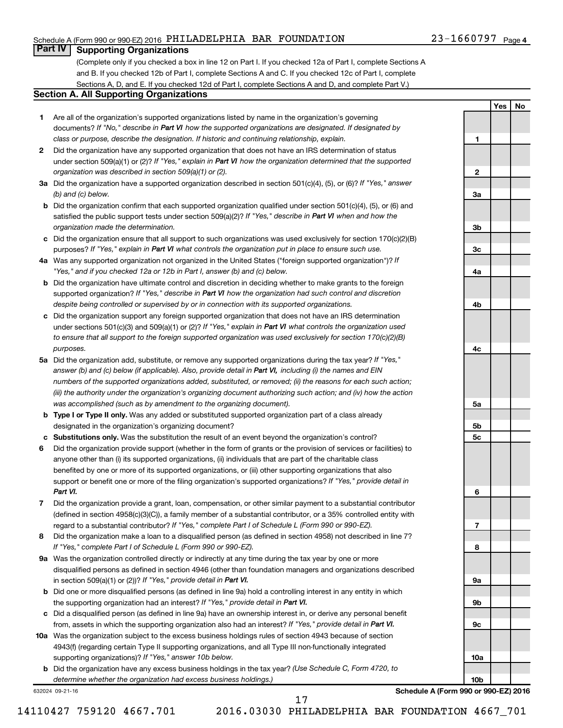## Schedule A (Form 990 or 990-EZ) 2016 Page PHILADELPHIA BAR FOUNDATION 23-1660797

## **Part IV Supporting Organizations**

(Complete only if you checked a box in line 12 on Part I. If you checked 12a of Part I, complete Sections A and B. If you checked 12b of Part I, complete Sections A and C. If you checked 12c of Part I, complete Sections A, D, and E. If you checked 12d of Part I, complete Sections A and D, and complete Part V.)

## **Section A. All Supporting Organizations**

- **1** Are all of the organization's supported organizations listed by name in the organization's governing documents? If "No," describe in Part VI how the supported organizations are designated. If designated by *class or purpose, describe the designation. If historic and continuing relationship, explain.*
- **2** Did the organization have any supported organization that does not have an IRS determination of status under section 509(a)(1) or (2)? If "Yes," explain in Part VI how the organization determined that the supported *organization was described in section 509(a)(1) or (2).*
- **3a** Did the organization have a supported organization described in section 501(c)(4), (5), or (6)? If "Yes," answer *(b) and (c) below.*
- **b** Did the organization confirm that each supported organization qualified under section 501(c)(4), (5), or (6) and satisfied the public support tests under section 509(a)(2)? If "Yes," describe in Part VI when and how the *organization made the determination.*
- **c** Did the organization ensure that all support to such organizations was used exclusively for section 170(c)(2)(B) purposes? If "Yes," explain in Part VI what controls the organization put in place to ensure such use.
- **4 a** *If* Was any supported organization not organized in the United States ("foreign supported organization")? *"Yes," and if you checked 12a or 12b in Part I, answer (b) and (c) below.*
- **b** Did the organization have ultimate control and discretion in deciding whether to make grants to the foreign supported organization? If "Yes," describe in Part VI how the organization had such control and discretion *despite being controlled or supervised by or in connection with its supported organizations.*
- **c** Did the organization support any foreign supported organization that does not have an IRS determination under sections 501(c)(3) and 509(a)(1) or (2)? If "Yes," explain in Part VI what controls the organization used *to ensure that all support to the foreign supported organization was used exclusively for section 170(c)(2)(B) purposes.*
- **5a** Did the organization add, substitute, or remove any supported organizations during the tax year? If "Yes," answer (b) and (c) below (if applicable). Also, provide detail in Part VI, including (i) the names and EIN *numbers of the supported organizations added, substituted, or removed; (ii) the reasons for each such action; (iii) the authority under the organization's organizing document authorizing such action; and (iv) how the action was accomplished (such as by amendment to the organizing document).*
- **b** Type I or Type II only. Was any added or substituted supported organization part of a class already designated in the organization's organizing document?
- **c Substitutions only.**  Was the substitution the result of an event beyond the organization's control?
- **6** Did the organization provide support (whether in the form of grants or the provision of services or facilities) to support or benefit one or more of the filing organization's supported organizations? If "Yes," provide detail in anyone other than (i) its supported organizations, (ii) individuals that are part of the charitable class benefited by one or more of its supported organizations, or (iii) other supporting organizations that also *Part VI.*
- **7** Did the organization provide a grant, loan, compensation, or other similar payment to a substantial contributor regard to a substantial contributor? If "Yes," complete Part I of Schedule L (Form 990 or 990-EZ). (defined in section 4958(c)(3)(C)), a family member of a substantial contributor, or a 35% controlled entity with
- **8** Did the organization make a loan to a disqualified person (as defined in section 4958) not described in line 7? *If "Yes," complete Part I of Schedule L (Form 990 or 990-EZ).*
- **9 a** Was the organization controlled directly or indirectly at any time during the tax year by one or more in section 509(a)(1) or (2))? If "Yes," provide detail in Part VI. disqualified persons as defined in section 4946 (other than foundation managers and organizations described
- **b** Did one or more disqualified persons (as defined in line 9a) hold a controlling interest in any entity in which the supporting organization had an interest? If "Yes," provide detail in Part VI.
- **c** Did a disqualified person (as defined in line 9a) have an ownership interest in, or derive any personal benefit from, assets in which the supporting organization also had an interest? If "Yes," provide detail in Part VI.
- **10 a** Was the organization subject to the excess business holdings rules of section 4943 because of section supporting organizations)? If "Yes," answer 10b below. 4943(f) (regarding certain Type II supporting organizations, and all Type III non-functionally integrated
	- **b** Did the organization have any excess business holdings in the tax year? (Use Schedule C, Form 4720, to *determine whether the organization had excess business holdings.)*

632024 09-21-16

**10b Schedule A (Form 990 or 990-EZ) 2016**

**1**

**2**

**3a**

**3b**

**3c**

**4a**

**4b**

**4c**

**5a**

**5b 5c**

**6**

**7**

**8**

**9a**

**9b**

**9c**

**10a**

**Yes No**

14110427 759120 4667.701 2016.03030 PHILADELPHIA BAR FOUNDATION 4667\_701

17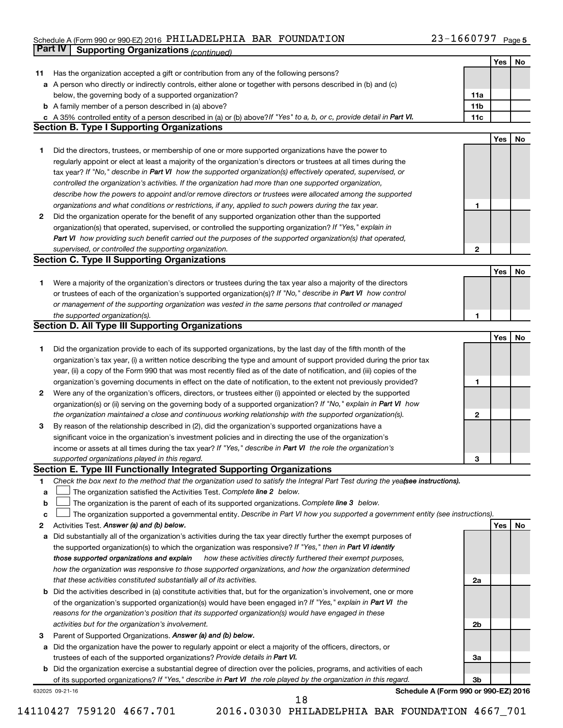### Schedule A (Form 990 or 990-EZ) 2016 PHILLADELIPHIA BAR FOUNDATION Z3-I66U797\_Page PHILADELPHIA BAR FOUNDATION 23-1660797

|    | <b>Part IV</b>  | <b>Supporting Organizations (continued)</b>                                                                                     |                 |     |    |
|----|-----------------|---------------------------------------------------------------------------------------------------------------------------------|-----------------|-----|----|
|    |                 |                                                                                                                                 |                 | Yes | No |
| 11 |                 | Has the organization accepted a gift or contribution from any of the following persons?                                         |                 |     |    |
| а  |                 | A person who directly or indirectly controls, either alone or together with persons described in (b) and (c)                    |                 |     |    |
|    |                 | below, the governing body of a supported organization?                                                                          | 11a             |     |    |
|    |                 | <b>b</b> A family member of a person described in (a) above?                                                                    | 11 <sub>b</sub> |     |    |
|    |                 | c A 35% controlled entity of a person described in (a) or (b) above? If "Yes" to a, b, or c, provide detail in Part VI.         | 11c             |     |    |
|    |                 | <b>Section B. Type I Supporting Organizations</b>                                                                               |                 |     |    |
|    |                 |                                                                                                                                 |                 | Yes | No |
| 1. |                 | Did the directors, trustees, or membership of one or more supported organizations have the power to                             |                 |     |    |
|    |                 | regularly appoint or elect at least a majority of the organization's directors or trustees at all times during the              |                 |     |    |
|    |                 | tax year? If "No," describe in Part VI how the supported organization(s) effectively operated, supervised, or                   |                 |     |    |
|    |                 | controlled the organization's activities. If the organization had more than one supported organization,                         |                 |     |    |
|    |                 | describe how the powers to appoint and/or remove directors or trustees were allocated among the supported                       |                 |     |    |
|    |                 | organizations and what conditions or restrictions, if any, applied to such powers during the tax year.                          | 1               |     |    |
| 2  |                 | Did the organization operate for the benefit of any supported organization other than the supported                             |                 |     |    |
|    |                 | organization(s) that operated, supervised, or controlled the supporting organization? If "Yes," explain in                      |                 |     |    |
|    |                 | Part VI how providing such benefit carried out the purposes of the supported organization(s) that operated,                     |                 |     |    |
|    |                 | supervised, or controlled the supporting organization.                                                                          | $\mathbf{2}$    |     |    |
|    |                 | <b>Section C. Type II Supporting Organizations</b>                                                                              |                 |     |    |
|    |                 |                                                                                                                                 |                 | Yes | No |
| 1. |                 | Were a majority of the organization's directors or trustees during the tax year also a majority of the directors                |                 |     |    |
|    |                 | or trustees of each of the organization's supported organization(s)? If "No," describe in Part VI how control                   |                 |     |    |
|    |                 | or management of the supporting organization was vested in the same persons that controlled or managed                          |                 |     |    |
|    |                 | the supported organization(s).                                                                                                  | 1               |     |    |
|    |                 | <b>Section D. All Type III Supporting Organizations</b>                                                                         |                 |     |    |
|    |                 |                                                                                                                                 |                 | Yes | No |
| 1  |                 | Did the organization provide to each of its supported organizations, by the last day of the fifth month of the                  |                 |     |    |
|    |                 | organization's tax year, (i) a written notice describing the type and amount of support provided during the prior tax           |                 |     |    |
|    |                 | year, (ii) a copy of the Form 990 that was most recently filed as of the date of notification, and (iii) copies of the          |                 |     |    |
|    |                 | organization's governing documents in effect on the date of notification, to the extent not previously provided?                | 1               |     |    |
| 2  |                 | Were any of the organization's officers, directors, or trustees either (i) appointed or elected by the supported                |                 |     |    |
|    |                 | organization(s) or (ii) serving on the governing body of a supported organization? If "No," explain in Part VI how              |                 |     |    |
|    |                 | the organization maintained a close and continuous working relationship with the supported organization(s).                     | $\mathbf{2}$    |     |    |
| 3  |                 | By reason of the relationship described in (2), did the organization's supported organizations have a                           |                 |     |    |
|    |                 | significant voice in the organization's investment policies and in directing the use of the organization's                      |                 |     |    |
|    |                 | income or assets at all times during the tax year? If "Yes," describe in Part VI the role the organization's                    |                 |     |    |
|    |                 | supported organizations played in this regard.                                                                                  | з               |     |    |
|    |                 | Section E. Type III Functionally Integrated Supporting Organizations                                                            |                 |     |    |
| 1  |                 | Check the box next to the method that the organization used to satisfy the Integral Part Test during the yeafsee instructions). |                 |     |    |
| a  |                 | The organization satisfied the Activities Test. Complete line 2 below.                                                          |                 |     |    |
| b  |                 | The organization is the parent of each of its supported organizations. Complete line 3 below.                                   |                 |     |    |
| c  |                 | The organization supported a governmental entity. Describe in Part VI how you supported a government entity (see instructions). |                 |     |    |
| 2  |                 | Activities Test. Answer (a) and (b) below.                                                                                      |                 | Yes | No |
| а  |                 | Did substantially all of the organization's activities during the tax year directly further the exempt purposes of              |                 |     |    |
|    |                 | the supported organization(s) to which the organization was responsive? If "Yes," then in Part VI identify                      |                 |     |    |
|    |                 | those supported organizations and explain<br>how these activities directly furthered their exempt purposes,                     |                 |     |    |
|    |                 | how the organization was responsive to those supported organizations, and how the organization determined                       |                 |     |    |
|    |                 | that these activities constituted substantially all of its activities.                                                          | 2a              |     |    |
| b  |                 | Did the activities described in (a) constitute activities that, but for the organization's involvement, one or more             |                 |     |    |
|    |                 | of the organization's supported organization(s) would have been engaged in? If "Yes," explain in Part VI the                    |                 |     |    |
|    |                 | reasons for the organization's position that its supported organization(s) would have engaged in these                          |                 |     |    |
|    |                 | activities but for the organization's involvement.                                                                              | 2b              |     |    |
| з  |                 | Parent of Supported Organizations. Answer (a) and (b) below.                                                                    |                 |     |    |
| а  |                 | Did the organization have the power to regularly appoint or elect a majority of the officers, directors, or                     |                 |     |    |
|    |                 | trustees of each of the supported organizations? Provide details in Part VI.                                                    | За              |     |    |
|    |                 | <b>b</b> Did the organization exercise a substantial degree of direction over the policies, programs, and activities of each    |                 |     |    |
|    |                 | of its supported organizations? If "Yes," describe in Part VI the role played by the organization in this regard.               | 3b              |     |    |
|    | 632025 09-21-16 | Schedule A (Form 990 or 990-EZ) 2016<br>18                                                                                      |                 |     |    |
|    |                 |                                                                                                                                 |                 |     |    |

14110427 759120 4667.701 2016.03030 PHILADELPHIA BAR FOUNDATION 4667\_701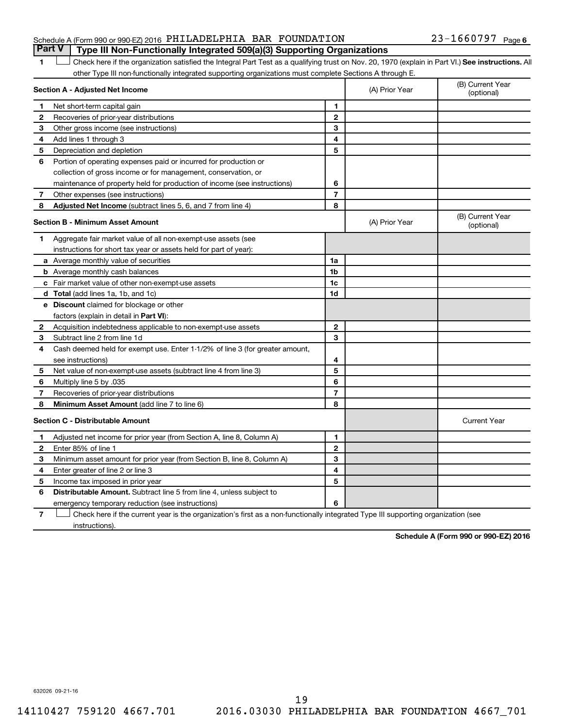## Schedule A (Form 990 or 990-EZ) 2016 Page PHILADELPHIA BAR FOUNDATION 23-1660797 **Part V Type III Non-Functionally Integrated 509(a)(3) Supporting Organizations**

1 **Letter See instructions.** All Check here if the organization satisfied the Integral Part Test as a qualifying trust on Nov. 20, 1970 (explain in Part VI.) See instructions. All other Type III non-functionally integrated supporting organizations must complete Sections A through E.

|              | Section A - Adjusted Net Income                                              |                | (A) Prior Year | (B) Current Year<br>(optional) |
|--------------|------------------------------------------------------------------------------|----------------|----------------|--------------------------------|
| 1            | Net short-term capital gain                                                  | 1              |                |                                |
| 2            | Recoveries of prior-year distributions                                       | $\mathbf{2}$   |                |                                |
| 3            | Other gross income (see instructions)                                        | 3              |                |                                |
| 4            | Add lines 1 through 3                                                        | 4              |                |                                |
| 5            | Depreciation and depletion                                                   | 5              |                |                                |
| 6            | Portion of operating expenses paid or incurred for production or             |                |                |                                |
|              | collection of gross income or for management, conservation, or               |                |                |                                |
|              | maintenance of property held for production of income (see instructions)     | 6              |                |                                |
| 7            | Other expenses (see instructions)                                            | $\overline{7}$ |                |                                |
| 8            | Adjusted Net Income (subtract lines 5, 6, and 7 from line 4)                 | 8              |                |                                |
|              | <b>Section B - Minimum Asset Amount</b>                                      |                | (A) Prior Year | (B) Current Year<br>(optional) |
| 1            | Aggregate fair market value of all non-exempt-use assets (see                |                |                |                                |
|              | instructions for short tax year or assets held for part of year):            |                |                |                                |
|              | a Average monthly value of securities                                        | 1a             |                |                                |
|              | <b>b</b> Average monthly cash balances                                       | 1b             |                |                                |
|              | c Fair market value of other non-exempt-use assets                           | 1 <sub>c</sub> |                |                                |
|              | <b>d</b> Total (add lines 1a, 1b, and 1c)                                    | 1d             |                |                                |
|              | <b>e</b> Discount claimed for blockage or other                              |                |                |                                |
|              | factors (explain in detail in Part VI):                                      |                |                |                                |
| 2            | Acquisition indebtedness applicable to non-exempt-use assets                 | $\mathbf{2}$   |                |                                |
| 3            | Subtract line 2 from line 1d                                                 | 3              |                |                                |
| 4            | Cash deemed held for exempt use. Enter 1-1/2% of line 3 (for greater amount, |                |                |                                |
|              | see instructions)                                                            | 4              |                |                                |
| 5            | Net value of non-exempt-use assets (subtract line 4 from line 3)             | 5              |                |                                |
| 6            | Multiply line 5 by .035                                                      | 6              |                |                                |
| 7            | Recoveries of prior-year distributions                                       | $\overline{7}$ |                |                                |
| 8            | Minimum Asset Amount (add line 7 to line 6)                                  | 8              |                |                                |
|              | <b>Section C - Distributable Amount</b>                                      |                |                | <b>Current Year</b>            |
| 1            | Adjusted net income for prior year (from Section A, line 8, Column A)        | 1              |                |                                |
| $\mathbf{2}$ | Enter 85% of line 1                                                          | $\mathbf{2}$   |                |                                |
| 3            | Minimum asset amount for prior year (from Section B, line 8, Column A)       | 3              |                |                                |
| 4            | Enter greater of line 2 or line 3                                            | 4              |                |                                |
| 5            | Income tax imposed in prior year                                             | 5              |                |                                |
| 6            | Distributable Amount. Subtract line 5 from line 4, unless subject to         |                |                |                                |
|              | emergency temporary reduction (see instructions)                             | 6              |                |                                |
|              |                                                                              |                |                |                                |

**7** Check here if the current year is the organization's first as a non-functionally integrated Type III supporting organization (see † instructions).

**Schedule A (Form 990 or 990-EZ) 2016**

632026 09-21-16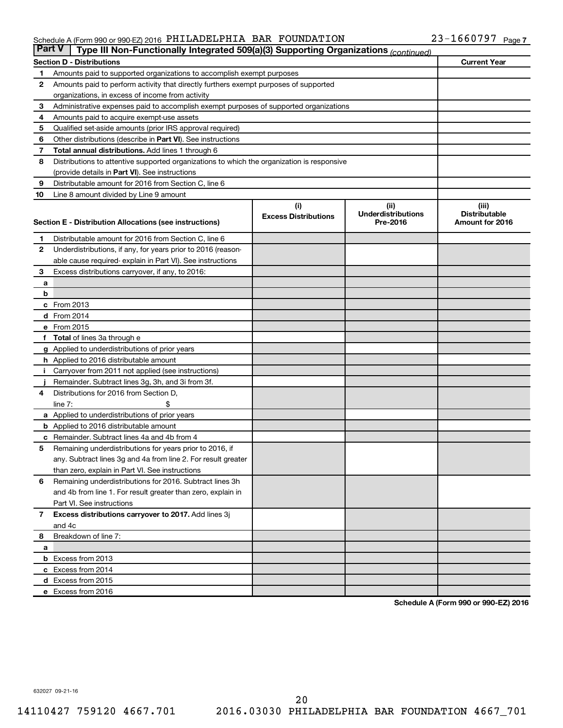#### Schedule A (Form 990 or 990-EZ) 2016 PHILLADELIPHIA BAR FOUNDATILON Z3-I66U797 Page PHILADELPHIA BAR FOUNDATION 23-1660797

| <b>Part V</b>  | Type III Non-Functionally Integrated 509(a)(3) Supporting Organizations (continued)        |                             |                                       |                                         |
|----------------|--------------------------------------------------------------------------------------------|-----------------------------|---------------------------------------|-----------------------------------------|
|                | <b>Section D - Distributions</b>                                                           |                             |                                       | <b>Current Year</b>                     |
| 1              | Amounts paid to supported organizations to accomplish exempt purposes                      |                             |                                       |                                         |
| $\mathbf{2}$   | Amounts paid to perform activity that directly furthers exempt purposes of supported       |                             |                                       |                                         |
|                | organizations, in excess of income from activity                                           |                             |                                       |                                         |
| 3              | Administrative expenses paid to accomplish exempt purposes of supported organizations      |                             |                                       |                                         |
| 4              | Amounts paid to acquire exempt-use assets                                                  |                             |                                       |                                         |
| 5              | Qualified set-aside amounts (prior IRS approval required)                                  |                             |                                       |                                         |
| 6              | Other distributions (describe in <b>Part VI</b> ). See instructions                        |                             |                                       |                                         |
| 7              | <b>Total annual distributions.</b> Add lines 1 through 6                                   |                             |                                       |                                         |
| 8              | Distributions to attentive supported organizations to which the organization is responsive |                             |                                       |                                         |
|                | (provide details in Part VI). See instructions                                             |                             |                                       |                                         |
| 9              | Distributable amount for 2016 from Section C, line 6                                       |                             |                                       |                                         |
| 10             | Line 8 amount divided by Line 9 amount                                                     |                             |                                       |                                         |
|                |                                                                                            | (i)                         | (ii)                                  | (iii)                                   |
|                |                                                                                            | <b>Excess Distributions</b> | <b>Underdistributions</b><br>Pre-2016 | <b>Distributable</b><br>Amount for 2016 |
|                | Section E - Distribution Allocations (see instructions)                                    |                             |                                       |                                         |
| 1              | Distributable amount for 2016 from Section C, line 6                                       |                             |                                       |                                         |
| $\mathbf{2}$   | Underdistributions, if any, for years prior to 2016 (reason-                               |                             |                                       |                                         |
|                | able cause required-explain in Part VI). See instructions                                  |                             |                                       |                                         |
| 3              | Excess distributions carryover, if any, to 2016:                                           |                             |                                       |                                         |
| а              |                                                                                            |                             |                                       |                                         |
| b              |                                                                                            |                             |                                       |                                         |
|                | c From 2013                                                                                |                             |                                       |                                         |
|                | <b>d</b> From 2014                                                                         |                             |                                       |                                         |
|                | e From 2015                                                                                |                             |                                       |                                         |
|                | f Total of lines 3a through e                                                              |                             |                                       |                                         |
|                | g Applied to underdistributions of prior years                                             |                             |                                       |                                         |
|                | h Applied to 2016 distributable amount                                                     |                             |                                       |                                         |
| Ť.             | Carryover from 2011 not applied (see instructions)                                         |                             |                                       |                                         |
|                | Remainder. Subtract lines 3g, 3h, and 3i from 3f.                                          |                             |                                       |                                         |
| 4              | Distributions for 2016 from Section D,                                                     |                             |                                       |                                         |
|                | line $7:$                                                                                  |                             |                                       |                                         |
|                | a Applied to underdistributions of prior years                                             |                             |                                       |                                         |
|                | <b>b</b> Applied to 2016 distributable amount                                              |                             |                                       |                                         |
| c              | Remainder. Subtract lines 4a and 4b from 4                                                 |                             |                                       |                                         |
| 5              | Remaining underdistributions for years prior to 2016, if                                   |                             |                                       |                                         |
|                | any. Subtract lines 3g and 4a from line 2. For result greater                              |                             |                                       |                                         |
|                | than zero, explain in Part VI. See instructions                                            |                             |                                       |                                         |
| 6              | Remaining underdistributions for 2016. Subtract lines 3h                                   |                             |                                       |                                         |
|                | and 4b from line 1. For result greater than zero, explain in                               |                             |                                       |                                         |
|                | Part VI. See instructions                                                                  |                             |                                       |                                         |
| $\overline{7}$ | Excess distributions carryover to 2017. Add lines 3j                                       |                             |                                       |                                         |
|                | and 4c                                                                                     |                             |                                       |                                         |
| 8              | Breakdown of line 7:                                                                       |                             |                                       |                                         |
| а              |                                                                                            |                             |                                       |                                         |
|                | <b>b</b> Excess from 2013                                                                  |                             |                                       |                                         |
|                | c Excess from 2014                                                                         |                             |                                       |                                         |
|                | d Excess from 2015                                                                         |                             |                                       |                                         |
|                | e Excess from 2016                                                                         |                             |                                       |                                         |

**Schedule A (Form 990 or 990-EZ) 2016**

632027 09-21-16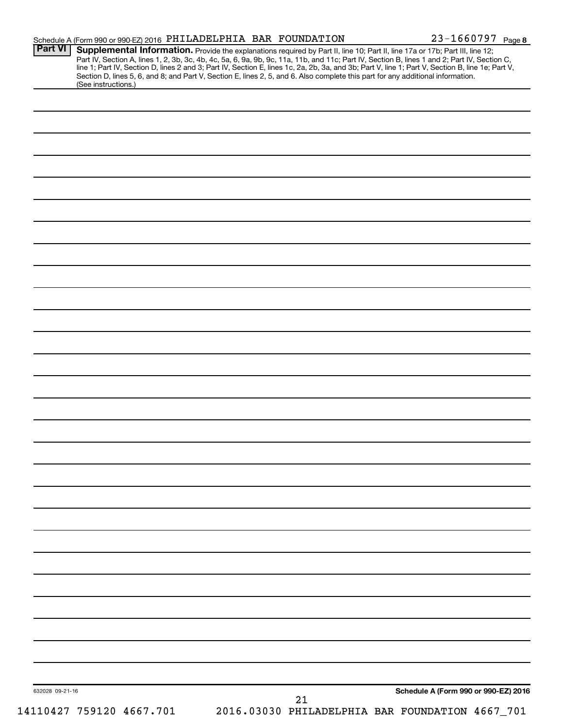| Part VI         | Schedule A (Form 990 or 990-EZ) 2016 PHILADELPHIA BAR FOUNDATION                                                                                       |    | 23-1660797 Page 8                                                                                                                                                                                                                                                                                                                                                                          |
|-----------------|--------------------------------------------------------------------------------------------------------------------------------------------------------|----|--------------------------------------------------------------------------------------------------------------------------------------------------------------------------------------------------------------------------------------------------------------------------------------------------------------------------------------------------------------------------------------------|
|                 |                                                                                                                                                        |    | <b>Supplemental Information.</b> Provide the explanations required by Part II, line 10; Part II, line 17a or 17b; Part III, line 12;<br>Part IV, Section A, lines 1, 2, 3b, 3c, 4b, 4c, 5a, 6, 9a, 9b, 9c, 11a, 11b, and 11c; Part IV,<br>line 1; Part IV, Section D, lines 2 and 3; Part IV, Section E, lines 1c, 2a, 2b, 3a, and 3b; Part V, line 1; Part V, Section B, line 1e; Part V, |
|                 | Section D, lines 5, 6, and 8; and Part V, Section E, lines 2, 5, and 6. Also complete this part for any additional information.<br>(See instructions.) |    |                                                                                                                                                                                                                                                                                                                                                                                            |
|                 |                                                                                                                                                        |    |                                                                                                                                                                                                                                                                                                                                                                                            |
|                 |                                                                                                                                                        |    |                                                                                                                                                                                                                                                                                                                                                                                            |
|                 |                                                                                                                                                        |    |                                                                                                                                                                                                                                                                                                                                                                                            |
|                 |                                                                                                                                                        |    |                                                                                                                                                                                                                                                                                                                                                                                            |
|                 |                                                                                                                                                        |    |                                                                                                                                                                                                                                                                                                                                                                                            |
|                 |                                                                                                                                                        |    |                                                                                                                                                                                                                                                                                                                                                                                            |
|                 |                                                                                                                                                        |    |                                                                                                                                                                                                                                                                                                                                                                                            |
|                 |                                                                                                                                                        |    |                                                                                                                                                                                                                                                                                                                                                                                            |
|                 |                                                                                                                                                        |    |                                                                                                                                                                                                                                                                                                                                                                                            |
|                 |                                                                                                                                                        |    |                                                                                                                                                                                                                                                                                                                                                                                            |
|                 |                                                                                                                                                        |    |                                                                                                                                                                                                                                                                                                                                                                                            |
|                 |                                                                                                                                                        |    |                                                                                                                                                                                                                                                                                                                                                                                            |
|                 |                                                                                                                                                        |    |                                                                                                                                                                                                                                                                                                                                                                                            |
|                 |                                                                                                                                                        |    |                                                                                                                                                                                                                                                                                                                                                                                            |
|                 |                                                                                                                                                        |    |                                                                                                                                                                                                                                                                                                                                                                                            |
|                 |                                                                                                                                                        |    |                                                                                                                                                                                                                                                                                                                                                                                            |
|                 |                                                                                                                                                        |    |                                                                                                                                                                                                                                                                                                                                                                                            |
|                 |                                                                                                                                                        |    |                                                                                                                                                                                                                                                                                                                                                                                            |
|                 |                                                                                                                                                        |    |                                                                                                                                                                                                                                                                                                                                                                                            |
|                 |                                                                                                                                                        |    |                                                                                                                                                                                                                                                                                                                                                                                            |
|                 |                                                                                                                                                        |    |                                                                                                                                                                                                                                                                                                                                                                                            |
|                 |                                                                                                                                                        |    |                                                                                                                                                                                                                                                                                                                                                                                            |
|                 |                                                                                                                                                        |    |                                                                                                                                                                                                                                                                                                                                                                                            |
|                 |                                                                                                                                                        |    |                                                                                                                                                                                                                                                                                                                                                                                            |
|                 |                                                                                                                                                        |    |                                                                                                                                                                                                                                                                                                                                                                                            |
|                 |                                                                                                                                                        |    |                                                                                                                                                                                                                                                                                                                                                                                            |
|                 |                                                                                                                                                        |    |                                                                                                                                                                                                                                                                                                                                                                                            |
|                 |                                                                                                                                                        |    |                                                                                                                                                                                                                                                                                                                                                                                            |
|                 |                                                                                                                                                        |    |                                                                                                                                                                                                                                                                                                                                                                                            |
|                 |                                                                                                                                                        |    |                                                                                                                                                                                                                                                                                                                                                                                            |
|                 |                                                                                                                                                        |    |                                                                                                                                                                                                                                                                                                                                                                                            |
|                 |                                                                                                                                                        |    |                                                                                                                                                                                                                                                                                                                                                                                            |
|                 |                                                                                                                                                        |    |                                                                                                                                                                                                                                                                                                                                                                                            |
|                 |                                                                                                                                                        |    |                                                                                                                                                                                                                                                                                                                                                                                            |
|                 |                                                                                                                                                        |    |                                                                                                                                                                                                                                                                                                                                                                                            |
|                 |                                                                                                                                                        |    |                                                                                                                                                                                                                                                                                                                                                                                            |
|                 |                                                                                                                                                        |    |                                                                                                                                                                                                                                                                                                                                                                                            |
|                 |                                                                                                                                                        |    |                                                                                                                                                                                                                                                                                                                                                                                            |
|                 |                                                                                                                                                        |    |                                                                                                                                                                                                                                                                                                                                                                                            |
| 632028 09-21-16 |                                                                                                                                                        |    | Schedule A (Form 990 or 990-EZ) 2016                                                                                                                                                                                                                                                                                                                                                       |
|                 |                                                                                                                                                        | 21 |                                                                                                                                                                                                                                                                                                                                                                                            |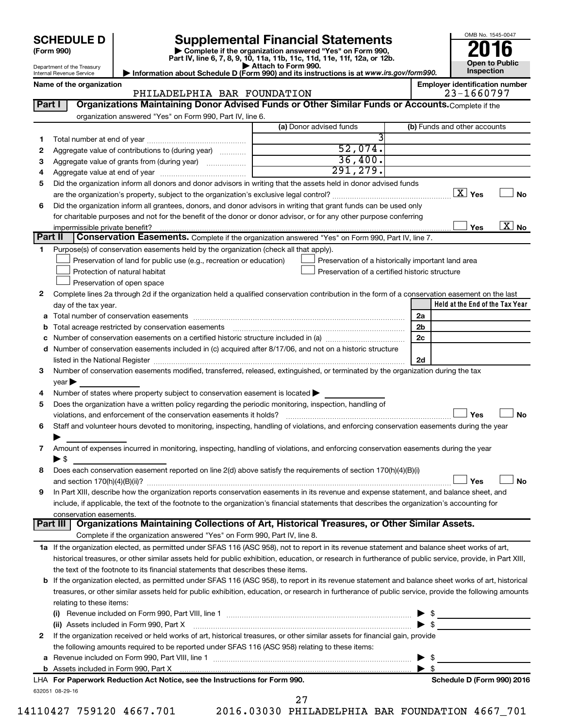# **SCHEDULE D Supplemental Financial Statements**<br> **Form 990 2016**<br> **Part IV** line 6.7.8.9.10, 11a, 11b, 11d, 11d, 11d, 11d, 11d, 12a, 0r, 12b

**(Form 990) | Complete if the organization answered "Yes" on Form 990, Part IV, line 6, 7, 8, 9, 10, 11a, 11b, 11c, 11d, 11e, 11f, 12a, or 12b.**



|         | Department of the Treasury<br>Internal Revenue Service                                                                                                    | Attach to Form 990.<br>Information about Schedule D (Form 990) and its instructions is at www.irs.gov/form990. |                          | Open to Public<br>Inspection          |
|---------|-----------------------------------------------------------------------------------------------------------------------------------------------------------|----------------------------------------------------------------------------------------------------------------|--------------------------|---------------------------------------|
|         | Name of the organization                                                                                                                                  |                                                                                                                |                          | <b>Employer identification number</b> |
|         | PHILADELPHIA BAR FOUNDATION                                                                                                                               |                                                                                                                |                          | 23-1660797                            |
| Part I  | Organizations Maintaining Donor Advised Funds or Other Similar Funds or Accounts. Complete if the                                                         |                                                                                                                |                          |                                       |
|         | organization answered "Yes" on Form 990, Part IV, line 6.                                                                                                 |                                                                                                                |                          |                                       |
|         |                                                                                                                                                           | (a) Donor advised funds                                                                                        |                          | (b) Funds and other accounts          |
| 1.      |                                                                                                                                                           | 52,074.                                                                                                        |                          |                                       |
| 2       | Aggregate value of contributions to (during year)                                                                                                         | 36,400.                                                                                                        |                          |                                       |
| 3       | Aggregate value of grants from (during year)                                                                                                              | 291, 279.                                                                                                      |                          |                                       |
| 4       |                                                                                                                                                           |                                                                                                                |                          |                                       |
| 5       | Did the organization inform all donors and donor advisors in writing that the assets held in donor advised funds                                          |                                                                                                                |                          | $\boxed{\text{X}}$ Yes                |
|         |                                                                                                                                                           |                                                                                                                |                          | No                                    |
| 6       | Did the organization inform all grantees, donors, and donor advisors in writing that grant funds can be used only                                         |                                                                                                                |                          |                                       |
|         | for charitable purposes and not for the benefit of the donor or donor advisor, or for any other purpose conferring<br>impermissible private benefit?      |                                                                                                                |                          | $\overline{\text{X}}$ No<br>Yes       |
| Part II | Conservation Easements. Complete if the organization answered "Yes" on Form 990, Part IV, line 7.                                                         |                                                                                                                |                          |                                       |
| 1.      | Purpose(s) of conservation easements held by the organization (check all that apply).                                                                     |                                                                                                                |                          |                                       |
|         | Preservation of land for public use (e.g., recreation or education)                                                                                       | Preservation of a historically important land area                                                             |                          |                                       |
|         | Protection of natural habitat                                                                                                                             | Preservation of a certified historic structure                                                                 |                          |                                       |
|         | Preservation of open space                                                                                                                                |                                                                                                                |                          |                                       |
| 2       | Complete lines 2a through 2d if the organization held a qualified conservation contribution in the form of a conservation easement on the last            |                                                                                                                |                          |                                       |
|         | day of the tax year.                                                                                                                                      |                                                                                                                |                          | Held at the End of the Tax Year       |
|         |                                                                                                                                                           |                                                                                                                | 2a                       |                                       |
|         | <b>b</b> Total acreage restricted by conservation easements                                                                                               |                                                                                                                | 2b                       |                                       |
| c       |                                                                                                                                                           |                                                                                                                | 2c                       |                                       |
|         | d Number of conservation easements included in (c) acquired after 8/17/06, and not on a historic structure                                                |                                                                                                                |                          |                                       |
|         |                                                                                                                                                           |                                                                                                                | 2d                       |                                       |
| 3       | Number of conservation easements modified, transferred, released, extinguished, or terminated by the organization during the tax                          |                                                                                                                |                          |                                       |
|         | year                                                                                                                                                      |                                                                                                                |                          |                                       |
| 4       | Number of states where property subject to conservation easement is located >                                                                             |                                                                                                                |                          |                                       |
| 5       | Does the organization have a written policy regarding the periodic monitoring, inspection, handling of                                                    |                                                                                                                |                          |                                       |
|         | violations, and enforcement of the conservation easements it holds?                                                                                       |                                                                                                                |                          | Yes<br>No                             |
| 6       | Staff and volunteer hours devoted to monitoring, inspecting, handling of violations, and enforcing conservation easements during the year                 |                                                                                                                |                          |                                       |
|         |                                                                                                                                                           |                                                                                                                |                          |                                       |
| 7       | Amount of expenses incurred in monitoring, inspecting, handling of violations, and enforcing conservation easements during the year                       |                                                                                                                |                          |                                       |
|         | $\blacktriangleright$ \$                                                                                                                                  |                                                                                                                |                          |                                       |
|         | Does each conservation easement reported on line 2(d) above satisfy the requirements of section 170(h)(4)(B)(i)                                           |                                                                                                                |                          | No                                    |
| 9       | In Part XIII, describe how the organization reports conservation easements in its revenue and expense statement, and balance sheet, and                   |                                                                                                                |                          | Yes                                   |
|         | include, if applicable, the text of the footnote to the organization's financial statements that describes the organization's accounting for              |                                                                                                                |                          |                                       |
|         | conservation easements.                                                                                                                                   |                                                                                                                |                          |                                       |
|         | Part III   Organizations Maintaining Collections of Art, Historical Treasures, or Other Similar Assets.                                                   |                                                                                                                |                          |                                       |
|         | Complete if the organization answered "Yes" on Form 990, Part IV, line 8.                                                                                 |                                                                                                                |                          |                                       |
|         | 1a If the organization elected, as permitted under SFAS 116 (ASC 958), not to report in its revenue statement and balance sheet works of art,             |                                                                                                                |                          |                                       |
|         | historical treasures, or other similar assets held for public exhibition, education, or research in furtherance of public service, provide, in Part XIII, |                                                                                                                |                          |                                       |
|         | the text of the footnote to its financial statements that describes these items.                                                                          |                                                                                                                |                          |                                       |
|         | b If the organization elected, as permitted under SFAS 116 (ASC 958), to report in its revenue statement and balance sheet works of art, historical       |                                                                                                                |                          |                                       |
|         | treasures, or other similar assets held for public exhibition, education, or research in furtherance of public service, provide the following amounts     |                                                                                                                |                          |                                       |
|         | relating to these items:                                                                                                                                  |                                                                                                                |                          |                                       |
|         | (i)                                                                                                                                                       |                                                                                                                | ▶                        | $\frac{1}{2}$                         |
|         | (ii) Assets included in Form 990, Part X [110] [12] Assets included in Form 990, Part X [12] Assets included in Form 990, Part X                          |                                                                                                                | $\blacktriangleright$ \$ |                                       |
| 2       | If the organization received or held works of art, historical treasures, or other similar assets for financial gain, provide                              |                                                                                                                |                          |                                       |
|         | the following amounts required to be reported under SFAS 116 (ASC 958) relating to these items:                                                           |                                                                                                                |                          |                                       |
|         |                                                                                                                                                           |                                                                                                                | \$<br>▶                  |                                       |

632051 08-29-16 **b** Assets included in Form 990, Part X **For Paperwork Reduction Act Notice, see the Instructions for Form 990. Schedule D (Form 990) 2016** LHA

| e. see the Instructions for Form 990. | Schedule D (Form 990) 2016 |
|---------------------------------------|----------------------------|
|                                       |                            |

27

14110427 759120 4667.701 2016.03030 PHILADELPHIA BAR FOUNDATION 4667\_701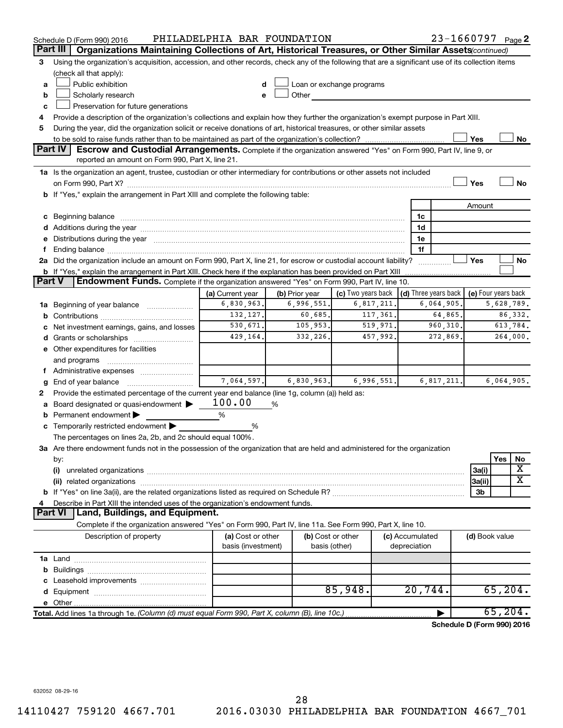|               | Schedule D (Form 990) 2016                                                                                                                                                                                                          | PHILADELPHIA BAR FOUNDATION    |                              |                                                                                                                                                                                                                                     |            |                 | 23-1660797 Page 2          |                     |            |            |
|---------------|-------------------------------------------------------------------------------------------------------------------------------------------------------------------------------------------------------------------------------------|--------------------------------|------------------------------|-------------------------------------------------------------------------------------------------------------------------------------------------------------------------------------------------------------------------------------|------------|-----------------|----------------------------|---------------------|------------|------------|
|               | Part III<br>Organizations Maintaining Collections of Art, Historical Treasures, or Other Similar Assets (continued)                                                                                                                 |                                |                              |                                                                                                                                                                                                                                     |            |                 |                            |                     |            |            |
| 3             | Using the organization's acquisition, accession, and other records, check any of the following that are a significant use of its collection items                                                                                   |                                |                              |                                                                                                                                                                                                                                     |            |                 |                            |                     |            |            |
|               | (check all that apply):                                                                                                                                                                                                             |                                |                              |                                                                                                                                                                                                                                     |            |                 |                            |                     |            |            |
| a             | Public exhibition                                                                                                                                                                                                                   |                                |                              | Loan or exchange programs                                                                                                                                                                                                           |            |                 |                            |                     |            |            |
| b             | Scholarly research                                                                                                                                                                                                                  | e                              |                              | Other <b>Community</b> Change of the Community of the Community Change of the Community Change of the Community Change of the Community Change of the Community Change of the Community Change of the Community Change of the Commu |            |                 |                            |                     |            |            |
| c             | Preservation for future generations                                                                                                                                                                                                 |                                |                              |                                                                                                                                                                                                                                     |            |                 |                            |                     |            |            |
| 4             | Provide a description of the organization's collections and explain how they further the organization's exempt purpose in Part XIII.                                                                                                |                                |                              |                                                                                                                                                                                                                                     |            |                 |                            |                     |            |            |
| 5             | During the year, did the organization solicit or receive donations of art, historical treasures, or other similar assets                                                                                                            |                                |                              |                                                                                                                                                                                                                                     |            |                 |                            |                     |            |            |
|               |                                                                                                                                                                                                                                     |                                |                              |                                                                                                                                                                                                                                     |            |                 |                            | Yes                 |            | No         |
|               | Part IV I<br>Escrow and Custodial Arrangements. Complete if the organization answered "Yes" on Form 990, Part IV, line 9, or                                                                                                        |                                |                              |                                                                                                                                                                                                                                     |            |                 |                            |                     |            |            |
|               | reported an amount on Form 990, Part X, line 21.                                                                                                                                                                                    |                                |                              |                                                                                                                                                                                                                                     |            |                 |                            |                     |            |            |
|               | 1a Is the organization an agent, trustee, custodian or other intermediary for contributions or other assets not included                                                                                                            |                                |                              |                                                                                                                                                                                                                                     |            |                 |                            |                     |            |            |
|               |                                                                                                                                                                                                                                     |                                |                              |                                                                                                                                                                                                                                     |            |                 |                            | Yes                 |            | <b>No</b>  |
|               | b If "Yes," explain the arrangement in Part XIII and complete the following table:                                                                                                                                                  |                                |                              |                                                                                                                                                                                                                                     |            |                 |                            |                     |            |            |
|               |                                                                                                                                                                                                                                     |                                |                              |                                                                                                                                                                                                                                     |            |                 |                            | Amount              |            |            |
|               | c Beginning balance <b>communications</b> and a construction of the construction of the construction of the construction of the construction of the construction of the construction of the construction of the construction of the |                                |                              |                                                                                                                                                                                                                                     |            | 1c              |                            |                     |            |            |
|               |                                                                                                                                                                                                                                     |                                |                              |                                                                                                                                                                                                                                     |            | 1d              |                            |                     |            |            |
|               | e Distributions during the year manufactured and content to the year manufactured and the year manufactured and the year manufactured and the year manufactured and the year manufactured and the year manufactured and the ye      |                                |                              |                                                                                                                                                                                                                                     |            | 1e              |                            |                     |            |            |
| f.            |                                                                                                                                                                                                                                     |                                |                              |                                                                                                                                                                                                                                     |            | 1f              |                            |                     |            |            |
|               | 2a Did the organization include an amount on Form 990, Part X, line 21, for escrow or custodial account liability?                                                                                                                  |                                |                              |                                                                                                                                                                                                                                     |            | .               |                            | Yes                 |            | No         |
| <b>Part V</b> | <b>b</b> If "Yes," explain the arrangement in Part XIII. Check here if the explanation has been provided on Part XIII<br>Endowment Funds. Complete if the organization answered "Yes" on Form 990, Part IV, line 10.                |                                |                              |                                                                                                                                                                                                                                     |            |                 |                            |                     |            |            |
|               |                                                                                                                                                                                                                                     |                                |                              | (c) Two years back $\vert$ (d) Three years back $\vert$                                                                                                                                                                             |            |                 |                            | (e) Four years back |            |            |
|               |                                                                                                                                                                                                                                     | (a) Current year<br>6,830,963. | (b) Prior year<br>6,996,551. | 6,817,211.                                                                                                                                                                                                                          |            |                 | 6,064,905.                 |                     | 5,628,789. |            |
|               | 1a Beginning of year balance                                                                                                                                                                                                        | 132,127.                       | 60,685.                      | 117,361.                                                                                                                                                                                                                            |            |                 | 64,865.                    |                     |            | 86,332.    |
| b             |                                                                                                                                                                                                                                     | 530,671.                       | 105,953.                     | 519,971.                                                                                                                                                                                                                            |            |                 |                            |                     | 613,784.   |            |
| с             | Net investment earnings, gains, and losses                                                                                                                                                                                          | 429,164.                       | 332, 226.                    | 457,992.                                                                                                                                                                                                                            |            |                 | 960,310.<br>272,869.       | 264,000.            |            |            |
|               | d Grants or scholarships                                                                                                                                                                                                            |                                |                              |                                                                                                                                                                                                                                     |            |                 |                            |                     |            |            |
|               | e Other expenditures for facilities<br>and programs                                                                                                                                                                                 |                                |                              |                                                                                                                                                                                                                                     |            |                 |                            |                     |            |            |
|               |                                                                                                                                                                                                                                     |                                |                              |                                                                                                                                                                                                                                     |            |                 |                            |                     |            |            |
|               |                                                                                                                                                                                                                                     | 7,064,597.                     | 6,830,963.                   |                                                                                                                                                                                                                                     | 6,996,551. |                 | 6, 817, 211.               |                     |            | 6,064,905. |
| g<br>2        | Provide the estimated percentage of the current year end balance (line 1g, column (a)) held as:                                                                                                                                     |                                |                              |                                                                                                                                                                                                                                     |            |                 |                            |                     |            |            |
| а             | Board designated or quasi-endowment                                                                                                                                                                                                 | 100.00                         | %                            |                                                                                                                                                                                                                                     |            |                 |                            |                     |            |            |
| b             | Permanent endowment                                                                                                                                                                                                                 | %                              |                              |                                                                                                                                                                                                                                     |            |                 |                            |                     |            |            |
|               | c Temporarily restricted endowment $\blacktriangleright$                                                                                                                                                                            | %                              |                              |                                                                                                                                                                                                                                     |            |                 |                            |                     |            |            |
|               | The percentages on lines 2a, 2b, and 2c should equal 100%.                                                                                                                                                                          |                                |                              |                                                                                                                                                                                                                                     |            |                 |                            |                     |            |            |
|               | 3a Are there endowment funds not in the possession of the organization that are held and administered for the organization                                                                                                          |                                |                              |                                                                                                                                                                                                                                     |            |                 |                            |                     |            |            |
|               | by:                                                                                                                                                                                                                                 |                                |                              |                                                                                                                                                                                                                                     |            |                 |                            |                     | Yes        | No         |
|               | (i)                                                                                                                                                                                                                                 |                                |                              |                                                                                                                                                                                                                                     |            |                 |                            | 3a(i)               |            | х          |
|               |                                                                                                                                                                                                                                     |                                |                              |                                                                                                                                                                                                                                     |            |                 |                            | 3a(ii)              |            | X          |
|               |                                                                                                                                                                                                                                     |                                |                              |                                                                                                                                                                                                                                     |            |                 |                            | 3b                  |            |            |
| 4             | Describe in Part XIII the intended uses of the organization's endowment funds.                                                                                                                                                      |                                |                              |                                                                                                                                                                                                                                     |            |                 |                            |                     |            |            |
|               | Land, Buildings, and Equipment.<br><b>Part VI</b>                                                                                                                                                                                   |                                |                              |                                                                                                                                                                                                                                     |            |                 |                            |                     |            |            |
|               | Complete if the organization answered "Yes" on Form 990, Part IV, line 11a. See Form 990, Part X, line 10.                                                                                                                          |                                |                              |                                                                                                                                                                                                                                     |            |                 |                            |                     |            |            |
|               | Description of property                                                                                                                                                                                                             | (a) Cost or other              |                              | (b) Cost or other                                                                                                                                                                                                                   |            | (c) Accumulated |                            | (d) Book value      |            |            |
|               |                                                                                                                                                                                                                                     | basis (investment)             |                              | basis (other)                                                                                                                                                                                                                       |            | depreciation    |                            |                     |            |            |
|               |                                                                                                                                                                                                                                     |                                |                              |                                                                                                                                                                                                                                     |            |                 |                            |                     |            |            |
| b             |                                                                                                                                                                                                                                     |                                |                              |                                                                                                                                                                                                                                     |            |                 |                            |                     |            |            |
| c             | Leasehold improvements                                                                                                                                                                                                              |                                |                              |                                                                                                                                                                                                                                     |            |                 |                            |                     |            |            |
|               |                                                                                                                                                                                                                                     |                                |                              | 85,948.                                                                                                                                                                                                                             |            | 20,744.         |                            |                     | 65, 204.   |            |
|               |                                                                                                                                                                                                                                     |                                |                              |                                                                                                                                                                                                                                     |            |                 |                            |                     |            |            |
|               | Total. Add lines 1a through 1e. (Column (d) must equal Form 990, Part X, column (B), line 10c.)                                                                                                                                     |                                |                              |                                                                                                                                                                                                                                     |            |                 |                            |                     | 65, 204.   |            |
|               |                                                                                                                                                                                                                                     |                                |                              |                                                                                                                                                                                                                                     |            |                 | Schedule D (Form 990) 2016 |                     |            |            |

632052 08-29-16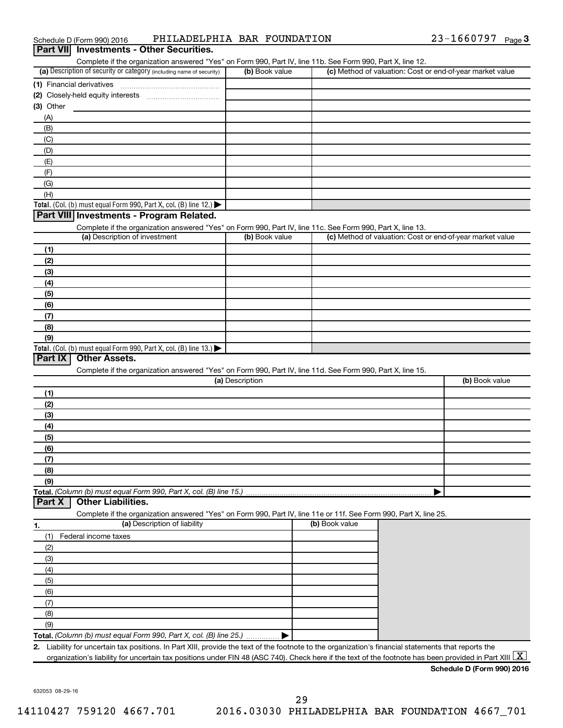| Schedule D (Form 990) 2016                      | PHILADELPHIA BAR FOUNDATION |  | $23 - 1660797$ Page 3 |  |
|-------------------------------------------------|-----------------------------|--|-----------------------|--|
| <b>Part VII</b> Investments - Other Securities. |                             |  |                       |  |

|                                                                                                                                                                                                                         |                 | Complete if the organization answered "Yes" on Form 990, Part IV, line 11b. See Form 990, Part X, line 12. |                |
|-------------------------------------------------------------------------------------------------------------------------------------------------------------------------------------------------------------------------|-----------------|------------------------------------------------------------------------------------------------------------|----------------|
| (a) Description of security or category (including name of security)                                                                                                                                                    | (b) Book value  | (c) Method of valuation: Cost or end-of-year market value                                                  |                |
|                                                                                                                                                                                                                         |                 |                                                                                                            |                |
| (2) Closely-held equity interests                                                                                                                                                                                       |                 |                                                                                                            |                |
| (3) Other                                                                                                                                                                                                               |                 |                                                                                                            |                |
| (A)                                                                                                                                                                                                                     |                 |                                                                                                            |                |
| (B)                                                                                                                                                                                                                     |                 |                                                                                                            |                |
| (C)                                                                                                                                                                                                                     |                 |                                                                                                            |                |
| (D)                                                                                                                                                                                                                     |                 |                                                                                                            |                |
|                                                                                                                                                                                                                         |                 |                                                                                                            |                |
| (E)                                                                                                                                                                                                                     |                 |                                                                                                            |                |
| (F)                                                                                                                                                                                                                     |                 |                                                                                                            |                |
| (G)                                                                                                                                                                                                                     |                 |                                                                                                            |                |
| (H)                                                                                                                                                                                                                     |                 |                                                                                                            |                |
| Total. (Col. (b) must equal Form 990, Part X, col. (B) line 12.) $\blacktriangleright$                                                                                                                                  |                 |                                                                                                            |                |
| Part VIII Investments - Program Related.                                                                                                                                                                                |                 |                                                                                                            |                |
| Complete if the organization answered "Yes" on Form 990, Part IV, line 11c. See Form 990, Part X, line 13.                                                                                                              |                 |                                                                                                            |                |
| (a) Description of investment                                                                                                                                                                                           | (b) Book value  | (c) Method of valuation: Cost or end-of-year market value                                                  |                |
| (1)                                                                                                                                                                                                                     |                 |                                                                                                            |                |
| (2)                                                                                                                                                                                                                     |                 |                                                                                                            |                |
| (3)                                                                                                                                                                                                                     |                 |                                                                                                            |                |
|                                                                                                                                                                                                                         |                 |                                                                                                            |                |
| (4)                                                                                                                                                                                                                     |                 |                                                                                                            |                |
| (5)                                                                                                                                                                                                                     |                 |                                                                                                            |                |
| (6)                                                                                                                                                                                                                     |                 |                                                                                                            |                |
| (7)                                                                                                                                                                                                                     |                 |                                                                                                            |                |
| (8)                                                                                                                                                                                                                     |                 |                                                                                                            |                |
| (9)                                                                                                                                                                                                                     |                 |                                                                                                            |                |
| Total. (Col. (b) must equal Form 990, Part X, col. (B) line 13.)                                                                                                                                                        |                 |                                                                                                            |                |
| Part IX<br><b>Other Assets.</b>                                                                                                                                                                                         |                 |                                                                                                            |                |
| Complete if the organization answered "Yes" on Form 990, Part IV, line 11d. See Form 990, Part X, line 15.                                                                                                              |                 |                                                                                                            |                |
|                                                                                                                                                                                                                         | (a) Description |                                                                                                            | (b) Book value |
| (1)                                                                                                                                                                                                                     |                 |                                                                                                            |                |
|                                                                                                                                                                                                                         |                 |                                                                                                            |                |
| (2)                                                                                                                                                                                                                     |                 |                                                                                                            |                |
| (3)                                                                                                                                                                                                                     |                 |                                                                                                            |                |
| (4)                                                                                                                                                                                                                     |                 |                                                                                                            |                |
|                                                                                                                                                                                                                         |                 |                                                                                                            |                |
| (5)                                                                                                                                                                                                                     |                 |                                                                                                            |                |
| (6)                                                                                                                                                                                                                     |                 |                                                                                                            |                |
| (7)                                                                                                                                                                                                                     |                 |                                                                                                            |                |
|                                                                                                                                                                                                                         |                 |                                                                                                            |                |
| (8)                                                                                                                                                                                                                     |                 |                                                                                                            |                |
| (9)                                                                                                                                                                                                                     |                 |                                                                                                            |                |
|                                                                                                                                                                                                                         |                 |                                                                                                            |                |
| Total. (Column (b) must equal Form 990, Part X, col. (B) line 15.)<br><b>Other Liabilities.</b><br>Part X                                                                                                               |                 |                                                                                                            |                |
| Complete if the organization answered "Yes" on Form 990, Part IV, line 11e or 11f. See Form 990, Part X, line 25.                                                                                                       |                 |                                                                                                            |                |
| (a) Description of liability                                                                                                                                                                                            |                 | (b) Book value                                                                                             |                |
| (1)<br>Federal income taxes                                                                                                                                                                                             |                 |                                                                                                            |                |
| (2)                                                                                                                                                                                                                     |                 |                                                                                                            |                |
| (3)                                                                                                                                                                                                                     |                 |                                                                                                            |                |
| (4)                                                                                                                                                                                                                     |                 |                                                                                                            |                |
|                                                                                                                                                                                                                         |                 |                                                                                                            |                |
| (5)                                                                                                                                                                                                                     |                 |                                                                                                            |                |
| 1.<br>(6)                                                                                                                                                                                                               |                 |                                                                                                            |                |
| (7)                                                                                                                                                                                                                     |                 |                                                                                                            |                |
| (8)                                                                                                                                                                                                                     |                 |                                                                                                            |                |
| (9)                                                                                                                                                                                                                     |                 |                                                                                                            |                |
| Total. (Column (b) must equal Form 990, Part X, col. (B) line 25.)<br>Liability for uncertain tax positions. In Part XIII, provide the text of the footnote to the organization's financial statements that reports the |                 |                                                                                                            |                |

632053 08-29-16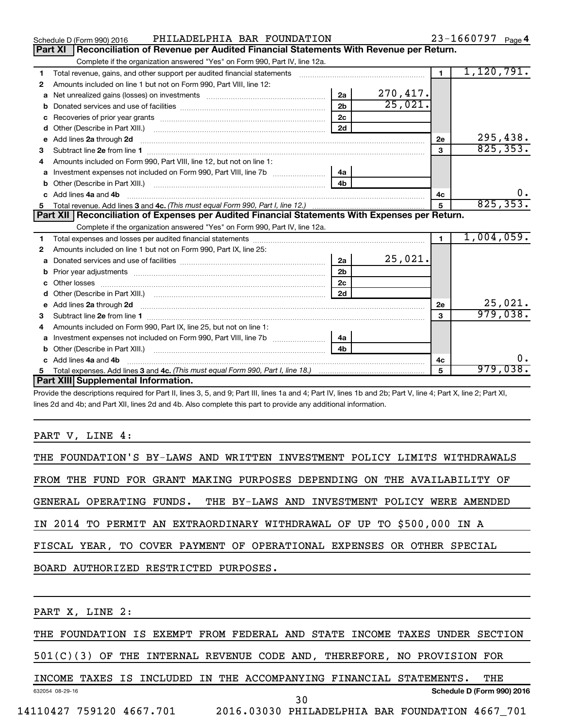|    | PHILADELPHIA BAR FOUNDATION<br>Schedule D (Form 990) 2016                                                                                                                                                                           |                |           |                | $23 - 1660797$ Page 4 |
|----|-------------------------------------------------------------------------------------------------------------------------------------------------------------------------------------------------------------------------------------|----------------|-----------|----------------|-----------------------|
|    | <b>Part XI</b><br>Reconciliation of Revenue per Audited Financial Statements With Revenue per Return.                                                                                                                               |                |           |                |                       |
|    | Complete if the organization answered "Yes" on Form 990, Part IV, line 12a.                                                                                                                                                         |                |           |                |                       |
| 1  | Total revenue, gains, and other support per audited financial statements [111] [11] Total revenue, gains, and other support per audited financial statements                                                                        |                |           | $\overline{1}$ | 1,120,791.            |
| 2  | Amounts included on line 1 but not on Form 990, Part VIII, line 12:                                                                                                                                                                 |                |           |                |                       |
| a  |                                                                                                                                                                                                                                     | 2a             | 270, 417. |                |                       |
|    |                                                                                                                                                                                                                                     | 2 <sub>b</sub> | 25,021.   |                |                       |
| c  |                                                                                                                                                                                                                                     | 2c             |           |                |                       |
| d  | Other (Describe in Part XIII.) <b>2000</b> 2000 2010 2010 2010 2010 2011 2012 2013 2014 2015 2016 2017 2018 2019 2016 2016 2017 2018 2019 2016 2017 2018 2019 2016 2017 2018 2019 2018 2019 2019 2016 2017 2018 2019 2019 2018 2019 | 2d             |           |                |                       |
| е  | Add lines 2a through 2d                                                                                                                                                                                                             |                |           | 2e             | 295,438.              |
| з  |                                                                                                                                                                                                                                     |                |           | 3              | 825, 353.             |
| 4  | Amounts included on Form 990. Part VIII. line 12, but not on line 1:                                                                                                                                                                |                |           |                |                       |
|    | Investment expenses not included on Form 990, Part VIII, line 7b [11, 11, 11, 11, 11, 11]                                                                                                                                           | 4a             |           |                |                       |
| b  |                                                                                                                                                                                                                                     | 4 <sub>h</sub> |           |                |                       |
| c. | Add lines 4a and 4b                                                                                                                                                                                                                 |                |           | 4c             | 0.                    |
|    |                                                                                                                                                                                                                                     |                |           | 5              | 825, 353.             |
|    |                                                                                                                                                                                                                                     |                |           |                |                       |
|    | Part XII   Reconciliation of Expenses per Audited Financial Statements With Expenses per Return.                                                                                                                                    |                |           |                |                       |
|    | Complete if the organization answered "Yes" on Form 990, Part IV, line 12a.                                                                                                                                                         |                |           |                |                       |
| 1  |                                                                                                                                                                                                                                     |                |           | $\blacksquare$ | 1,004,059.            |
| 2  | Amounts included on line 1 but not on Form 990, Part IX, line 25:                                                                                                                                                                   |                |           |                |                       |
| a  |                                                                                                                                                                                                                                     | 2a             | 25,021.   |                |                       |
| b  |                                                                                                                                                                                                                                     | 2 <sub>b</sub> |           |                |                       |
| c  |                                                                                                                                                                                                                                     | 2 <sub>c</sub> |           |                |                       |
| d  |                                                                                                                                                                                                                                     | 2d             |           |                |                       |
|    | Add lines 2a through 2d <b>must be a constructed as the constant of the constant of the constant of the construction</b>                                                                                                            |                |           | 2e             | 25,021.               |
| 3  |                                                                                                                                                                                                                                     |                |           | 3              | 979,038.              |
| 4  | Amounts included on Form 990, Part IX, line 25, but not on line 1:                                                                                                                                                                  |                |           |                |                       |
| a  | Investment expenses not included on Form 990, Part VIII, line 7b                                                                                                                                                                    | 4a             |           |                |                       |
| b  |                                                                                                                                                                                                                                     | 4 <sub>h</sub> |           |                |                       |
| c. | Add lines 4a and 4b                                                                                                                                                                                                                 |                |           | 4c             | ο.                    |
|    | Part XIII Supplemental Information.                                                                                                                                                                                                 |                |           | 5              | 979,038.              |

Provide the descriptions required for Part II, lines 3, 5, and 9; Part III, lines 1a and 4; Part IV, lines 1b and 2b; Part V, line 4; Part X, line 2; Part XI, lines 2d and 4b; and Part XII, lines 2d and 4b. Also complete this part to provide any additional information.

## PART V, LINE 4:

| THE FOUNDATION'S BY-LAWS AND WRITTEN INVESTMENT POLICY LIMITS WITHDRAWALS |
|---------------------------------------------------------------------------|
| FROM THE FUND FOR GRANT MAKING PURPOSES DEPENDING ON THE AVAILABILITY OF  |
| GENERAL OPERATING FUNDS. THE BY-LAWS AND INVESTMENT POLICY WERE AMENDED   |
| IN 2014 TO PERMIT AN EXTRAORDINARY WITHDRAWAL OF UP TO \$500,000 IN A     |
| FISCAL YEAR, TO COVER PAYMENT OF OPERATIONAL EXPENSES OR OTHER SPECIAL    |
| BOARD AUTHORIZED RESTRICTED PURPOSES.                                     |
|                                                                           |
|                                                                           |

THE FOUNDATION IS EXEMPT FROM FEDERAL AND STATE INCOME TAXES UNDER SECTION

501(C)(3) OF THE INTERNAL REVENUE CODE AND, THEREFORE, NO PROVISION FOR

632054 08-29-16 **Schedule D (Form 990) 2016** INCOME TAXES IS INCLUDED IN THE ACCOMPANYING FINANCIAL STATEMENTS. THE 30

PART X, LINE 2: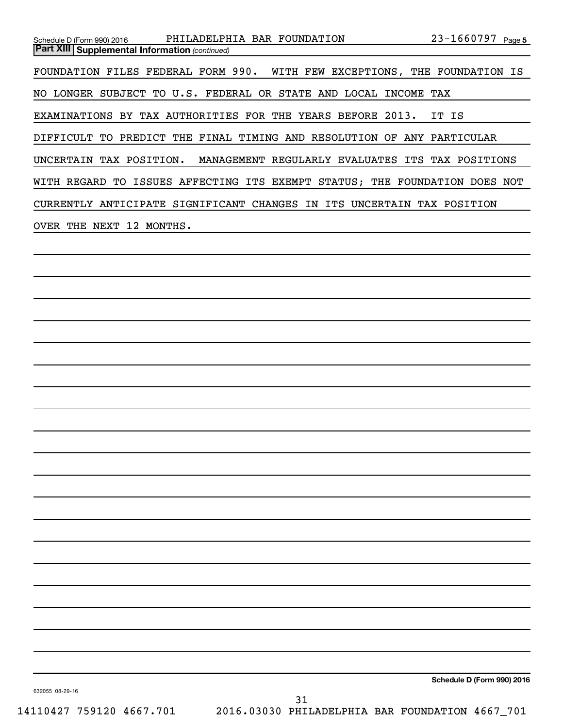| PHILADELPHIA BAR FOUNDATION<br>$23 - 1660797$ Page 5<br>Schedule D (Form 990) 2016<br><b>Part XIII Supplemental Information (continued)</b> |
|---------------------------------------------------------------------------------------------------------------------------------------------|
|                                                                                                                                             |
| FOUNDATION FILES FEDERAL FORM 990.<br>WITH FEW EXCEPTIONS, THE FOUNDATION IS                                                                |
| NO LONGER SUBJECT TO U.S. FEDERAL OR STATE AND LOCAL INCOME TAX                                                                             |
| EXAMINATIONS BY TAX AUTHORITIES FOR THE YEARS BEFORE 2013.<br>IT IS                                                                         |
| DIFFICULT TO PREDICT THE FINAL TIMING AND RESOLUTION OF ANY PARTICULAR                                                                      |
| UNCERTAIN TAX POSITION.<br>MANAGEMENT REGULARLY EVALUATES ITS TAX POSITIONS                                                                 |
| WITH REGARD TO ISSUES AFFECTING ITS EXEMPT STATUS; THE FOUNDATION DOES NOT                                                                  |
| CURRENTLY ANTICIPATE SIGNIFICANT CHANGES IN ITS UNCERTAIN TAX POSITION                                                                      |
| OVER THE NEXT 12 MONTHS.                                                                                                                    |
|                                                                                                                                             |
|                                                                                                                                             |
|                                                                                                                                             |
|                                                                                                                                             |
|                                                                                                                                             |
|                                                                                                                                             |
|                                                                                                                                             |
|                                                                                                                                             |
|                                                                                                                                             |
|                                                                                                                                             |
|                                                                                                                                             |
|                                                                                                                                             |
|                                                                                                                                             |
|                                                                                                                                             |
|                                                                                                                                             |
|                                                                                                                                             |
|                                                                                                                                             |
|                                                                                                                                             |
|                                                                                                                                             |
|                                                                                                                                             |
|                                                                                                                                             |
| Schedule D (Form 990) 2016                                                                                                                  |
| 632055 08-29-16<br>31                                                                                                                       |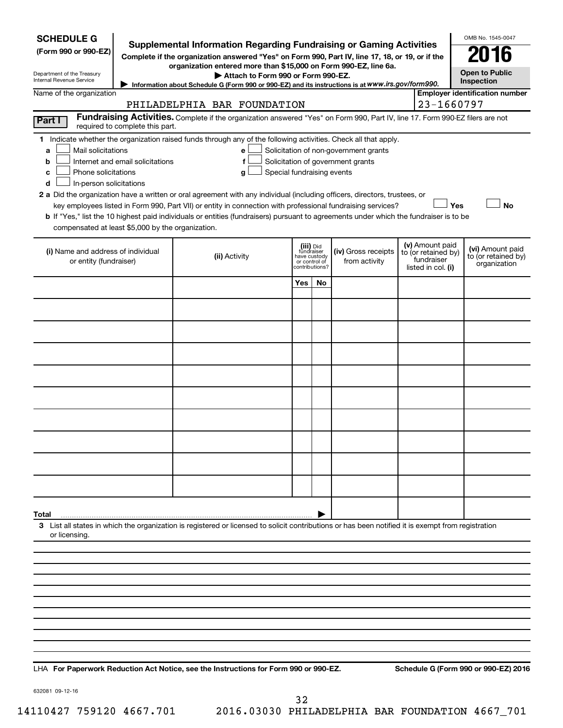| <b>SCHEDULE G</b><br>(Form 990 or 990-EZ)<br>Department of the Treasury<br>Internal Revenue Service                                           |                                  | Supplemental Information Regarding Fundraising or Gaming Activities<br>Complete if the organization answered "Yes" on Form 990, Part IV, line 17, 18, or 19, or if the<br>organization entered more than \$15,000 on Form 990-EZ, line 6a.<br>Attach to Form 990 or Form 990-EZ.<br>Information about Schedule G (Form 990 or 990-EZ) and its instructions is at WWW.irs.gov/form990.                                                                                                                                                              |                                                          |                |                                                                            |  |                                                                            | OMB No. 1545-0047<br>2016<br><b>Open to Public</b><br>Inspection |
|-----------------------------------------------------------------------------------------------------------------------------------------------|----------------------------------|----------------------------------------------------------------------------------------------------------------------------------------------------------------------------------------------------------------------------------------------------------------------------------------------------------------------------------------------------------------------------------------------------------------------------------------------------------------------------------------------------------------------------------------------------|----------------------------------------------------------|----------------|----------------------------------------------------------------------------|--|----------------------------------------------------------------------------|------------------------------------------------------------------|
| Name of the organization                                                                                                                      |                                  | <b>Employer identification number</b>                                                                                                                                                                                                                                                                                                                                                                                                                                                                                                              |                                                          |                |                                                                            |  |                                                                            |                                                                  |
|                                                                                                                                               |                                  | PHILADELPHIA BAR FOUNDATION<br>Fundraising Activities. Complete if the organization answered "Yes" on Form 990, Part IV, line 17. Form 990-EZ filers are not                                                                                                                                                                                                                                                                                                                                                                                       |                                                          |                |                                                                            |  | 23-1660797                                                                 |                                                                  |
| Part I                                                                                                                                        | required to complete this part.  |                                                                                                                                                                                                                                                                                                                                                                                                                                                                                                                                                    |                                                          |                |                                                                            |  |                                                                            |                                                                  |
| Mail solicitations<br>a<br>b<br>Phone solicitations<br>c<br>In-person solicitations<br>d<br>compensated at least \$5,000 by the organization. | Internet and email solicitations | 1 Indicate whether the organization raised funds through any of the following activities. Check all that apply.<br>e<br>f<br>Special fundraising events<br>g<br>2 a Did the organization have a written or oral agreement with any individual (including officers, directors, trustees, or<br>key employees listed in Form 990, Part VII) or entity in connection with professional fundraising services?<br>b If "Yes," list the 10 highest paid individuals or entities (fundraisers) pursuant to agreements under which the fundraiser is to be |                                                          |                | Solicitation of non-government grants<br>Solicitation of government grants |  | Yes                                                                        | <b>No</b>                                                        |
| (i) Name and address of individual<br>or entity (fundraiser)                                                                                  |                                  | (ii) Activity                                                                                                                                                                                                                                                                                                                                                                                                                                                                                                                                      | (iii) Did<br>fundraiser<br>have custody<br>or control of | contributions? | (iv) Gross receipts<br>from activity                                       |  | (v) Amount paid<br>to (or retained by)<br>fundraiser<br>listed in col. (i) | (vi) Amount paid<br>to (or retained by)<br>organization          |
|                                                                                                                                               |                                  |                                                                                                                                                                                                                                                                                                                                                                                                                                                                                                                                                    | Yes                                                      | No             |                                                                            |  |                                                                            |                                                                  |
|                                                                                                                                               |                                  |                                                                                                                                                                                                                                                                                                                                                                                                                                                                                                                                                    |                                                          |                |                                                                            |  |                                                                            |                                                                  |
|                                                                                                                                               |                                  |                                                                                                                                                                                                                                                                                                                                                                                                                                                                                                                                                    |                                                          |                |                                                                            |  |                                                                            |                                                                  |
|                                                                                                                                               |                                  |                                                                                                                                                                                                                                                                                                                                                                                                                                                                                                                                                    |                                                          |                |                                                                            |  |                                                                            |                                                                  |
|                                                                                                                                               |                                  |                                                                                                                                                                                                                                                                                                                                                                                                                                                                                                                                                    |                                                          |                |                                                                            |  |                                                                            |                                                                  |
|                                                                                                                                               |                                  |                                                                                                                                                                                                                                                                                                                                                                                                                                                                                                                                                    |                                                          |                |                                                                            |  |                                                                            |                                                                  |
|                                                                                                                                               |                                  |                                                                                                                                                                                                                                                                                                                                                                                                                                                                                                                                                    |                                                          |                |                                                                            |  |                                                                            |                                                                  |
|                                                                                                                                               |                                  |                                                                                                                                                                                                                                                                                                                                                                                                                                                                                                                                                    |                                                          |                |                                                                            |  |                                                                            |                                                                  |
|                                                                                                                                               |                                  |                                                                                                                                                                                                                                                                                                                                                                                                                                                                                                                                                    |                                                          |                |                                                                            |  |                                                                            |                                                                  |
|                                                                                                                                               |                                  |                                                                                                                                                                                                                                                                                                                                                                                                                                                                                                                                                    |                                                          |                |                                                                            |  |                                                                            |                                                                  |
|                                                                                                                                               |                                  |                                                                                                                                                                                                                                                                                                                                                                                                                                                                                                                                                    |                                                          |                |                                                                            |  |                                                                            |                                                                  |
| Total<br>or licensing.                                                                                                                        |                                  | 3 List all states in which the organization is registered or licensed to solicit contributions or has been notified it is exempt from registration                                                                                                                                                                                                                                                                                                                                                                                                 |                                                          |                |                                                                            |  |                                                                            |                                                                  |
|                                                                                                                                               |                                  |                                                                                                                                                                                                                                                                                                                                                                                                                                                                                                                                                    |                                                          |                |                                                                            |  |                                                                            |                                                                  |
|                                                                                                                                               |                                  |                                                                                                                                                                                                                                                                                                                                                                                                                                                                                                                                                    |                                                          |                |                                                                            |  |                                                                            |                                                                  |
|                                                                                                                                               |                                  |                                                                                                                                                                                                                                                                                                                                                                                                                                                                                                                                                    |                                                          |                |                                                                            |  |                                                                            |                                                                  |
|                                                                                                                                               |                                  |                                                                                                                                                                                                                                                                                                                                                                                                                                                                                                                                                    |                                                          |                |                                                                            |  |                                                                            |                                                                  |
|                                                                                                                                               |                                  |                                                                                                                                                                                                                                                                                                                                                                                                                                                                                                                                                    |                                                          |                |                                                                            |  |                                                                            |                                                                  |
|                                                                                                                                               |                                  |                                                                                                                                                                                                                                                                                                                                                                                                                                                                                                                                                    |                                                          |                |                                                                            |  |                                                                            |                                                                  |
|                                                                                                                                               |                                  |                                                                                                                                                                                                                                                                                                                                                                                                                                                                                                                                                    |                                                          |                |                                                                            |  |                                                                            |                                                                  |

**For Paperwork Reduction Act Notice, see the Instructions for Form 990 or 990-EZ. Schedule G (Form 990 or 990-EZ) 2016** LHA

632081 09-12-16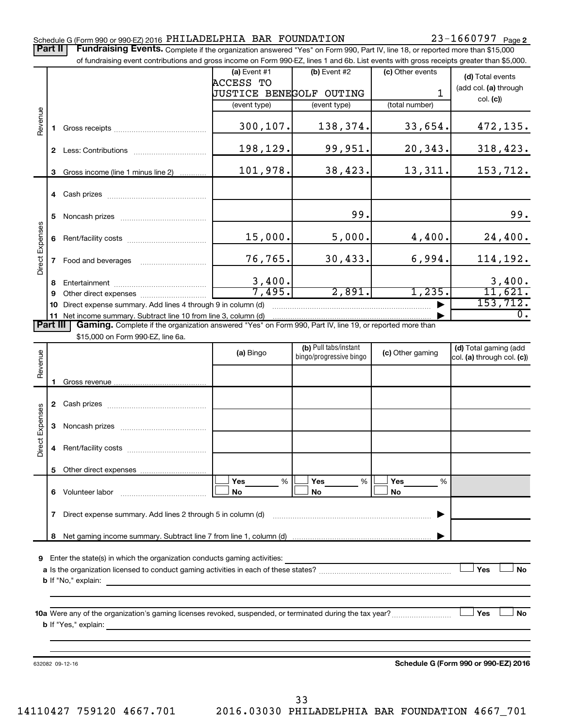## Part II | Fundraising Events. Complete if the organization answered "Yes" on Form 990, Part IV, line 18, or reported more than \$15,000 of fundraising event contributions and gross income on Form 990-EZ, lines 1 and 6b. List events with gross receipts greater than \$5,000. **(a)** Event  $#1$  **(b)** Event  $#2$ (c) Other events **(d)**  Total events ACCESS TO (add col. (a) through JUSTICE BENEGOLF OUTING 1 col. **(c)**) (event type) (event type) (total number) Revenue 300,107. 138,374. 33,654. 472,135. **1** Gross receipts ~~~~~~~~~~~~~~ 198,129. 99,951. 20,343. 318,423. **2** Less: Contributions ~~~~~~~~~~~ 101,978. 38,423. 13,311. 153,712. **3** Gross income (line 1 minus line 2) . . . . . . . . . . . . **4** Cash prizes ~~~~~~~~~~~~~~~ 99. 99. **5** Noncash prizes ~~~~~~~~~~~~~ Direct Expenses Direct Expenses 15,000. 5,000. 4,400. 24,400. **6** Rent/facility costs ~~~~~~~~~~~~ 76,765. 30,433. 6,994. 114,192. **7** Food and beverages ~~~~~~~~~~ 3,400. 3,400. **8** Entertainment ~~~~~~~~~~~~~~ 7,495. 2,891. 1,235. 11,621. **9** Other direct expenses  $\ldots$  **............................** 153,712. **10** Direct expense summary. Add lines 4 through 9 in column (d) ~~~~~~~~~~~~~~~~~~~~~~~~~~~~~~~~~~~ ▶ 0. **11** Net income summary. Subtract line 10 from line 3, column (d) | Part III | Gaming. Complete if the organization answered "Yes" on Form 990, Part IV, line 19, or reported more than \$15,000 on Form 990-EZ, line 6a. (b) Pull tabs/instant (d) Total gaming (add Revenue **(a)** Bingo **a b**ingo/progressive bingo **(c)** Other gaming bingo/progressive bingo col. (a) through col. (c)) Gross revenue **1 2** Cash prizes ~~~~~~~~~~~~~~~ Expenses Direct Expenses **3** Noncash prizes ~~~~~~~~~~~~~ Direct **4** Rent/facility costs ~~~~~~~~~~~~ **5** Other direct expenses  $|\Box$  Yes  $\qquad \%$   $|\Box$  Yes  $\qquad \%$   $|\Box$ **Yes Yes Yes** % % %  $|\Box$  No  $|\Box$  No  $|\Box$ **6** Volunteer labor ~~~~~~~~~~~~~ **No No No 7** Direct expense summary. Add lines 2 through 5 in column (d) ~~~~~~~~~~~~~~~~~~~~~~~~ | Net gaming income summary. Subtract line 7 from line 1, column (d) **8** | **9** Enter the state(s) in which the organization conducts gaming activities:  $|$  Yes **Yes No a** Is the organization licensed to conduct gaming activities in each of these states? ~~~~~~~~~~~~~~~~~~~~ **b** If "No," explain: **10 a** Were any of the organization's gaming licenses revoked, suspended, or terminated during the tax year? ~~~~~~~~~ † † **Yes No b** If "Yes," explain: **Schedule G (Form 990 or 990-EZ) 2016** 632082 09-12-16

Schedule G (Form 990 or 990-EZ) 2016 Page PHILADELPHIA BAR FOUNDATION 23-1660797

33

23-1660797 <sub>Page 2</sub>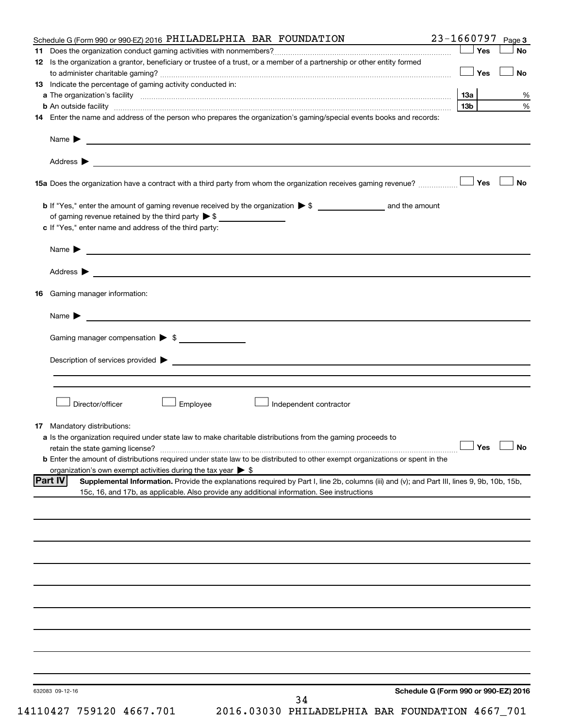| Schedule G (Form 990 or 990-EZ) 2016 PHILADELPHIA BAR FOUNDATION                                                                                                                                                                                                      | 23-1660797      | Page 3               |
|-----------------------------------------------------------------------------------------------------------------------------------------------------------------------------------------------------------------------------------------------------------------------|-----------------|----------------------|
|                                                                                                                                                                                                                                                                       | Yes             | <b>No</b>            |
| 12 Is the organization a grantor, beneficiary or trustee of a trust, or a member of a partnership or other entity formed                                                                                                                                              |                 |                      |
|                                                                                                                                                                                                                                                                       | Yes             | <b>No</b>            |
| 13 Indicate the percentage of gaming activity conducted in:                                                                                                                                                                                                           |                 |                      |
|                                                                                                                                                                                                                                                                       | 1За             | %                    |
| <b>b</b> An outside facility <i>www.communicality.communicality.communicality www.communicality.communicality.communicality</i>                                                                                                                                       | 13 <sub>b</sub> | %                    |
| 14 Enter the name and address of the person who prepares the organization's gaming/special events books and records:                                                                                                                                                  |                 |                      |
| Name $\blacktriangleright$<br><u> 1989 - Johann Barn, fransk politik formuler (d. 1989)</u>                                                                                                                                                                           |                 |                      |
|                                                                                                                                                                                                                                                                       |                 |                      |
| 15a Does the organization have a contract with a third party from whom the organization receives gaming revenue?                                                                                                                                                      | Yes             | <b>No</b>            |
|                                                                                                                                                                                                                                                                       |                 |                      |
| of gaming revenue retained by the third party $\triangleright$ \$                                                                                                                                                                                                     |                 |                      |
| c If "Yes," enter name and address of the third party:                                                                                                                                                                                                                |                 |                      |
| Name $\blacktriangleright$<br><u>and the second control of the second control of the second control of the second control of</u>                                                                                                                                      |                 |                      |
| Address $\blacktriangleright$<br><u>and the state of the state of the state of the state of the state of the state of the state of the state of the state of the state of the state of the state of the state of the state of the state of the state of the state</u> |                 |                      |
|                                                                                                                                                                                                                                                                       |                 |                      |
| <b>16</b> Gaming manager information:                                                                                                                                                                                                                                 |                 |                      |
| Name $\blacktriangleright$                                                                                                                                                                                                                                            |                 |                      |
| Gaming manager compensation > \$                                                                                                                                                                                                                                      |                 |                      |
| Description of services provided > example and a service of the service of the services provided > example and the services of the services of the services of the services of the services of the services of the services of                                        |                 |                      |
|                                                                                                                                                                                                                                                                       |                 |                      |
|                                                                                                                                                                                                                                                                       |                 |                      |
| Director/officer<br><b>Employee</b><br>Independent contractor                                                                                                                                                                                                         |                 |                      |
|                                                                                                                                                                                                                                                                       |                 |                      |
| <b>17</b> Mandatory distributions:                                                                                                                                                                                                                                    |                 |                      |
| a Is the organization required under state law to make charitable distributions from the gaming proceeds to                                                                                                                                                           |                 |                      |
| retain the state gaming license?                                                                                                                                                                                                                                      |                 | $\Box$ Yes $\Box$ No |
| <b>b</b> Enter the amount of distributions required under state law to be distributed to other exempt organizations or spent in the                                                                                                                                   |                 |                      |
| organization's own exempt activities during the tax year $\triangleright$ \$                                                                                                                                                                                          |                 |                      |
| <b>Part IV</b><br>Supplemental Information. Provide the explanations required by Part I, line 2b, columns (iii) and (v); and Part III, lines 9, 9b, 10b, 15b,                                                                                                         |                 |                      |
| 15c, 16, and 17b, as applicable. Also provide any additional information. See instructions                                                                                                                                                                            |                 |                      |
|                                                                                                                                                                                                                                                                       |                 |                      |
|                                                                                                                                                                                                                                                                       |                 |                      |
|                                                                                                                                                                                                                                                                       |                 |                      |
|                                                                                                                                                                                                                                                                       |                 |                      |
|                                                                                                                                                                                                                                                                       |                 |                      |
|                                                                                                                                                                                                                                                                       |                 |                      |
|                                                                                                                                                                                                                                                                       |                 |                      |
|                                                                                                                                                                                                                                                                       |                 |                      |
|                                                                                                                                                                                                                                                                       |                 |                      |
|                                                                                                                                                                                                                                                                       |                 |                      |
|                                                                                                                                                                                                                                                                       |                 |                      |
|                                                                                                                                                                                                                                                                       |                 |                      |
| Schedule G (Form 990 or 990-EZ) 2016<br>632083 09-12-16                                                                                                                                                                                                               |                 |                      |
| 34                                                                                                                                                                                                                                                                    |                 |                      |

14110427 759120 4667.701 2016.03030 PHILADELPHIA BAR FOUNDATION 4667\_701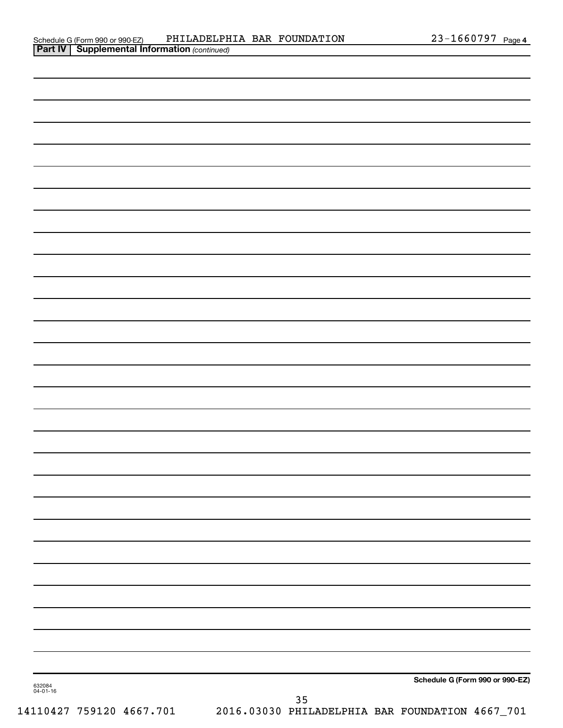| 632084<br>04-01-16 |    | Schedule G (Form 990 or 990-EZ) |
|--------------------|----|---------------------------------|
|                    | 35 |                                 |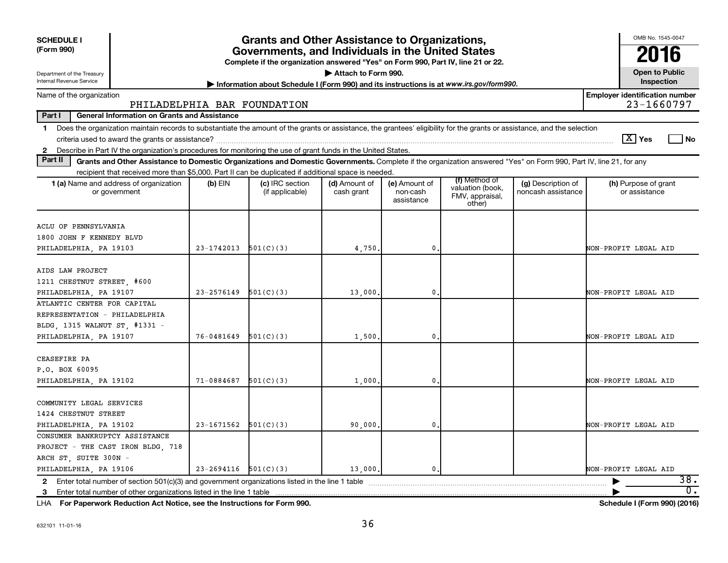| <b>SCHEDULE I</b><br>(Form 990)                                                                                                                                                                                                                                                                                          | <b>Grants and Other Assistance to Organizations,</b><br>Governments, and Individuals in the United States<br>Complete if the organization answered "Yes" on Form 990, Part IV, line 21 or 22. |                                    |                             |                                         |                                                                |                                          |                                       |  |  |  |  |  |
|--------------------------------------------------------------------------------------------------------------------------------------------------------------------------------------------------------------------------------------------------------------------------------------------------------------------------|-----------------------------------------------------------------------------------------------------------------------------------------------------------------------------------------------|------------------------------------|-----------------------------|-----------------------------------------|----------------------------------------------------------------|------------------------------------------|---------------------------------------|--|--|--|--|--|
| Attach to Form 990.<br>Department of the Treasury<br>Internal Revenue Service<br>Information about Schedule I (Form 990) and its instructions is at www.irs.gov/form990.                                                                                                                                                 |                                                                                                                                                                                               |                                    |                             |                                         |                                                                |                                          |                                       |  |  |  |  |  |
| <b>Employer identification number</b><br>Name of the organization<br>23-1660797<br>PHILADELPHIA BAR FOUNDATION                                                                                                                                                                                                           |                                                                                                                                                                                               |                                    |                             |                                         |                                                                |                                          |                                       |  |  |  |  |  |
| Part I<br><b>General Information on Grants and Assistance</b>                                                                                                                                                                                                                                                            |                                                                                                                                                                                               |                                    |                             |                                         |                                                                |                                          |                                       |  |  |  |  |  |
| Does the organization maintain records to substantiate the amount of the grants or assistance, the grantees' eligibility for the grants or assistance, and the selection<br>$\mathbf 1$<br>Describe in Part IV the organization's procedures for monitoring the use of grant funds in the United States.<br>$\mathbf{2}$ |                                                                                                                                                                                               |                                    |                             |                                         |                                                                |                                          | $\lfloor X \rfloor$ Yes<br>l No       |  |  |  |  |  |
| Part II<br>Grants and Other Assistance to Domestic Organizations and Domestic Governments. Complete if the organization answered "Yes" on Form 990, Part IV, line 21, for any                                                                                                                                            |                                                                                                                                                                                               |                                    |                             |                                         |                                                                |                                          |                                       |  |  |  |  |  |
| recipient that received more than \$5,000. Part II can be duplicated if additional space is needed.                                                                                                                                                                                                                      |                                                                                                                                                                                               |                                    |                             |                                         |                                                                |                                          |                                       |  |  |  |  |  |
| 1 (a) Name and address of organization<br>or government                                                                                                                                                                                                                                                                  | (b) EIN                                                                                                                                                                                       | (c) IRC section<br>(if applicable) | (d) Amount of<br>cash grant | (e) Amount of<br>non-cash<br>assistance | (f) Method of<br>valuation (book,<br>FMV, appraisal,<br>other) | (g) Description of<br>noncash assistance | (h) Purpose of grant<br>or assistance |  |  |  |  |  |
| ACLU OF PENNSYLVANIA<br>1800 JOHN F KENNEDY BLVD<br>PHILADELPHIA, PA 19103                                                                                                                                                                                                                                               | $23-1742013$ $501(C)(3)$                                                                                                                                                                      |                                    | 4,750.                      | $\mathbf{0}$                            |                                                                |                                          | NON-PROFIT LEGAL AID                  |  |  |  |  |  |
| AIDS LAW PROJECT<br>1211 CHESTNUT STREET, #600<br>PHILADELPHIA, PA 19107                                                                                                                                                                                                                                                 | $23 - 2576149$                                                                                                                                                                                | 501(C)(3)                          | 13,000                      | $\mathbf{0}$                            |                                                                |                                          | NON-PROFIT LEGAL AID                  |  |  |  |  |  |
| ATLANTIC CENTER FOR CAPITAL<br>REPRESENTATION - PHILADELPHIA<br>BLDG, 1315 WALNUT ST, #1331 -<br>PHILADELPHIA, PA 19107                                                                                                                                                                                                  | 76-0481649                                                                                                                                                                                    | 501(C)(3)                          | 1,500                       | $\mathbf{0}$                            |                                                                |                                          | NON-PROFIT LEGAL AID                  |  |  |  |  |  |
| CEASEFIRE PA<br>P.O. BOX 60095<br>PHILADELPHIA, PA 19102                                                                                                                                                                                                                                                                 | $71-0884687$ $501(C)(3)$                                                                                                                                                                      |                                    | 1,000                       | $\mathbf{0}$                            |                                                                |                                          | NON-PROFIT LEGAL AID                  |  |  |  |  |  |
| COMMUNITY LEGAL SERVICES<br>1424 CHESTNUT STREET<br>PHILADELPHIA, PA 19102                                                                                                                                                                                                                                               | $23-1671562$ $501(C)(3)$                                                                                                                                                                      |                                    | 90,000,                     | $\mathbf{0}$                            |                                                                |                                          | NON-PROFIT LEGAL AID                  |  |  |  |  |  |
| CONSUMER BANKRUPTCY ASSISTANCE<br>PROJECT - THE CAST IRON BLDG, 718<br>ARCH ST, SUITE 300N -<br>PHILADELPHIA, PA 19106                                                                                                                                                                                                   | $23 - 2694116$ $501(C)(3)$                                                                                                                                                                    |                                    | 13,000.                     | $\mathbf{0}$ .                          |                                                                |                                          | NON-PROFIT LEGAL AID                  |  |  |  |  |  |
| 2 Enter total number of section 501(c)(3) and government organizations listed in the line 1 table                                                                                                                                                                                                                        |                                                                                                                                                                                               |                                    |                             |                                         |                                                                |                                          | 38.<br>$\overline{0}$ .               |  |  |  |  |  |

**For Paperwork Reduction Act Notice, see the Instructions for Form 990. Schedule I (Form 990) (2016)** LHA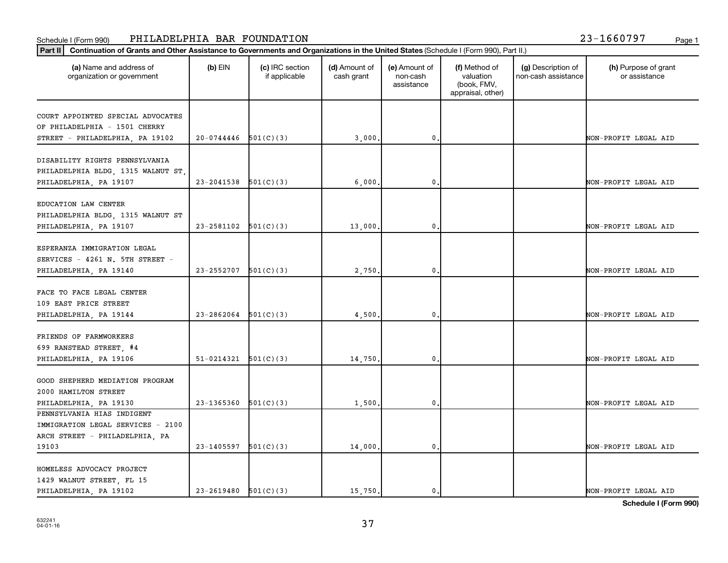#### Schedule I (Form 990) Page 1 PHILADELPHIA BAR FOUNDATION 23-1660797

| (a) Name and address of<br>organization or government | $(b)$ EIN                  | (c) IRC section<br>if applicable | (d) Amount of<br>cash grant | (e) Amount of<br>non-cash<br>assistance | (f) Method of<br>valuation<br>(book, FMV,<br>appraisal, other) | (g) Description of<br>non-cash assistance | (h) Purpose of grant<br>or assistance |
|-------------------------------------------------------|----------------------------|----------------------------------|-----------------------------|-----------------------------------------|----------------------------------------------------------------|-------------------------------------------|---------------------------------------|
| COURT APPOINTED SPECIAL ADVOCATES                     |                            |                                  |                             |                                         |                                                                |                                           |                                       |
| OF PHILADELPHIA - 1501 CHERRY                         |                            |                                  |                             |                                         |                                                                |                                           |                                       |
| STREET - PHILADELPHIA, PA 19102                       | $20-0744446$ 501(C)(3)     |                                  | 3,000                       | 0                                       |                                                                |                                           | NON-PROFIT LEGAL AID                  |
|                                                       |                            |                                  |                             |                                         |                                                                |                                           |                                       |
| DISABILITY RIGHTS PENNSYLVANIA                        |                            |                                  |                             |                                         |                                                                |                                           |                                       |
| PHILADELPHIA BLDG, 1315 WALNUT ST,                    |                            |                                  |                             |                                         |                                                                |                                           |                                       |
| PHILADELPHIA, PA 19107                                | 23-2041538                 | 501(C)(3)                        | 6,000                       | 0                                       |                                                                |                                           | NON-PROFIT LEGAL AID                  |
|                                                       |                            |                                  |                             |                                         |                                                                |                                           |                                       |
| EDUCATION LAW CENTER                                  |                            |                                  |                             |                                         |                                                                |                                           |                                       |
| PHILADELPHIA BLDG, 1315 WALNUT ST                     |                            |                                  |                             |                                         |                                                                |                                           |                                       |
| PHILADELPHIA, PA 19107                                | 23-2581102                 | 501(C)(3)                        | 13,000                      | 0                                       |                                                                |                                           | NON-PROFIT LEGAL AID                  |
| ESPERANZA IMMIGRATION LEGAL                           |                            |                                  |                             |                                         |                                                                |                                           |                                       |
| SERVICES - 4261 N. 5TH STREET -                       |                            |                                  |                             |                                         |                                                                |                                           |                                       |
|                                                       | 23-2552707                 |                                  |                             | 0                                       |                                                                |                                           | NON-PROFIT LEGAL AID                  |
| PHILADELPHIA, PA 19140                                |                            | 501(C)(3)                        | 2,750                       |                                         |                                                                |                                           |                                       |
| FACE TO FACE LEGAL CENTER                             |                            |                                  |                             |                                         |                                                                |                                           |                                       |
| 109 EAST PRICE STREET                                 |                            |                                  |                             |                                         |                                                                |                                           |                                       |
| PHILADELPHIA, PA 19144                                | 23-2862064                 | 501(C)(3)                        | 4,500                       | 0                                       |                                                                |                                           | NON-PROFIT LEGAL AID                  |
|                                                       |                            |                                  |                             |                                         |                                                                |                                           |                                       |
| FRIENDS OF FARMWORKERS                                |                            |                                  |                             |                                         |                                                                |                                           |                                       |
| 699 RANSTEAD STREET, #4                               |                            |                                  |                             |                                         |                                                                |                                           |                                       |
| PHILADELPHIA, PA 19106                                | 51-0214321                 | 501(C)(3)                        | 14,750                      | 0                                       |                                                                |                                           | NON-PROFIT LEGAL AID                  |
|                                                       |                            |                                  |                             |                                         |                                                                |                                           |                                       |
| GOOD SHEPHERD MEDIATION PROGRAM                       |                            |                                  |                             |                                         |                                                                |                                           |                                       |
| 2000 HAMILTON STREET                                  |                            |                                  |                             |                                         |                                                                |                                           |                                       |
| PHILADELPHIA, PA 19130                                | 23-1365360                 | 501(C)(3)                        | 1,500                       | 0                                       |                                                                |                                           | NON-PROFIT LEGAL AID                  |
| PENNSYLVANIA HIAS INDIGENT                            |                            |                                  |                             |                                         |                                                                |                                           |                                       |
| IMMIGRATION LEGAL SERVICES - 2100                     |                            |                                  |                             |                                         |                                                                |                                           |                                       |
| ARCH STREET - PHILADELPHIA, PA                        |                            |                                  |                             |                                         |                                                                |                                           |                                       |
| 19103                                                 | 23-1405597                 | 501(C)(3)                        | 14,000                      | 0                                       |                                                                |                                           | NON-PROFIT LEGAL AID                  |
|                                                       |                            |                                  |                             |                                         |                                                                |                                           |                                       |
| HOMELESS ADVOCACY PROJECT                             |                            |                                  |                             |                                         |                                                                |                                           |                                       |
| 1429 WALNUT STREET, FL 15                             |                            |                                  |                             |                                         |                                                                |                                           |                                       |
| PHILADELPHIA, PA 19102                                | $23 - 2619480$ $501(C)(3)$ |                                  | 15,750.                     | 0                                       |                                                                |                                           | NON-PROFIT LEGAL AID                  |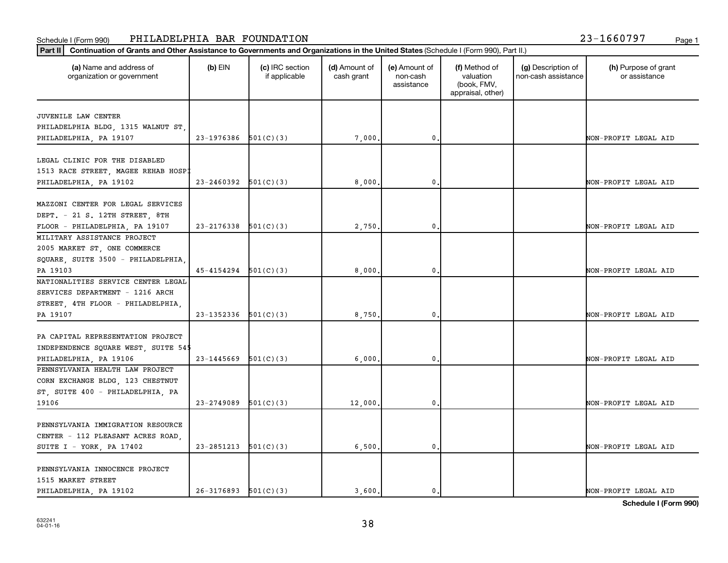#### Schedule I (Form 990) Page 1 PHILADELPHIA BAR FOUNDATION 23-1660797

| (a) Name and address of<br>organization or government | $(b)$ EIN                  | (c) IRC section<br>if applicable | (d) Amount of<br>cash grant | (e) Amount of<br>non-cash<br>assistance | (f) Method of<br>valuation<br>(book, FMV,<br>appraisal, other) | (g) Description of<br>non-cash assistance | (h) Purpose of grant<br>or assistance |
|-------------------------------------------------------|----------------------------|----------------------------------|-----------------------------|-----------------------------------------|----------------------------------------------------------------|-------------------------------------------|---------------------------------------|
| JUVENILE LAW CENTER                                   |                            |                                  |                             |                                         |                                                                |                                           |                                       |
| PHILADELPHIA BLDG, 1315 WALNUT ST,                    |                            |                                  |                             |                                         |                                                                |                                           |                                       |
| PHILADELPHIA, PA 19107                                | $23-1976386$ $501(C)(3)$   |                                  | 7,000                       | 0.                                      |                                                                |                                           | NON-PROFIT LEGAL AID                  |
|                                                       |                            |                                  |                             |                                         |                                                                |                                           |                                       |
| LEGAL CLINIC FOR THE DISABLED                         |                            |                                  |                             |                                         |                                                                |                                           |                                       |
| 1513 RACE STREET, MAGEE REHAB HOSPI                   |                            |                                  |                             |                                         |                                                                |                                           |                                       |
| PHILADELPHIA, PA 19102                                | 23-2460392                 | 501(C)(3)                        | 8,000                       | $\mathbf 0$ .                           |                                                                |                                           | NON-PROFIT LEGAL AID                  |
|                                                       |                            |                                  |                             |                                         |                                                                |                                           |                                       |
| MAZZONI CENTER FOR LEGAL SERVICES                     |                            |                                  |                             |                                         |                                                                |                                           |                                       |
| DEPT. - 21 S. 12TH STREET, 8TH                        |                            |                                  |                             |                                         |                                                                |                                           |                                       |
| FLOOR - PHILADELPHIA, PA 19107                        | 23-2176338                 | 501(C)(3)                        | 2,750                       | 0.                                      |                                                                |                                           | NON-PROFIT LEGAL AID                  |
| MILITARY ASSISTANCE PROJECT                           |                            |                                  |                             |                                         |                                                                |                                           |                                       |
| 2005 MARKET ST, ONE COMMERCE                          |                            |                                  |                             |                                         |                                                                |                                           |                                       |
| SQUARE, SUITE 3500 - PHILADELPHIA                     |                            |                                  |                             |                                         |                                                                |                                           |                                       |
| PA 19103                                              | $45 - 4154294$ $501(C)(3)$ |                                  | 8,000                       | 0.                                      |                                                                |                                           | NON-PROFIT LEGAL AID                  |
| NATIONALITIES SERVICE CENTER LEGAL                    |                            |                                  |                             |                                         |                                                                |                                           |                                       |
| SERVICES DEPARTMENT - 1216 ARCH                       |                            |                                  |                             |                                         |                                                                |                                           |                                       |
| STREET, 4TH FLOOR - PHILADELPHIA,                     |                            |                                  |                             |                                         |                                                                |                                           |                                       |
| PA 19107                                              | 23-1352336                 | 501(C)(3)                        | 8,750                       | $\mathbf 0$ .                           |                                                                |                                           | NON-PROFIT LEGAL AID                  |
|                                                       |                            |                                  |                             |                                         |                                                                |                                           |                                       |
| PA CAPITAL REPRESENTATION PROJECT                     |                            |                                  |                             |                                         |                                                                |                                           |                                       |
| INDEPENDENCE SQUARE WEST, SUITE 545                   |                            |                                  |                             |                                         |                                                                |                                           |                                       |
| PHILADELPHIA, PA 19106                                | 23-1445669                 | 501(C)(3)                        | 6,000                       | 0.                                      |                                                                |                                           | NON-PROFIT LEGAL AID                  |
| PENNSYLVANIA HEALTH LAW PROJECT                       |                            |                                  |                             |                                         |                                                                |                                           |                                       |
| CORN EXCHANGE BLDG, 123 CHESTNUT                      |                            |                                  |                             |                                         |                                                                |                                           |                                       |
| ST, SUITE 400 - PHILADELPHIA, PA                      |                            |                                  |                             |                                         |                                                                |                                           |                                       |
| 19106                                                 | 23-2749089                 | 501(C)(3)                        | 12,000                      | 0.                                      |                                                                |                                           | NON-PROFIT LEGAL AID                  |
| PENNSYLVANIA IMMIGRATION RESOURCE                     |                            |                                  |                             |                                         |                                                                |                                           |                                       |
| CENTER - 112 PLEASANT ACRES ROAD,                     |                            |                                  |                             |                                         |                                                                |                                           |                                       |
|                                                       | $23 - 2851213$ $501(C)(3)$ |                                  |                             | 0.                                      |                                                                |                                           | NON-PROFIT LEGAL AID                  |
| SUITE I - YORK, PA 17402                              |                            |                                  | 6,500                       |                                         |                                                                |                                           |                                       |
| PENNSYLVANIA INNOCENCE PROJECT                        |                            |                                  |                             |                                         |                                                                |                                           |                                       |
| 1515 MARKET STREET                                    |                            |                                  |                             |                                         |                                                                |                                           |                                       |
| PHILADELPHIA, PA 19102                                | $26-3176893$ $501(C)(3)$   |                                  | 3,600.                      | $\mathbf{0}$ .                          |                                                                |                                           | NON-PROFIT LEGAL AID                  |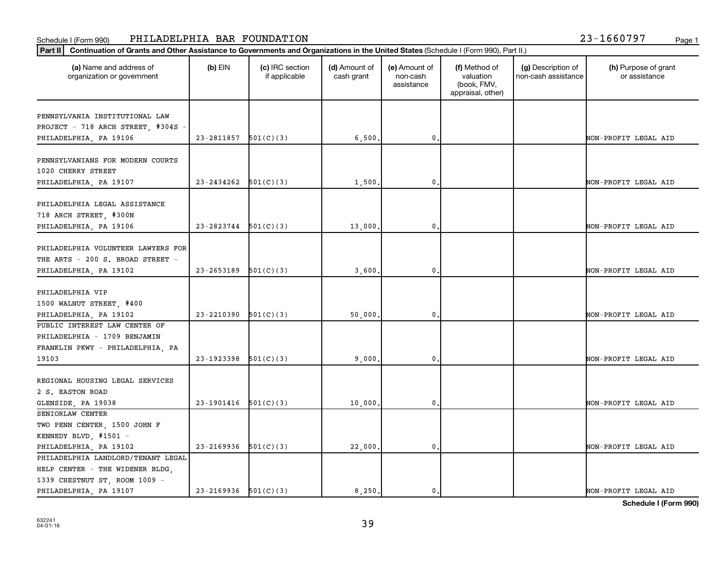#### Schedule I (Form 990) Page 1 PHILADELPHIA BAR FOUNDATION 23-1660797

| (a) Name and address of<br>organization or government | $(b)$ EIN                | (c) IRC section<br>if applicable | (d) Amount of<br>cash grant | (e) Amount of<br>non-cash<br>assistance | (f) Method of<br>valuation<br>(book, FMV,<br>appraisal, other) | (g) Description of<br>non-cash assistance | (h) Purpose of grant<br>or assistance |
|-------------------------------------------------------|--------------------------|----------------------------------|-----------------------------|-----------------------------------------|----------------------------------------------------------------|-------------------------------------------|---------------------------------------|
| PENNSYLVANIA INSTITUTIONAL LAW                        |                          |                                  |                             |                                         |                                                                |                                           |                                       |
| PROJECT - 718 ARCH STREET, #304S -                    |                          |                                  |                             |                                         |                                                                |                                           |                                       |
| PHILADELPHIA, PA 19106                                | 23-2811857               | 501(C)(3)                        | 6,500.                      | $\mathbf{0}$                            |                                                                |                                           | NON-PROFIT LEGAL AID                  |
|                                                       |                          |                                  |                             |                                         |                                                                |                                           |                                       |
| PENNSYLVANIANS FOR MODERN COURTS                      |                          |                                  |                             |                                         |                                                                |                                           |                                       |
| 1020 CHERRY STREET                                    |                          |                                  |                             |                                         |                                                                |                                           |                                       |
| PHILADELPHIA, PA 19107                                | 23-2434262               | 501(C)(3)                        | 1,500                       | 0                                       |                                                                |                                           | NON-PROFIT LEGAL AID                  |
|                                                       |                          |                                  |                             |                                         |                                                                |                                           |                                       |
| PHILADELPHIA LEGAL ASSISTANCE                         |                          |                                  |                             |                                         |                                                                |                                           |                                       |
| 718 ARCH STREET, #300N                                |                          |                                  |                             |                                         |                                                                |                                           |                                       |
| PHILADELPHIA, PA 19106                                | 23-2823744               | 501(C)(3)                        | 13,000.                     | $\mathbf{0}$                            |                                                                |                                           | NON-PROFIT LEGAL AID                  |
|                                                       |                          |                                  |                             |                                         |                                                                |                                           |                                       |
| PHILADELPHIA VOLUNTEER LAWYERS FOR                    |                          |                                  |                             |                                         |                                                                |                                           |                                       |
| THE ARTS - 200 S. BROAD STREET -                      |                          |                                  |                             |                                         |                                                                |                                           |                                       |
| PHILADELPHIA, PA 19102                                | 23-2653189               | 501(C)(3)                        | 3,600                       | $\mathbf{0}$                            |                                                                |                                           | NON-PROFIT LEGAL AID                  |
|                                                       |                          |                                  |                             |                                         |                                                                |                                           |                                       |
| PHILADELPHIA VIP                                      |                          |                                  |                             |                                         |                                                                |                                           |                                       |
| 1500 WALNUT STREET, #400                              |                          |                                  |                             |                                         |                                                                |                                           |                                       |
| PHILADELPHIA, PA 19102                                | 23-2210390               | 501(C)(3)                        | 50,000                      | $\mathbf{0}$                            |                                                                |                                           | NON-PROFIT LEGAL AID                  |
| PUBLIC INTEREST LAW CENTER OF                         |                          |                                  |                             |                                         |                                                                |                                           |                                       |
| PHILADELPHIA - 1709 BENJAMIN                          |                          |                                  |                             |                                         |                                                                |                                           |                                       |
| FRANKLIN PKWY - PHILADELPHIA, PA                      |                          |                                  |                             |                                         |                                                                |                                           |                                       |
| 19103                                                 | 23-1923398               | 501(C)(3)                        | 9,000                       | 0                                       |                                                                |                                           | NON-PROFIT LEGAL AID                  |
|                                                       |                          |                                  |                             |                                         |                                                                |                                           |                                       |
| REGIONAL HOUSING LEGAL SERVICES                       |                          |                                  |                             |                                         |                                                                |                                           |                                       |
| 2 S. EASTON ROAD                                      |                          |                                  |                             |                                         |                                                                |                                           |                                       |
| GLENSIDE, PA 19038                                    | $23-1901416$ $501(C)(3)$ |                                  | 10,000.                     | $\mathbf 0$ .                           |                                                                |                                           | NON-PROFIT LEGAL AID                  |
| SENIORLAW CENTER                                      |                          |                                  |                             |                                         |                                                                |                                           |                                       |
| TWO PENN CENTER, 1500 JOHN F                          |                          |                                  |                             |                                         |                                                                |                                           |                                       |
| KENNEDY BLVD, #1501 -                                 |                          |                                  |                             |                                         |                                                                |                                           |                                       |
| PHILADELPHIA, PA 19102                                | 23-2169936               | 501(C)(3)                        | 22,000.                     | $\mathbf 0$ .                           |                                                                |                                           | NON-PROFIT LEGAL AID                  |
| PHILADELPHIA LANDLORD/TENANT LEGAL                    |                          |                                  |                             |                                         |                                                                |                                           |                                       |
| HELP CENTER - THE WIDENER BLDG,                       |                          |                                  |                             |                                         |                                                                |                                           |                                       |
| 1339 CHESTNUT ST, ROOM 1009 -                         |                          |                                  |                             |                                         |                                                                |                                           |                                       |
| PHILADELPHIA, PA 19107                                | $23-2169936$ $501(C)(3)$ |                                  | 8,250.                      | $\mathbf 0$ .                           |                                                                |                                           | NON-PROFIT LEGAL AID                  |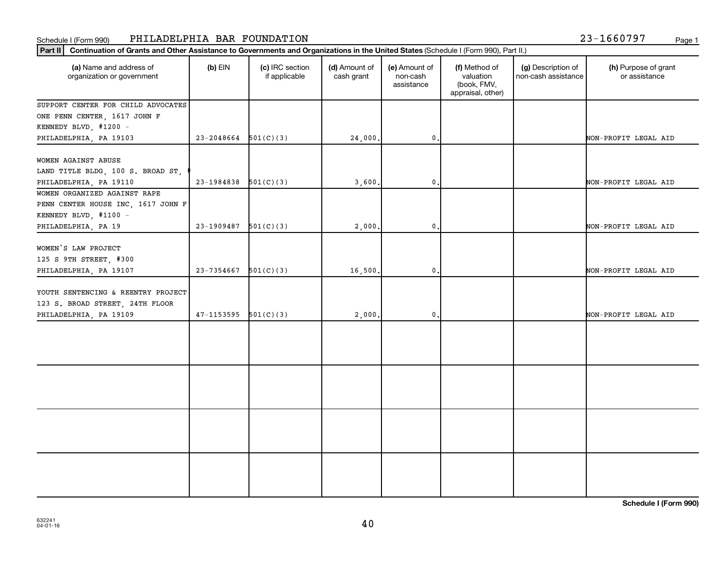## Schedule I (Form 990) PHILADELPHIA BAR FOUNDATION 23-1660797 <sub>Page 1</sub>

| 23-1660797 |  |  |  |  | Page |
|------------|--|--|--|--|------|
|            |  |  |  |  |      |

| (a) Name and address of<br>organization or government       | $(b)$ EIN                | (c) IRC section<br>if applicable | (d) Amount of<br>cash grant | (e) Amount of<br>non-cash<br>assistance | (f) Method of<br>valuation<br>(book, FMV,<br>appraisal, other) | (g) Description of<br>non-cash assistance | (h) Purpose of grant<br>or assistance |
|-------------------------------------------------------------|--------------------------|----------------------------------|-----------------------------|-----------------------------------------|----------------------------------------------------------------|-------------------------------------------|---------------------------------------|
| SUPPORT CENTER FOR CHILD ADVOCATES                          |                          |                                  |                             |                                         |                                                                |                                           |                                       |
| ONE PENN CENTER, 1617 JOHN F                                |                          |                                  |                             |                                         |                                                                |                                           |                                       |
| KENNEDY BLVD, #1200 -                                       |                          |                                  |                             |                                         |                                                                |                                           |                                       |
| PHILADELPHIA, PA 19103                                      | $23-2048664$ $501(C)(3)$ |                                  | 24,000.                     | 0.                                      |                                                                |                                           | NON-PROFIT LEGAL AID                  |
|                                                             |                          |                                  |                             |                                         |                                                                |                                           |                                       |
| WOMEN AGAINST ABUSE                                         |                          |                                  |                             |                                         |                                                                |                                           |                                       |
| LAND TITLE BLDG, 100 S. BROAD ST,<br>PHILADELPHIA, PA 19110 | $23-1984838$ $501(C)(3)$ |                                  | 3,600.                      | 0.                                      |                                                                |                                           | NON-PROFIT LEGAL AID                  |
| WOMEN ORGANIZED AGAINST RAPE                                |                          |                                  |                             |                                         |                                                                |                                           |                                       |
| PENN CENTER HOUSE INC, 1617 JOHN F                          |                          |                                  |                             |                                         |                                                                |                                           |                                       |
| KENNEDY BLVD, #1100 -                                       |                          |                                  |                             |                                         |                                                                |                                           |                                       |
| PHILADELPHIA, PA 19                                         | 23-1909487               | 501(C)(3)                        | 2,000.                      | 0.                                      |                                                                |                                           | NON-PROFIT LEGAL AID                  |
|                                                             |                          |                                  |                             |                                         |                                                                |                                           |                                       |
| WOMEN'S LAW PROJECT                                         |                          |                                  |                             |                                         |                                                                |                                           |                                       |
| 125 S 9TH STREET, #300                                      |                          |                                  |                             |                                         |                                                                |                                           |                                       |
| PHILADELPHIA, PA 19107                                      | $23 - 7354667$ 501(C)(3) |                                  | 16,500.                     | 0.                                      |                                                                |                                           | NON-PROFIT LEGAL AID                  |
|                                                             |                          |                                  |                             |                                         |                                                                |                                           |                                       |
| YOUTH SENTENCING & REENTRY PROJECT                          |                          |                                  |                             |                                         |                                                                |                                           |                                       |
| 123 S. BROAD STREET, 24TH FLOOR                             |                          |                                  |                             |                                         |                                                                |                                           |                                       |
| PHILADELPHIA, PA 19109                                      | $47-1153595$ $501(C)(3)$ |                                  | 2,000.                      | $\mathbf{0}$                            |                                                                |                                           | NON-PROFIT LEGAL AID                  |
|                                                             |                          |                                  |                             |                                         |                                                                |                                           |                                       |
|                                                             |                          |                                  |                             |                                         |                                                                |                                           |                                       |
|                                                             |                          |                                  |                             |                                         |                                                                |                                           |                                       |
|                                                             |                          |                                  |                             |                                         |                                                                |                                           |                                       |
|                                                             |                          |                                  |                             |                                         |                                                                |                                           |                                       |
|                                                             |                          |                                  |                             |                                         |                                                                |                                           |                                       |
|                                                             |                          |                                  |                             |                                         |                                                                |                                           |                                       |
|                                                             |                          |                                  |                             |                                         |                                                                |                                           |                                       |
|                                                             |                          |                                  |                             |                                         |                                                                |                                           |                                       |
|                                                             |                          |                                  |                             |                                         |                                                                |                                           |                                       |
|                                                             |                          |                                  |                             |                                         |                                                                |                                           |                                       |
|                                                             |                          |                                  |                             |                                         |                                                                |                                           |                                       |
|                                                             |                          |                                  |                             |                                         |                                                                |                                           |                                       |
|                                                             |                          |                                  |                             |                                         |                                                                |                                           |                                       |
|                                                             |                          |                                  |                             |                                         |                                                                |                                           |                                       |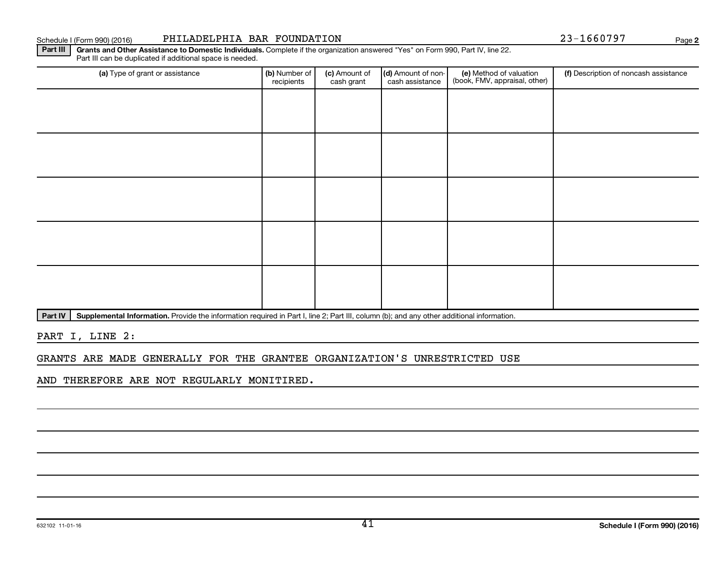Schedule I (Form 990) (2016) PHILADELPHIA BAR FOUNDATION 23-1660797 Page

**2**

Part III | Grants and Other Assistance to Domestic Individuals. Complete if the organization answered "Yes" on Form 990, Part IV, line 22. Part III can be duplicated if additional space is needed.

| (a) Type of grant or assistance | (b) Number of<br>recipients | (c) Amount of<br>cash grant | (d) Amount of non-<br>cash assistance | (e) Method of valuation<br>(book, FMV, appraisal, other) | (f) Description of noncash assistance |
|---------------------------------|-----------------------------|-----------------------------|---------------------------------------|----------------------------------------------------------|---------------------------------------|
|                                 |                             |                             |                                       |                                                          |                                       |
|                                 |                             |                             |                                       |                                                          |                                       |
|                                 |                             |                             |                                       |                                                          |                                       |
|                                 |                             |                             |                                       |                                                          |                                       |
|                                 |                             |                             |                                       |                                                          |                                       |
|                                 |                             |                             |                                       |                                                          |                                       |
|                                 |                             |                             |                                       |                                                          |                                       |
|                                 |                             |                             |                                       |                                                          |                                       |
|                                 |                             |                             |                                       |                                                          |                                       |
|                                 |                             |                             |                                       |                                                          |                                       |

Part IV | Supplemental Information. Provide the information required in Part I, line 2; Part III, column (b); and any other additional information.

PART I, LINE 2:

GRANTS ARE MADE GENERALLY FOR THE GRANTEE ORGANIZATION'S UNRESTRICTED USE

AND THEREFORE ARE NOT REGULARLY MONITIRED.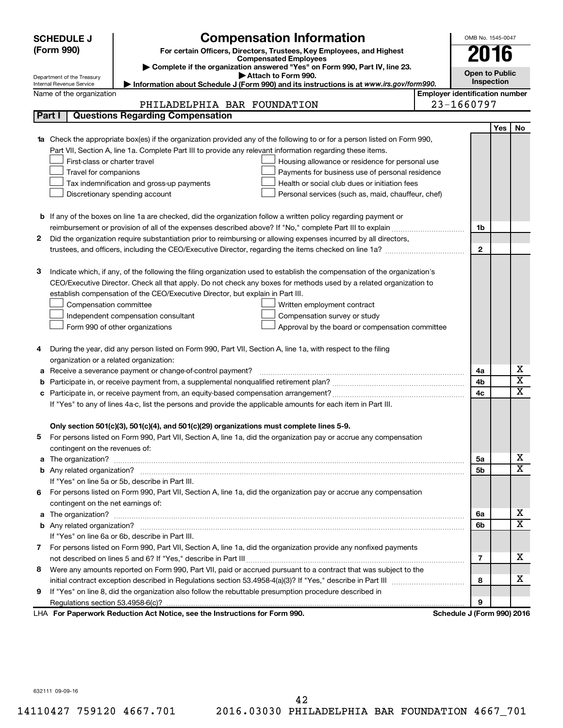|                            | <b>Compensation Information</b><br><b>SCHEDULE J</b> |                                                                                                                           |                                       |                            |     |                         |  |  |
|----------------------------|------------------------------------------------------|---------------------------------------------------------------------------------------------------------------------------|---------------------------------------|----------------------------|-----|-------------------------|--|--|
| (Form 990)                 |                                                      | For certain Officers, Directors, Trustees, Key Employees, and Highest                                                     |                                       | 2016                       |     |                         |  |  |
|                            |                                                      | <b>Compensated Employees</b>                                                                                              |                                       |                            |     |                         |  |  |
| Department of the Treasury |                                                      | Complete if the organization answered "Yes" on Form 990, Part IV, line 23.<br>Attach to Form 990.                         |                                       | <b>Open to Public</b>      |     |                         |  |  |
| Internal Revenue Service   |                                                      | Information about Schedule J (Form 990) and its instructions is at www.irs.gov/form990.                                   |                                       | Inspection                 |     |                         |  |  |
|                            | Name of the organization                             |                                                                                                                           | <b>Employer identification number</b> |                            |     |                         |  |  |
|                            |                                                      | PHILADELPHIA BAR FOUNDATION                                                                                               |                                       | 23-1660797                 |     |                         |  |  |
| Part I                     |                                                      | <b>Questions Regarding Compensation</b>                                                                                   |                                       |                            |     |                         |  |  |
|                            |                                                      |                                                                                                                           |                                       |                            | Yes | No                      |  |  |
|                            |                                                      | Check the appropriate box(es) if the organization provided any of the following to or for a person listed on Form 990,    |                                       |                            |     |                         |  |  |
|                            |                                                      | Part VII, Section A, line 1a. Complete Part III to provide any relevant information regarding these items.                |                                       |                            |     |                         |  |  |
|                            | First-class or charter travel                        | Housing allowance or residence for personal use                                                                           |                                       |                            |     |                         |  |  |
|                            | Travel for companions                                | Payments for business use of personal residence                                                                           |                                       |                            |     |                         |  |  |
|                            |                                                      | Health or social club dues or initiation fees<br>Tax indemnification and gross-up payments                                |                                       |                            |     |                         |  |  |
|                            |                                                      | Discretionary spending account<br>Personal services (such as, maid, chauffeur, chef)                                      |                                       |                            |     |                         |  |  |
|                            |                                                      |                                                                                                                           |                                       |                            |     |                         |  |  |
|                            |                                                      | <b>b</b> If any of the boxes on line 1a are checked, did the organization follow a written policy regarding payment or    |                                       |                            |     |                         |  |  |
|                            |                                                      |                                                                                                                           |                                       | 1b                         |     |                         |  |  |
| 2                          |                                                      | Did the organization require substantiation prior to reimbursing or allowing expenses incurred by all directors,          |                                       |                            |     |                         |  |  |
|                            |                                                      | trustees, and officers, including the CEO/Executive Director, regarding the items checked on line 1a?                     |                                       | $\mathbf{2}$               |     |                         |  |  |
|                            |                                                      |                                                                                                                           |                                       |                            |     |                         |  |  |
| 3                          |                                                      | Indicate which, if any, of the following the filing organization used to establish the compensation of the organization's |                                       |                            |     |                         |  |  |
|                            |                                                      | CEO/Executive Director. Check all that apply. Do not check any boxes for methods used by a related organization to        |                                       |                            |     |                         |  |  |
|                            |                                                      | establish compensation of the CEO/Executive Director, but explain in Part III.                                            |                                       |                            |     |                         |  |  |
|                            | Compensation committee                               | Written employment contract                                                                                               |                                       |                            |     |                         |  |  |
|                            |                                                      | Independent compensation consultant<br>Compensation survey or study                                                       |                                       |                            |     |                         |  |  |
|                            |                                                      | Form 990 of other organizations<br>Approval by the board or compensation committee                                        |                                       |                            |     |                         |  |  |
| 4                          |                                                      | During the year, did any person listed on Form 990, Part VII, Section A, line 1a, with respect to the filing              |                                       |                            |     |                         |  |  |
|                            |                                                      | organization or a related organization:                                                                                   |                                       |                            |     |                         |  |  |
| а                          |                                                      | Receive a severance payment or change-of-control payment?                                                                 |                                       | 4a                         |     | х                       |  |  |
|                            |                                                      |                                                                                                                           |                                       | 4b                         |     | $\overline{\textbf{x}}$ |  |  |
|                            |                                                      |                                                                                                                           |                                       | 4c                         |     | $\mathbf x$             |  |  |
|                            |                                                      | If "Yes" to any of lines 4a-c, list the persons and provide the applicable amounts for each item in Part III.             |                                       |                            |     |                         |  |  |
|                            |                                                      |                                                                                                                           |                                       |                            |     |                         |  |  |
|                            |                                                      | Only section 501(c)(3), 501(c)(4), and 501(c)(29) organizations must complete lines 5-9.                                  |                                       |                            |     |                         |  |  |
|                            |                                                      | For persons listed on Form 990, Part VII, Section A, line 1a, did the organization pay or accrue any compensation         |                                       |                            |     |                         |  |  |
|                            | contingent on the revenues of:                       |                                                                                                                           |                                       |                            |     |                         |  |  |
| a                          |                                                      | The organization? <b>William Commission Commission Commission</b> Commission Commission Commission Commission             |                                       | 5а                         |     | x                       |  |  |
|                            |                                                      |                                                                                                                           |                                       | 5b                         |     | X                       |  |  |
|                            |                                                      | If "Yes" on line 5a or 5b, describe in Part III.                                                                          |                                       |                            |     |                         |  |  |
|                            |                                                      | 6 For persons listed on Form 990, Part VII, Section A, line 1a, did the organization pay or accrue any compensation       |                                       |                            |     |                         |  |  |
|                            | contingent on the net earnings of:                   |                                                                                                                           |                                       |                            |     |                         |  |  |
| a                          |                                                      |                                                                                                                           |                                       | 6a                         |     | x                       |  |  |
|                            |                                                      |                                                                                                                           |                                       | 6b                         |     | $\overline{\textbf{x}}$ |  |  |
|                            |                                                      | If "Yes" on line 6a or 6b, describe in Part III.                                                                          |                                       |                            |     |                         |  |  |
|                            |                                                      | 7 For persons listed on Form 990, Part VII, Section A, line 1a, did the organization provide any nonfixed payments        |                                       |                            |     |                         |  |  |
|                            |                                                      |                                                                                                                           |                                       | 7                          |     | x                       |  |  |
|                            |                                                      | 8 Were any amounts reported on Form 990, Part VII, paid or accrued pursuant to a contract that was subject to the         |                                       |                            |     |                         |  |  |
|                            |                                                      |                                                                                                                           |                                       | 8                          |     | x                       |  |  |
| 9                          |                                                      | If "Yes" on line 8, did the organization also follow the rebuttable presumption procedure described in                    |                                       |                            |     |                         |  |  |
|                            |                                                      |                                                                                                                           |                                       | 9                          |     |                         |  |  |
|                            |                                                      | LHA For Paperwork Reduction Act Notice, see the Instructions for Form 990.                                                |                                       | Schedule J (Form 990) 2016 |     |                         |  |  |

632111 09-09-16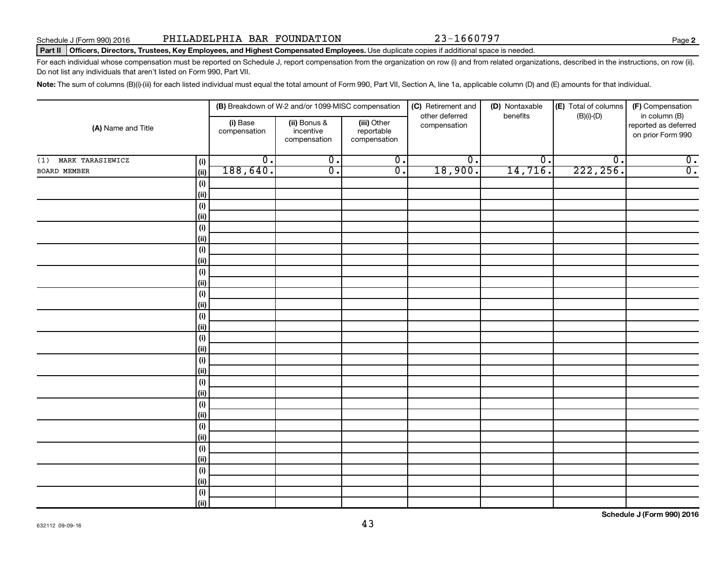**2**

## Part II | Officers, Directors, Trustees, Key Employees, and Highest Compensated Employees. Use duplicate copies if additional space is needed.

For each individual whose compensation must be reported on Schedule J, report compensation from the organization on row (i) and from related organizations, described in the instructions, on row (ii). Do not list any individuals that aren't listed on Form 990, Part VII.

Note: The sum of columns (B)(i)-(iii) for each listed individual must equal the total amount of Form 990, Part VII, Section A, line 1a, applicable column (D) and (E) amounts for that individual.

|                         |                    | (B) Breakdown of W-2 and/or 1099-MISC compensation |                                           | (C) Retirement and                        | (D) Nontaxable                 | (E) Total of columns        | (F) Compensation            |                                                            |
|-------------------------|--------------------|----------------------------------------------------|-------------------------------------------|-------------------------------------------|--------------------------------|-----------------------------|-----------------------------|------------------------------------------------------------|
| (A) Name and Title      |                    | (i) Base<br>compensation                           | (ii) Bonus &<br>incentive<br>compensation | (iii) Other<br>reportable<br>compensation | other deferred<br>compensation | benefits                    | $(B)(i)-(D)$                | in column (B)<br>reported as deferred<br>on prior Form 990 |
| MARK TARASIEWICZ<br>(1) | (i)                | $\overline{0}$ .                                   | $\overline{0}$ .                          | $\overline{0}$ .                          | $\overline{0}$ .               | $\overline{\mathfrak{o}}$ . | $\overline{\mathfrak{o}}$ . | $\overline{0}$ .                                           |
| <b>BOARD MEMBER</b>     | (ii)               | 188,640.                                           | $\overline{0}$ .                          | $\overline{0}$ .                          | 18,900.                        | 14,716.                     | 222, 256.                   | $\overline{0}$ .                                           |
|                         | (i)                |                                                    |                                           |                                           |                                |                             |                             |                                                            |
|                         | (ii)               |                                                    |                                           |                                           |                                |                             |                             |                                                            |
|                         | $(\sf{i})$         |                                                    |                                           |                                           |                                |                             |                             |                                                            |
|                         | (ii)               |                                                    |                                           |                                           |                                |                             |                             |                                                            |
|                         | $(\sf{i})$         |                                                    |                                           |                                           |                                |                             |                             |                                                            |
|                         | (ii)               |                                                    |                                           |                                           |                                |                             |                             |                                                            |
|                         | $(\sf{i})$         |                                                    |                                           |                                           |                                |                             |                             |                                                            |
|                         | (ii)               |                                                    |                                           |                                           |                                |                             |                             |                                                            |
|                         | $(\sf{i})$         |                                                    |                                           |                                           |                                |                             |                             |                                                            |
|                         | (ii)               |                                                    |                                           |                                           |                                |                             |                             |                                                            |
|                         | $(\sf{i})$         |                                                    |                                           |                                           |                                |                             |                             |                                                            |
|                         | (ii)               |                                                    |                                           |                                           |                                |                             |                             |                                                            |
|                         | (i)                |                                                    |                                           |                                           |                                |                             |                             |                                                            |
|                         | (ii)               |                                                    |                                           |                                           |                                |                             |                             |                                                            |
|                         | (i)                |                                                    |                                           |                                           |                                |                             |                             |                                                            |
|                         | (ii)               |                                                    |                                           |                                           |                                |                             |                             |                                                            |
|                         | (i)                |                                                    |                                           |                                           |                                |                             |                             |                                                            |
|                         | (ii)               |                                                    |                                           |                                           |                                |                             |                             |                                                            |
|                         | (i)                |                                                    |                                           |                                           |                                |                             |                             |                                                            |
|                         | (ii)               |                                                    |                                           |                                           |                                |                             |                             |                                                            |
|                         | $(\sf{i})$         |                                                    |                                           |                                           |                                |                             |                             |                                                            |
|                         | (ii)               |                                                    |                                           |                                           |                                |                             |                             |                                                            |
|                         | $(\sf{i})$         |                                                    |                                           |                                           |                                |                             |                             |                                                            |
|                         | (ii)               |                                                    |                                           |                                           |                                |                             |                             |                                                            |
|                         | $(\sf{i})$<br>(ii) |                                                    |                                           |                                           |                                |                             |                             |                                                            |
|                         | $(\sf{i})$         |                                                    |                                           |                                           |                                |                             |                             |                                                            |
|                         | (ii)               |                                                    |                                           |                                           |                                |                             |                             |                                                            |
|                         | $(\sf{i})$         |                                                    |                                           |                                           |                                |                             |                             |                                                            |
|                         | (ii)               |                                                    |                                           |                                           |                                |                             |                             |                                                            |
|                         |                    |                                                    |                                           |                                           |                                |                             |                             |                                                            |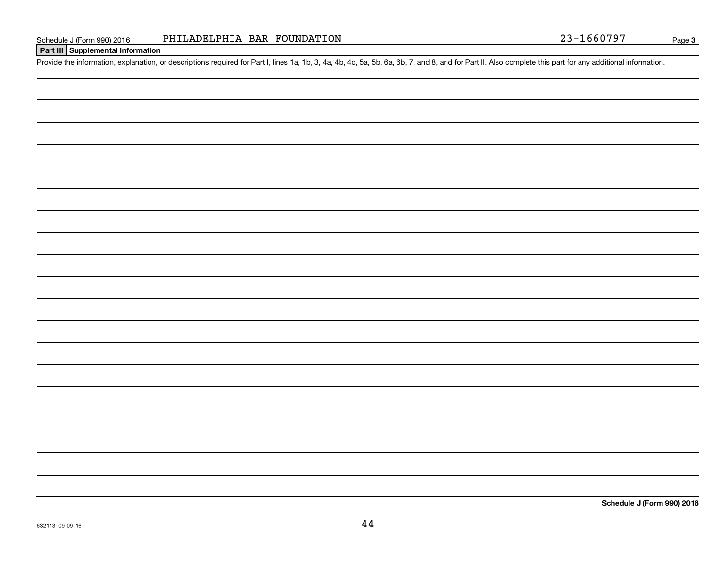## **Part III Supplemental Information**

Provide the information, explanation, or descriptions required for Part I, lines 1a, 1b, 3, 4a, 4b, 4c, 5a, 5b, 6a, 6b, 7, and 8, and for Part II. Also complete this part for any additional information.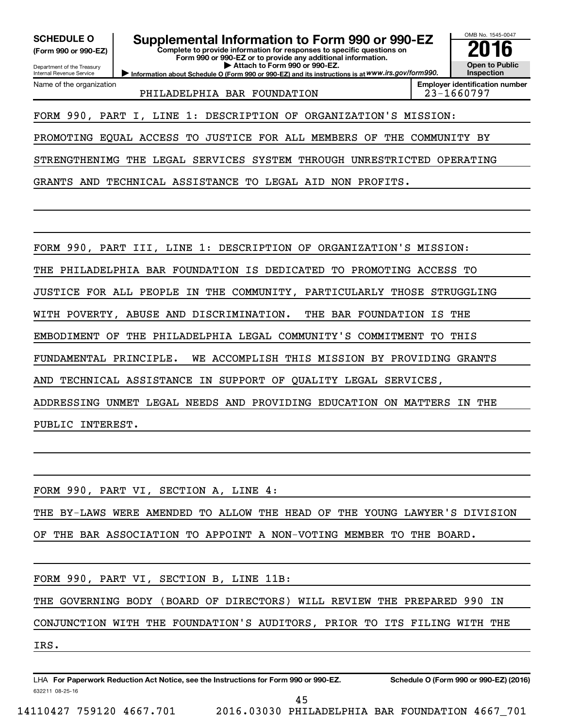**(Form 990 or 990-EZ)**

Department of the Treasury Internal Revenue Service Name of the organization

**SCHEDULE O Supplemental Information to Form 990 or 990-EZ 2016**

**Complete to provide information for responses to specific questions on Form 990 or 990-EZ or to provide any additional information. | Attach to Form 990 or 990-EZ.**

**Information about Schedule O (Form 990 or 990-EZ) and its instructions is at WWW.irs.gov/form990.** 

OMB No. 1545-0047 **Open to Public Inspection**

PHILADELPHIA BAR FOUNDATION | 23-1660797

**Employer identification number**

FORM 990, PART I, LINE 1: DESCRIPTION OF ORGANIZATION'S MISSION:

PROMOTING EQUAL ACCESS TO JUSTICE FOR ALL MEMBERS OF THE COMMUNITY BY

STRENGTHENIMG THE LEGAL SERVICES SYSTEM THROUGH UNRESTRICTED OPERATING

GRANTS AND TECHNICAL ASSISTANCE TO LEGAL AID NON PROFITS.

FORM 990, PART III, LINE 1: DESCRIPTION OF ORGANIZATION'S MISSION:

THE PHILADELPHIA BAR FOUNDATION IS DEDICATED TO PROMOTING ACCESS TO

JUSTICE FOR ALL PEOPLE IN THE COMMUNITY, PARTICULARLY THOSE STRUGGLING

WITH POVERTY, ABUSE AND DISCRIMINATION. THE BAR FOUNDATION IS THE

EMBODIMENT OF THE PHILADELPHIA LEGAL COMMUNITY'S COMMITMENT TO THIS

FUNDAMENTAL PRINCIPLE. WE ACCOMPLISH THIS MISSION BY PROVIDING GRANTS

AND TECHNICAL ASSISTANCE IN SUPPORT OF QUALITY LEGAL SERVICES,

ADDRESSING UNMET LEGAL NEEDS AND PROVIDING EDUCATION ON MATTERS IN THE PUBLIC INTEREST.

FORM 990, PART VI, SECTION A, LINE 4: THE BY-LAWS WERE AMENDED TO ALLOW THE HEAD OF THE YOUNG LAWYER'S DIVISION OF THE BAR ASSOCIATION TO APPOINT A NON-VOTING MEMBER TO THE BOARD. FORM 990, PART VI, SECTION B, LINE 11B: THE GOVERNING BODY (BOARD OF DIRECTORS) WILL REVIEW THE PREPARED 990 IN CONJUNCTION WITH THE FOUNDATION'S AUDITORS, PRIOR TO ITS FILING WITH THE IRS.

632211 08-25-16 LHA For Paperwork Reduction Act Notice, see the Instructions for Form 990 or 990-EZ. Schedule O (Form 990 or 990-EZ) (2016)

45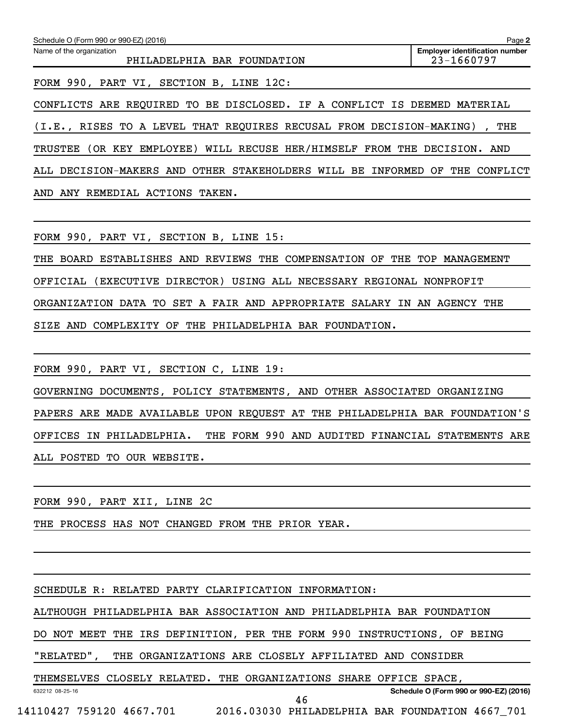| Schedule O (Form 990 or 990-EZ) (2016)                                  | Page 2                                              |
|-------------------------------------------------------------------------|-----------------------------------------------------|
| Name of the organization<br>PHILADELPHIA BAR FOUNDATION                 | <b>Employer identification number</b><br>23-1660797 |
| FORM 990, PART VI, SECTION B, LINE 12C:                                 |                                                     |
| CONFLICTS ARE REQUIRED TO BE DISCLOSED. IF A CONFLICT IS                | DEEMED<br>MATERIAL                                  |
| (I.E., RISES TO A LEVEL THAT REQUIRES RECUSAL FROM DECISION-MAKING)     | THE                                                 |
| (OR KEY EMPLOYEE) WILL RECUSE HER/HIMSELF FROM THE DECISION.<br>TRUSTEE | AND                                                 |
| ALL DECISION-MAKERS AND OTHER STAKEHOLDERS WILL BE INFORMED             | OF<br>THE<br>CONFLICT                               |
| ANY REMEDIAL ACTIONS TAKEN.<br>AND                                      |                                                     |
|                                                                         |                                                     |
| FORM 990, PART VI, SECTION B, LINE 15:                                  |                                                     |
| THE COMPENSATION OF<br>BOARD ESTABLISHES AND REVIEWS<br>THE             | THE TOP MANAGEMENT                                  |

OFFICIAL (EXECUTIVE DIRECTOR) USING ALL NECESSARY REGIONAL NONPROFIT

ORGANIZATION DATA TO SET A FAIR AND APPROPRIATE SALARY IN AN AGENCY THE

SIZE AND COMPLEXITY OF THE PHILADELPHIA BAR FOUNDATION.

|  |  |  |                            | FORM 990, PART VI, SECTION C, LINE 19: |  |  |  |                                                                             |  |
|--|--|--|----------------------------|----------------------------------------|--|--|--|-----------------------------------------------------------------------------|--|
|  |  |  |                            |                                        |  |  |  | GOVERNING DOCUMENTS, POLICY STATEMENTS, AND OTHER ASSOCIATED ORGANIZING     |  |
|  |  |  |                            |                                        |  |  |  | PAPERS ARE MADE AVAILABLE UPON REQUEST AT THE PHILADELPHIA BAR FOUNDATION'S |  |
|  |  |  |                            |                                        |  |  |  | OFFICES IN PHILADELPHIA. THE FORM 990 AND AUDITED FINANCIAL STATEMENTS ARE  |  |
|  |  |  | ALL POSTED TO OUR WEBSITE. |                                        |  |  |  |                                                                             |  |

FORM 990, PART XII, LINE 2C

THE PROCESS HAS NOT CHANGED FROM THE PRIOR YEAR.

SCHEDULE R: RELATED PARTY CLARIFICATION INFORMATION:

ALTHOUGH PHILADELPHIA BAR ASSOCIATION AND PHILADELPHIA BAR FOUNDATION

DO NOT MEET THE IRS DEFINITION, PER THE FORM 990 INSTRUCTIONS, OF BEING

"RELATED", THE ORGANIZATIONS ARE CLOSELY AFFILIATED AND CONSIDER

THEMSELVES CLOSELY RELATED. THE ORGANIZATIONS SHARE OFFICE SPACE,

**Schedule O (Form 990 or 990-EZ) (2016)**

632212 08-25-16

14110427 759120 4667.701 2016.03030 PHILADELPHIA BAR FOUNDATION 4667\_701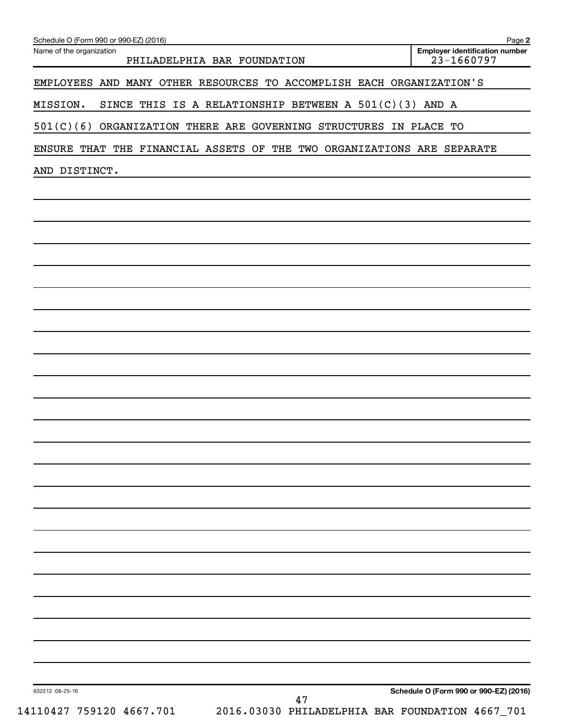| Name of the organization<br>PHILADELPHIA BAR FOUNDATION                | <b>Employer identification number</b><br>23-1660797 |
|------------------------------------------------------------------------|-----------------------------------------------------|
| EMPLOYEES AND MANY OTHER RESOURCES TO ACCOMPLISH EACH ORGANIZATION'S   |                                                     |
| MISSION.<br>SINCE THIS IS A RELATIONSHIP BETWEEN A $501(C)(3)$ AND A   |                                                     |
| 501(C)(6) ORGANIZATION THERE ARE GOVERNING STRUCTURES IN PLACE TO      |                                                     |
| ENSURE THAT THE FINANCIAL ASSETS OF THE TWO ORGANIZATIONS ARE SEPARATE |                                                     |
| AND DISTINCT.                                                          |                                                     |
|                                                                        |                                                     |
|                                                                        |                                                     |
|                                                                        |                                                     |
|                                                                        |                                                     |
|                                                                        |                                                     |
|                                                                        |                                                     |
|                                                                        |                                                     |
|                                                                        |                                                     |
|                                                                        |                                                     |
|                                                                        |                                                     |
|                                                                        |                                                     |
|                                                                        |                                                     |
|                                                                        |                                                     |
|                                                                        |                                                     |
|                                                                        |                                                     |
|                                                                        |                                                     |
|                                                                        |                                                     |
|                                                                        |                                                     |
|                                                                        |                                                     |
|                                                                        |                                                     |
|                                                                        |                                                     |
|                                                                        |                                                     |
|                                                                        |                                                     |
| 632212 08-25-16                                                        | Schedule O (Form 990 or 990-EZ) (2016)              |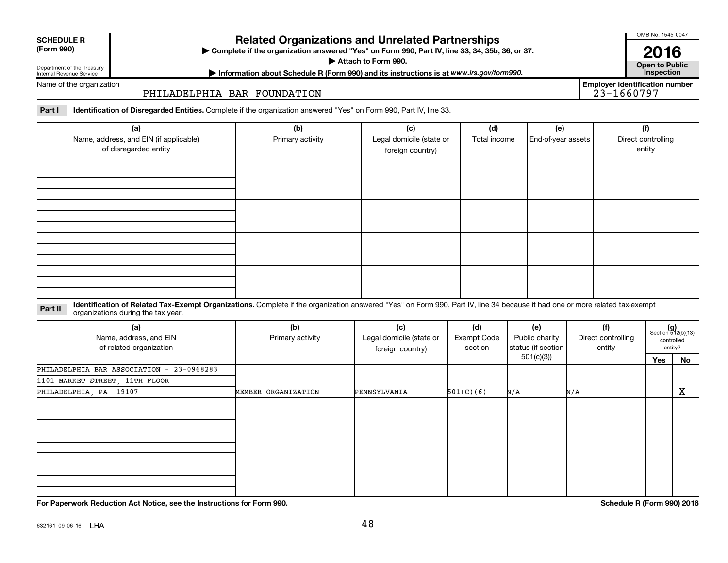| <b>SCHEDULE R</b> |  |
|-------------------|--|
|                   |  |

## **Related Organizations and Unrelated Partnerships**

**(Form 990) Complete if the organization answered "Yes" on Form 990, Part IV, line 33, 34, 35b, 36, or 37.** |

**Attach to Form 990. Contract to Public** 

Department of the Treasury Internal Revenue Service

**Most Information about Schedule R (Form 990) and its instructions is at www.irs.gov/form990.** This pection

Name of the organization

## PHILADELPHIA BAR FOUNDATION

Part I ldentification of Disregarded Entities. Complete if the organization answered "Yes" on Form 990, Part IV, line 33.

| (a)<br>Name, address, and EIN (if applicable)<br>of disregarded entity | (b)<br>Primary activity | (c)<br>Legal domicile (state or<br>foreign country) | (d)<br>Total income | (e)<br>End-of-year assets | (f)<br>Direct controlling<br>entity |
|------------------------------------------------------------------------|-------------------------|-----------------------------------------------------|---------------------|---------------------------|-------------------------------------|
|                                                                        |                         |                                                     |                     |                           |                                     |
|                                                                        |                         |                                                     |                     |                           |                                     |
|                                                                        |                         |                                                     |                     |                           |                                     |
|                                                                        |                         |                                                     |                     |                           |                                     |

## **Part II** Identification of Related Tax-Exempt Organizations. Complete if the organization answered "Yes" on Form 990, Part IV, line 34 because it had one or more related tax-exempt<br>Complete it is a series of the two wears organizations during the tax year.

| (a)<br>Name, address, and EIN<br>of related organization | (b)<br>Primary activity | (c)<br>Legal domicile (state or<br>foreign country) | (d)<br>Exempt Code<br>section | (e)<br>Public charity<br>status (if section | (f)<br>Direct controlling<br>entity |     | $(g)$<br>Section 512(b)(13)<br>controlled<br>entity? |
|----------------------------------------------------------|-------------------------|-----------------------------------------------------|-------------------------------|---------------------------------------------|-------------------------------------|-----|------------------------------------------------------|
|                                                          |                         |                                                     |                               | 501(c)(3))                                  |                                     | Yes | No                                                   |
| PHILADELPHIA BAR ASSOCIATION - 23-0968283                |                         |                                                     |                               |                                             |                                     |     |                                                      |
| 1101 MARKET STREET, 11TH FLOOR                           |                         |                                                     |                               |                                             |                                     |     |                                                      |
| PHILADELPHIA, PA 19107                                   | MEMBER ORGANIZATION     | PENNSYLVANIA                                        | 501(C)(6)                     | N/A                                         | N/A                                 |     | х                                                    |
|                                                          |                         |                                                     |                               |                                             |                                     |     |                                                      |
|                                                          |                         |                                                     |                               |                                             |                                     |     |                                                      |
|                                                          |                         |                                                     |                               |                                             |                                     |     |                                                      |
|                                                          |                         |                                                     |                               |                                             |                                     |     |                                                      |
|                                                          |                         |                                                     |                               |                                             |                                     |     |                                                      |
|                                                          |                         |                                                     |                               |                                             |                                     |     |                                                      |
|                                                          |                         |                                                     |                               |                                             |                                     |     |                                                      |
|                                                          |                         |                                                     |                               |                                             |                                     |     |                                                      |

**For Paperwork Reduction Act Notice, see the Instructions for Form 990. Schedule R (Form 990) 2016**

OMB No. 1545-0047

**2016**<br>Open to Public

**Employer identification number**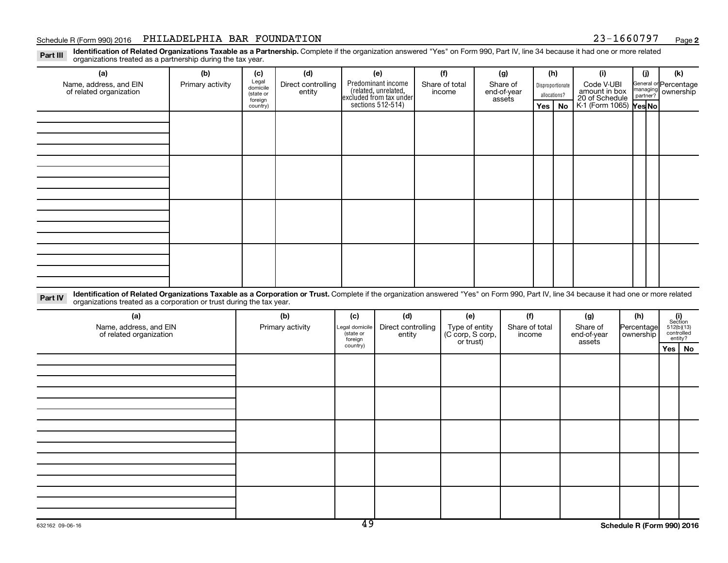## Schedule R (Form 990) 2016 PHILADELPHIA BAR FOUNDATION  $23-1660797$  Page

**2**

Part III Identification of Related Organizations Taxable as a Partnership. Complete if the organization answered "Yes" on Form 990, Part IV, line 34 because it had one or more related<br>Read to the organizations tracted as a organizations treated as a partnership during the tax year.

| (a)                                                                                                                                                                                                                                                                        | (b)              | (c)                                       | (d)                          |     | (e)                                                                                          | (f)                      |     | (g)                               |                | (h)                              | (i)                                           | (i)         | (k)                                         |
|----------------------------------------------------------------------------------------------------------------------------------------------------------------------------------------------------------------------------------------------------------------------------|------------------|-------------------------------------------|------------------------------|-----|----------------------------------------------------------------------------------------------|--------------------------|-----|-----------------------------------|----------------|----------------------------------|-----------------------------------------------|-------------|---------------------------------------------|
| Name, address, and EIN<br>of related organization                                                                                                                                                                                                                          | Primary activity | Legal<br>domicile<br>(state or<br>foreign | Direct controlling<br>entity |     | Predominant income<br>(related, unrelated,<br>excluded from tax under<br>sections 512-514)   | Share of total<br>income |     | Share of<br>end-of-year<br>assets |                | Disproportionate<br>allocations? | Code V-UBI<br>amount in box<br>20 of Schedule |             | General or Percentage<br>managing ownership |
|                                                                                                                                                                                                                                                                            |                  | country)                                  |                              |     |                                                                                              |                          |     |                                   | Yes            | <b>No</b>                        | K-1 (Form 1065) <b>Yes No</b>                 |             |                                             |
|                                                                                                                                                                                                                                                                            |                  |                                           |                              |     |                                                                                              |                          |     |                                   |                |                                  |                                               |             |                                             |
|                                                                                                                                                                                                                                                                            |                  |                                           |                              |     |                                                                                              |                          |     |                                   |                |                                  |                                               |             |                                             |
|                                                                                                                                                                                                                                                                            |                  |                                           |                              |     |                                                                                              |                          |     |                                   |                |                                  |                                               |             |                                             |
|                                                                                                                                                                                                                                                                            |                  |                                           |                              |     |                                                                                              |                          |     |                                   |                |                                  |                                               |             |                                             |
|                                                                                                                                                                                                                                                                            |                  |                                           |                              |     |                                                                                              |                          |     |                                   |                |                                  |                                               |             |                                             |
|                                                                                                                                                                                                                                                                            |                  |                                           |                              |     |                                                                                              |                          |     |                                   |                |                                  |                                               |             |                                             |
|                                                                                                                                                                                                                                                                            |                  |                                           |                              |     |                                                                                              |                          |     |                                   |                |                                  |                                               |             |                                             |
|                                                                                                                                                                                                                                                                            |                  |                                           |                              |     |                                                                                              |                          |     |                                   |                |                                  |                                               |             |                                             |
|                                                                                                                                                                                                                                                                            |                  |                                           |                              |     |                                                                                              |                          |     |                                   |                |                                  |                                               |             |                                             |
|                                                                                                                                                                                                                                                                            |                  |                                           |                              |     |                                                                                              |                          |     |                                   |                |                                  |                                               |             |                                             |
|                                                                                                                                                                                                                                                                            |                  |                                           |                              |     |                                                                                              |                          |     |                                   |                |                                  |                                               |             |                                             |
|                                                                                                                                                                                                                                                                            |                  |                                           |                              |     |                                                                                              |                          |     |                                   |                |                                  |                                               |             |                                             |
|                                                                                                                                                                                                                                                                            |                  |                                           |                              |     |                                                                                              |                          |     |                                   |                |                                  |                                               |             |                                             |
|                                                                                                                                                                                                                                                                            |                  |                                           |                              |     |                                                                                              |                          |     |                                   |                |                                  |                                               |             |                                             |
|                                                                                                                                                                                                                                                                            |                  |                                           |                              |     |                                                                                              |                          |     |                                   |                |                                  |                                               |             |                                             |
|                                                                                                                                                                                                                                                                            |                  |                                           |                              |     |                                                                                              |                          |     |                                   |                |                                  |                                               |             |                                             |
| Identification of Related Organizations Taxable as a Corporation or Trust. Complete if the organization answered "Yes" on Form 990, Part IV, line 34 because it had one or more related<br>Part IV<br>organizations treated as a corporation or trust during the tax year. |                  |                                           |                              |     |                                                                                              |                          |     |                                   |                |                                  |                                               |             |                                             |
| (a)                                                                                                                                                                                                                                                                        |                  |                                           | (b)                          | (c) | (d)                                                                                          |                          | (e) |                                   | (f)            |                                  | (g)                                           | (h)         | (i)<br>Section                              |
| Namo address and EIN                                                                                                                                                                                                                                                       |                  |                                           | Dirichlet                    |     | $\mathsf{l}_1$ and denoted $\mathsf{l}_2$ Direct controlling $\mathsf{l}_1$ . Type of optity |                          |     |                                   | Chara of total |                                  | Chara of                                      | Dorooptagol | $F \neq O(L) \neq O$                        |

| (a)<br>Name, address, and EIN<br>of related organization | (D)<br>Primary activity | (C)<br>Legal domicile<br>(state or<br>foreign<br>country) | (d)<br>Direct controlling<br>entity | (e)<br>Type of entity<br>(C corp, S corp,<br>or trust) | (I)<br>Share of total<br>income | (g)<br>Share of<br>end-of-year<br>assets | (n)<br>Percentage<br>  ownership | $(1)$<br>Section<br>512(b)(13)<br>controlled<br>entity? |
|----------------------------------------------------------|-------------------------|-----------------------------------------------------------|-------------------------------------|--------------------------------------------------------|---------------------------------|------------------------------------------|----------------------------------|---------------------------------------------------------|
|                                                          |                         |                                                           |                                     |                                                        |                                 |                                          |                                  | Yes   No                                                |
|                                                          |                         |                                                           |                                     |                                                        |                                 |                                          |                                  |                                                         |
|                                                          |                         |                                                           |                                     |                                                        |                                 |                                          |                                  |                                                         |
|                                                          |                         |                                                           |                                     |                                                        |                                 |                                          |                                  |                                                         |
|                                                          |                         |                                                           |                                     |                                                        |                                 |                                          |                                  |                                                         |
|                                                          |                         |                                                           |                                     |                                                        |                                 |                                          |                                  |                                                         |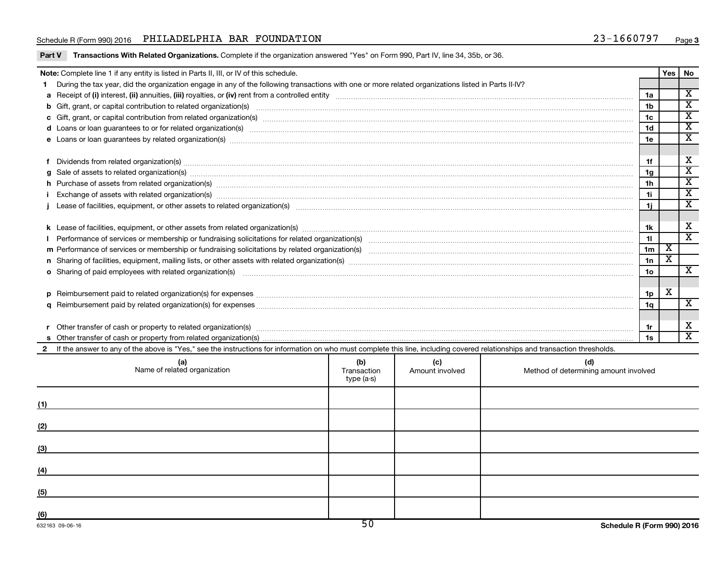## Schedule R (Form 990) 2016 PHILADELPHIA BAR FOUNDATION  $23-1660797$  Page

|     | Note: Complete line 1 if any entity is listed in Parts II, III, or IV of this schedule.                                                                                                                                        |                                  |                        |                                              |                | Yes                     | <b>No</b>               |
|-----|--------------------------------------------------------------------------------------------------------------------------------------------------------------------------------------------------------------------------------|----------------------------------|------------------------|----------------------------------------------|----------------|-------------------------|-------------------------|
|     | During the tax year, did the organization engage in any of the following transactions with one or more related organizations listed in Parts II-IV?                                                                            |                                  |                        |                                              |                |                         |                         |
|     |                                                                                                                                                                                                                                |                                  |                        |                                              | 1a             |                         | $\overline{\mathbf{X}}$ |
|     |                                                                                                                                                                                                                                |                                  |                        |                                              | 1b             |                         | $\overline{\mathtt{x}}$ |
|     |                                                                                                                                                                                                                                |                                  |                        |                                              | 1c             |                         | $\overline{\mathbf{x}}$ |
|     | d Loans or loan guarantees to or for related organization(s) www.communically.com/www.communically.com/www.communically.com/www.communically.com/www.communically.com/www.communically.com/www.communically.com/www.communical |                                  |                        |                                              | 1 <sub>d</sub> |                         | $\overline{\texttt{x}}$ |
|     |                                                                                                                                                                                                                                |                                  |                        |                                              | 1e             |                         | $\overline{\texttt{x}}$ |
|     |                                                                                                                                                                                                                                |                                  |                        |                                              |                |                         |                         |
|     |                                                                                                                                                                                                                                |                                  |                        |                                              | 1f             |                         | x                       |
|     | g Sale of assets to related organization(s) manufactured contracts and contracts are contracted assets to related organization(s) manufactured contracts are contracted assets to related organization(s) manufactured contrac |                                  |                        |                                              | 1a             |                         | $\overline{\mathtt{x}}$ |
|     | h Purchase of assets from related organization(s) manufactured content to content the content of the content of the content of the content of the content of the content of the content of the content of the content of the c |                                  |                        |                                              | 1h             |                         | $\overline{\texttt{x}}$ |
|     |                                                                                                                                                                                                                                |                                  |                        |                                              | 1i             |                         | $\overline{\texttt{x}}$ |
|     |                                                                                                                                                                                                                                |                                  |                        |                                              | 1j.            |                         | $\overline{\texttt{x}}$ |
|     |                                                                                                                                                                                                                                |                                  |                        |                                              |                |                         |                         |
|     |                                                                                                                                                                                                                                |                                  |                        |                                              | 1k             |                         | X                       |
|     |                                                                                                                                                                                                                                |                                  |                        |                                              | 11             |                         | $\overline{\mathtt{x}}$ |
|     |                                                                                                                                                                                                                                |                                  |                        |                                              | 1 <sub>m</sub> | X                       |                         |
|     |                                                                                                                                                                                                                                |                                  |                        |                                              | 1n             | $\overline{\mathbf{X}}$ |                         |
|     | <b>o</b> Sharing of paid employees with related organization(s)                                                                                                                                                                |                                  |                        |                                              | 1o             |                         | $\overline{\textbf{x}}$ |
|     |                                                                                                                                                                                                                                |                                  |                        |                                              |                |                         |                         |
|     |                                                                                                                                                                                                                                |                                  |                        |                                              | 1p             | X                       |                         |
|     |                                                                                                                                                                                                                                |                                  |                        |                                              | 1q             |                         | X                       |
|     |                                                                                                                                                                                                                                |                                  |                        |                                              |                |                         |                         |
|     |                                                                                                                                                                                                                                |                                  |                        |                                              | 1r             |                         | X                       |
|     |                                                                                                                                                                                                                                |                                  |                        |                                              | 1s             |                         | $\overline{\texttt{x}}$ |
|     | If the answer to any of the above is "Yes," see the instructions for information on who must complete this line, including covered relationships and transaction thresholds.                                                   |                                  |                        |                                              |                |                         |                         |
|     | (a)<br>Name of related organization                                                                                                                                                                                            | (b)<br>Transaction<br>type (a-s) | (c)<br>Amount involved | (d)<br>Method of determining amount involved |                |                         |                         |
| (1) |                                                                                                                                                                                                                                |                                  |                        |                                              |                |                         |                         |
| (2) |                                                                                                                                                                                                                                |                                  |                        |                                              |                |                         |                         |
| (3) |                                                                                                                                                                                                                                |                                  |                        |                                              |                |                         |                         |

**(4)**

**(5)**

**(6)**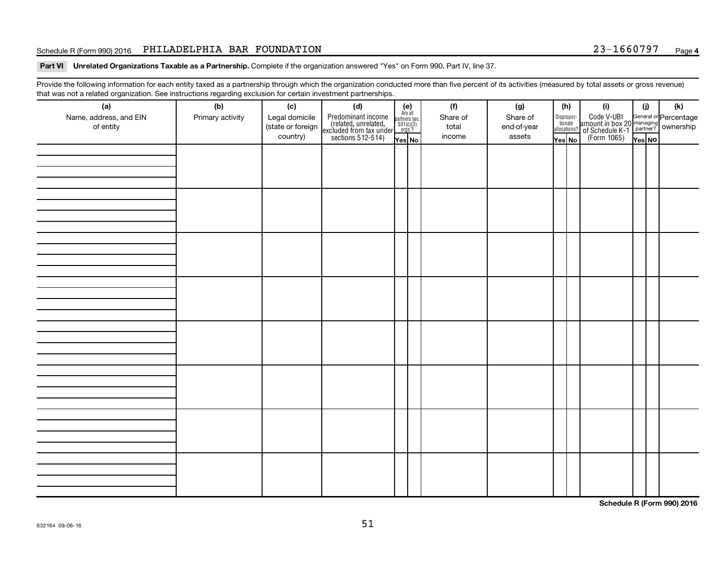## Schedule R (Form 990) 2016 PHILADELPHIA BAR FOUNDATION  $23-1660797$  Page

Part VI Unrelated Organizations Taxable as a Partnership. Complete if the organization answered "Yes" on Form 990, Part IV, line 37.

Provide the following information for each entity taxed as a partnership through which the organization conducted more than five percent of its activities (measured by total assets or gross revenue) that was not a related organization. See instructions regarding exclusion for certain investment partnerships.

| (a)<br>Name, address, and EIN<br>of entity | - -<br>(b)<br>Primary activity | (c)<br>Legal domicile<br>(state or foreign<br>country) | . <b>.</b> .<br>(d)<br>Predominant income<br>(related, unrelated,<br>excluded from tax under<br>sections 512-514) | $(e)$<br>Are all<br>partners sec.<br>$501(c)(3)$<br>orgs.?<br>Yes No | (f)<br>Share of<br>total<br>income | (g)<br>Share of<br>end-of-year<br>assets | (h)<br>Dispropor-<br>tionate<br>allocations?<br>Yes No | (i)<br>Code V-UBI<br>amount in box 20 managing<br>of Schedule K-1<br>(Form 1065)<br>$\overline{Y}_{\text{res}}$ No | (i)<br>Yes NO | (k) |
|--------------------------------------------|--------------------------------|--------------------------------------------------------|-------------------------------------------------------------------------------------------------------------------|----------------------------------------------------------------------|------------------------------------|------------------------------------------|--------------------------------------------------------|--------------------------------------------------------------------------------------------------------------------|---------------|-----|
|                                            |                                |                                                        |                                                                                                                   |                                                                      |                                    |                                          |                                                        |                                                                                                                    |               |     |
|                                            |                                |                                                        |                                                                                                                   |                                                                      |                                    |                                          |                                                        |                                                                                                                    |               |     |
|                                            |                                |                                                        |                                                                                                                   |                                                                      |                                    |                                          |                                                        |                                                                                                                    |               |     |
|                                            |                                |                                                        |                                                                                                                   |                                                                      |                                    |                                          |                                                        |                                                                                                                    |               |     |
|                                            |                                |                                                        |                                                                                                                   |                                                                      |                                    |                                          |                                                        |                                                                                                                    |               |     |
|                                            |                                |                                                        |                                                                                                                   |                                                                      |                                    |                                          |                                                        |                                                                                                                    |               |     |
|                                            |                                |                                                        |                                                                                                                   |                                                                      |                                    |                                          |                                                        |                                                                                                                    |               |     |
|                                            |                                |                                                        |                                                                                                                   |                                                                      |                                    |                                          |                                                        |                                                                                                                    |               |     |